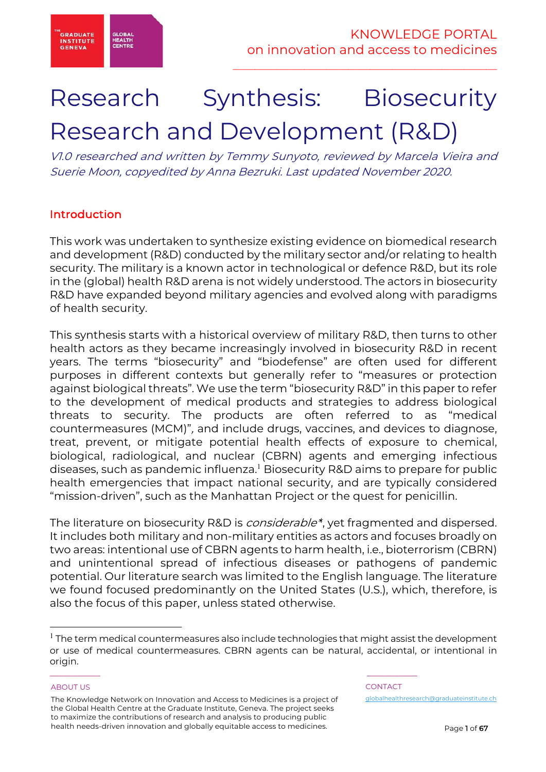

# Research Synthesis: Biosecurity

# Research and Development (R&D)

V1.0 researched and written by Temmy Sunyoto, reviewed by Marcela Vieira and Suerie Moon, copyedited by Anna Bezruki. Last updated November 2020.

# Introduction

This work was undertaken to synthesize existing evidence on biomedical research and development (R&D) conducted by the military sector and/or relating to health security. The military is a known actor in technological or defence R&D, but its role in the (global) health R&D arena is not widely understood. The actors in biosecurity R&D have expanded beyond military agencies and evolved along with paradigms of health security.

This synthesis starts with a historical overview of military R&D, then turns to other health actors as they became increasingly involved in biosecurity R&D in recent years. The terms "biosecurity" and "biodefense" are often used for different purposes in different contexts but generally refer to "measures or protection against biological threats". We use the term "biosecurity R&D" in this paper to refer to the development of medical products and strategies to address biological threats to security. The products are often referred to as "medical countermeasures (MCM)", and include drugs, vaccines, and devices to diagnose, treat, prevent, or mitigate potential health effects of exposure to chemical, biological, radiological, and nuclear (CBRN) agents and emerging infectious diseases, such as pandemic influenza. <sup>1</sup> Biosecurity R&D aims to prepare for public health emergencies that impact national security, and are typically considered "mission-driven", such as the Manhattan Project or the quest for penicillin.

The literature on biosecurity R&D is *considerable\**, yet fragmented and dispersed. It includes both military and non-military entities as actors and focuses broadly on two areas: intentional use of CBRN agents to harm health, i.e., bioterrorism (CBRN) and unintentional spread of infectious diseases or pathogens of pandemic potential. Our literature search was limited to the English language. The literature we found focused predominantly on the United States (U.S.), which, therefore, is also the focus of this paper, unless stated otherwise.

\_\_\_\_\_\_\_\_\_\_\_ \_\_\_\_\_\_\_\_\_\_\_

ABOUT US CONTACT AND A RESERVE AND LODGED AND LODGED AT A RESERVE AND LODGED AT A RESERVE AND LODGED AT A RESERVE AND LODGED AT A RESERVE AND LODGED AT A RESERVE AND LODGED AT A RESERVE AND LODGED AT A RESERVE AND LODGED A

 $<sup>1</sup>$  The term medical countermeasures also include technologies that might assist the development</sup> or use of medical countermeasures. CBRN agents can be natural, accidental, or intentional in origin.

The Knowledge Network on Innovation and Access to Medicines is a project of the Global Health Centre at the Graduate Institute, Geneva. The project seeks to maximize the contributions of research and analysis to producing public health needs-driven innovation and globally equitable access to medicines.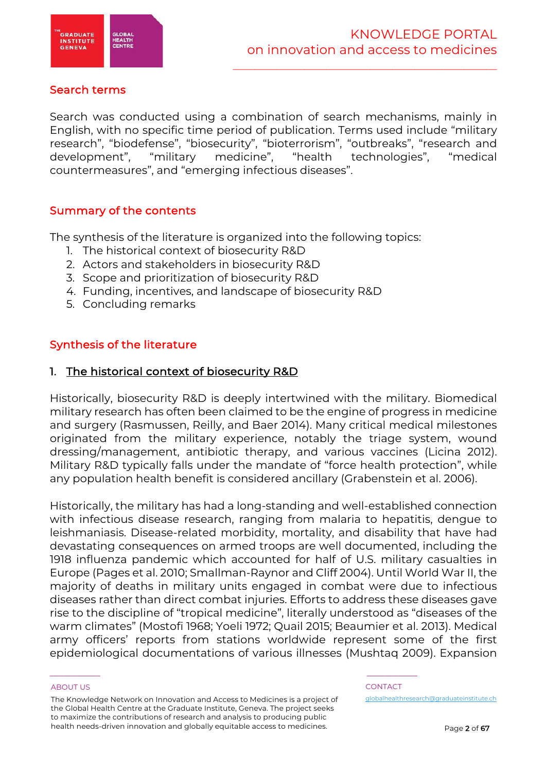

#### Search terms

Search was conducted using a combination of search mechanisms, mainly in English, with no specific time period of publication. Terms used include "military research", "biodefense", "biosecurity", "bioterrorism", "outbreaks", "research and development", "military medicine", "health technologies", "medical countermeasures", and "emerging infectious diseases".

#### Summary of the contents

The synthesis of the literature is organized into the following topics:

- 1. The historical context of biosecurity R&D
- 2. Actors and stakeholders in biosecurity R&D
- 3. Scope and prioritization of biosecurity R&D
- 4. Funding, incentives, and landscape of biosecurity R&D
- 5. Concluding remarks

# Synthesis of the literature

#### 1. The historical context of biosecurity R&D

Historically, biosecurity R&D is deeply intertwined with the military. Biomedical military research has often been claimed to be the engine of progress in medicine and surgery (Rasmussen, Reilly, and Baer 2014). Many critical medical milestones originated from the military experience, notably the triage system, wound dressing/management, antibiotic therapy, and various vaccines (Licina 2012). Military R&D typically falls under the mandate of "force health protection", while any population health benefit is considered ancillary (Grabenstein et al. 2006).

Historically, the military has had a long-standing and well-established connection with infectious disease research, ranging from malaria to hepatitis, dengue to leishmaniasis. Disease-related morbidity, mortality, and disability that have had devastating consequences on armed troops are well documented, including the 1918 influenza pandemic which accounted for half of U.S. military casualties in Europe (Pages et al. 2010; Smallman-Raynor and Cliff 2004). Until World War II, the majority of deaths in military units engaged in combat were due to infectious diseases rather than direct combat injuries. Efforts to address these diseases gave rise to the discipline of "tropical medicine", literally understood as "diseases of the warm climates" (Mostofi 1968; Yoeli 1972; Quail 2015; Beaumier et al. 2013). Medical army officers' reports from stations worldwide represent some of the first epidemiological documentations of various illnesses (Mushtaq 2009). Expansion

#### ABOUT US CONTACT AND RELEASED AT A RELEASED FOR THE RELEASED OF THE RELEASED OF THE RELEASED OF THE RELEASED OF THE RELEASED OF THE RELEASED OF THE RELEASED OF THE RELEASED OF THE RELEASED OF THE RELEASED OF THE RELEASED O

The Knowledge Network on Innovation and Access to Medicines is a project of the Global Health Centre at the Graduate Institute, Geneva. The project seeks to maximize the contributions of research and analysis to producing public health needs-driven innovation and globally equitable access to medicines.

\_\_\_\_\_\_\_\_\_\_\_ \_\_\_\_\_\_\_\_\_\_\_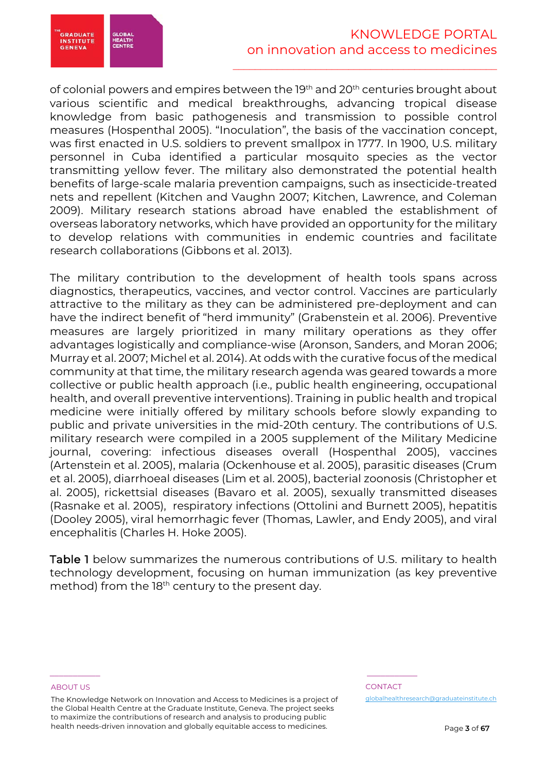

of colonial powers and empires between the 19<sup>th</sup> and 20<sup>th</sup> centuries brought about various scientific and medical breakthroughs, advancing tropical disease knowledge from basic pathogenesis and transmission to possible control measures (Hospenthal 2005). "Inoculation", the basis of the vaccination concept, was first enacted in U.S. soldiers to prevent smallpox in 1777. In 1900, U.S. military personnel in Cuba identified a particular mosquito species as the vector transmitting yellow fever. The military also demonstrated the potential health benefits of large-scale malaria prevention campaigns, such as insecticide-treated nets and repellent (Kitchen and Vaughn 2007; Kitchen, Lawrence, and Coleman 2009). Military research stations abroad have enabled the establishment of overseas laboratory networks, which have provided an opportunity for the military to develop relations with communities in endemic countries and facilitate research collaborations (Gibbons et al. 2013).

The military contribution to the development of health tools spans across diagnostics, therapeutics, vaccines, and vector control. Vaccines are particularly attractive to the military as they can be administered pre-deployment and can have the indirect benefit of "herd immunity" (Grabenstein et al. 2006). Preventive measures are largely prioritized in many military operations as they offer advantages logistically and compliance-wise (Aronson, Sanders, and Moran 2006; Murray et al. 2007; Michel et al. 2014). At odds with the curative focus of the medical community at that time, the military research agenda was geared towards a more collective or public health approach (i.e., public health engineering, occupational health, and overall preventive interventions). Training in public health and tropical medicine were initially offered by military schools before slowly expanding to public and private universities in the mid-20th century. The contributions of U.S. military research were compiled in a 2005 supplement of the Military Medicine journal, covering: infectious diseases overall (Hospenthal 2005), vaccines (Artenstein et al. 2005), malaria (Ockenhouse et al. 2005), parasitic diseases (Crum et al. 2005), diarrhoeal diseases (Lim et al. 2005), bacterial zoonosis (Christopher et al. 2005), rickettsial diseases (Bavaro et al. 2005), sexually transmitted diseases (Rasnake et al. 2005), respiratory infections (Ottolini and Burnett 2005), hepatitis (Dooley 2005), viral hemorrhagic fever (Thomas, Lawler, and Endy 2005), and viral encephalitis (Charles H. Hoke 2005).

Table 1 below summarizes the numerous contributions of U.S. military to health technology development, focusing on human immunization (as key preventive method) from the 18<sup>th</sup> century to the present day.

ABOUT US CONTACT AND RELEASED AT A RELEASED FOR THE RELEASED OF THE RELEASED OF THE RELEASED OF THE RELEASED OF THE RELEASED OF THE RELEASED OF THE RELEASED OF THE RELEASED OF THE RELEASED OF THE RELEASED OF THE RELEASED O

The Knowledge Network on Innovation and Access to Medicines is a project of the Global Health Centre at the Graduate Institute, Geneva. The project seeks to maximize the contributions of research and analysis to producing public health needs-driven innovation and globally equitable access to medicines.

\_\_\_\_\_\_\_\_\_\_\_ \_\_\_\_\_\_\_\_\_\_\_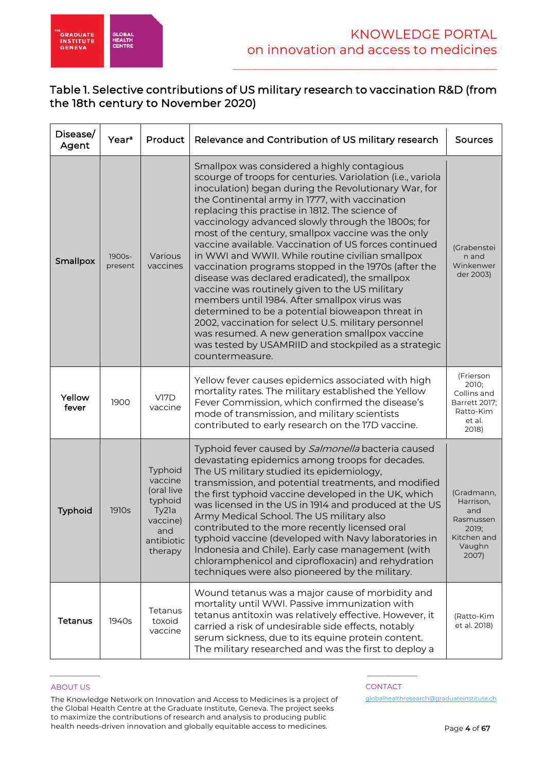

# Table 1. Selective contributions of US military research to vaccination R&D (from the 18th century to November 2020)

| Disease/<br>Agent | Year <sup>a</sup> | Product                                                                                          | Relevance and Contribution of US military research                                                                                                                                                                                                                                                                                                                                                                                                                                                                                                                                                                                                                                                                                                                                                                                                                                                                                                    | <b>Sources</b>                                                                         |
|-------------------|-------------------|--------------------------------------------------------------------------------------------------|-------------------------------------------------------------------------------------------------------------------------------------------------------------------------------------------------------------------------------------------------------------------------------------------------------------------------------------------------------------------------------------------------------------------------------------------------------------------------------------------------------------------------------------------------------------------------------------------------------------------------------------------------------------------------------------------------------------------------------------------------------------------------------------------------------------------------------------------------------------------------------------------------------------------------------------------------------|----------------------------------------------------------------------------------------|
| Smallpox          | 1900s-<br>present | Various<br>vaccines                                                                              | Smallpox was considered a highly contagious<br>scourge of troops for centuries. Variolation (i.e., variola<br>inoculation) began during the Revolutionary War, for<br>the Continental army in 1777, with vaccination<br>replacing this practise in 1812. The science of<br>vaccinology advanced slowly through the 1800s; for<br>most of the century, smallpox vaccine was the only<br>vaccine available. Vaccination of US forces continued<br>in WWI and WWII. While routine civilian smallpox<br>vaccination programs stopped in the 1970s (after the<br>disease was declared eradicated), the smallpox<br>vaccine was routinely given to the US military<br>members until 1984. After smallpox virus was<br>determined to be a potential bioweapon threat in<br>2002, vaccination for select U.S. military personnel<br>was resumed. A new generation smallpox vaccine<br>was tested by USAMRIID and stockpiled as a strategic<br>countermeasure. | (Grabenstei<br>n and<br>Winkenwer<br>der 2003)                                         |
| Yellow<br>fever   | 1900              | V17D<br>vaccine                                                                                  | Yellow fever causes epidemics associated with high<br>mortality rates. The military established the Yellow<br>Fever Commission, which confirmed the disease's<br>mode of transmission, and military scientists<br>contributed to early research on the I7D vaccine.                                                                                                                                                                                                                                                                                                                                                                                                                                                                                                                                                                                                                                                                                   | (Frierson<br>2010;<br>Collins and<br>Barrett 2017;<br>Ratto-Kim<br>et al.<br>2018)     |
| <b>Typhoid</b>    | 1910s             | Typhoid<br>vaccine<br>(oral live<br>typhoid<br>Ty21a<br>vaccine)<br>and<br>antibiotic<br>therapy | Typhoid fever caused by Salmonella bacteria caused<br>devastating epidemics among troops for decades.<br>The US military studied its epidemiology,<br>transmission, and potential treatments, and modified<br>the first typhoid vaccine developed in the UK, which<br>was licensed in the US in 1914 and produced at the US<br>Army Medical School. The US military also<br>contributed to the more recently licensed oral<br>typhoid vaccine (developed with Navy laboratories in<br>Indonesia and Chile). Early case management (with<br>chloramphenicol and ciprofloxacin) and rehydration<br>techniques were also pioneered by the military.                                                                                                                                                                                                                                                                                                      | (Gradmann,<br>Harrison,<br>and<br>Rasmussen<br>2019;<br>Kitchen and<br>Vaughn<br>2007) |
| Tetanus           | 1940s             | Tetanus<br>toxoid<br>vaccine                                                                     | Wound tetanus was a major cause of morbidity and<br>mortality until WWI. Passive immunization with<br>tetanus antitoxin was relatively effective. However, it<br>carried a risk of undesirable side effects, notably<br>serum sickness, due to its equine protein content.<br>The military researched and was the first to deploy a                                                                                                                                                                                                                                                                                                                                                                                                                                                                                                                                                                                                                   | (Ratto-Kim<br>et al. 2018)                                                             |

#### ABOUT US AND RESERVE THE RESERVE THAT IS A RESERVE TO A RESERVE THAT IS A RESERVE TO A RESERVE THAT IS A RESERVE TO A RESERVE THAT IS A RESERVE TO A RESERVE THAT IS A RESERVE TO A RESERVE THAT IS A RESERVE TO A RESERVE THA

The Knowledge Network on Innovation and Access to Medicines is a project of the Global Health Centre at the Graduate Institute, Geneva. The project seeks to maximize the contributions of research and analysis to producing public health needs-driven innovation and globally equitable access to medicines.

\_\_\_\_\_\_\_\_\_\_\_ \_\_\_\_\_\_\_\_\_\_\_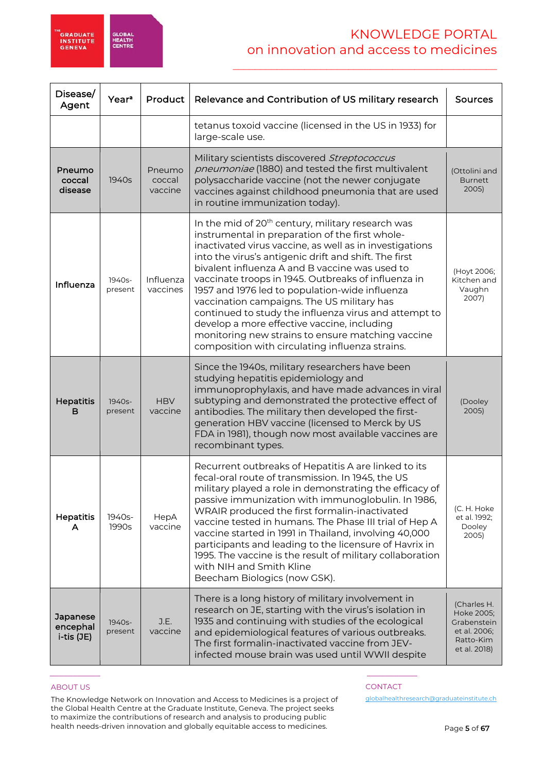| Disease/<br>Agent                     | Year <sup>a</sup> | Product                     | Relevance and Contribution of US military research                                                                                                                                                                                                                                                                                                                                                                                                                                                                                                                                                                                                            | <b>Sources</b>                                                                        |
|---------------------------------------|-------------------|-----------------------------|---------------------------------------------------------------------------------------------------------------------------------------------------------------------------------------------------------------------------------------------------------------------------------------------------------------------------------------------------------------------------------------------------------------------------------------------------------------------------------------------------------------------------------------------------------------------------------------------------------------------------------------------------------------|---------------------------------------------------------------------------------------|
|                                       |                   |                             | tetanus toxoid vaccine (licensed in the US in 1933) for<br>large-scale use.                                                                                                                                                                                                                                                                                                                                                                                                                                                                                                                                                                                   |                                                                                       |
| Pneumo<br>coccal<br>disease           | 1940s             | Pneumo<br>coccal<br>vaccine | Military scientists discovered Streptococcus<br>pneumoniae (1880) and tested the first multivalent<br>polysaccharide vaccine (not the newer conjugate<br>vaccines against childhood pneumonia that are used<br>in routine immunization today).                                                                                                                                                                                                                                                                                                                                                                                                                | (Ottolini and<br><b>Burnett</b><br>2005                                               |
| Influenza                             | 1940s-<br>present | Influenza<br>vaccines       | In the mid of 20 <sup>th</sup> century, military research was<br>instrumental in preparation of the first whole-<br>inactivated virus vaccine, as well as in investigations<br>into the virus's antigenic drift and shift. The first<br>bivalent influenza A and B vaccine was used to<br>vaccinate troops in 1945. Outbreaks of influenza in<br>1957 and 1976 led to population-wide influenza<br>vaccination campaigns. The US military has<br>continued to study the influenza virus and attempt to<br>develop a more effective vaccine, including<br>monitoring new strains to ensure matching vaccine<br>composition with circulating influenza strains. | (Hoyt 2006;<br>Kitchen and<br>Vaughn<br>2007)                                         |
| Hepatitis<br>в                        | 1940s-<br>present | <b>HBV</b><br>vaccine       | Since the 1940s, military researchers have been<br>studying hepatitis epidemiology and<br>immunoprophylaxis, and have made advances in viral<br>subtyping and demonstrated the protective effect of<br>antibodies. The military then developed the first-<br>generation HBV vaccine (licensed to Merck by US<br>FDA in 1981), though now most available vaccines are<br>recombinant types.                                                                                                                                                                                                                                                                    | (Dooley<br>2005)                                                                      |
| Hepatitis<br>A                        | 1940s-<br>1990s   | HepA<br>vaccine             | Recurrent outbreaks of Hepatitis A are linked to its<br>fecal-oral route of transmission. In 1945, the US<br>military played a role in demonstrating the efficacy of<br>passive immunization with immunoglobulin. In 1986,<br>WRAIR produced the first formalin-inactivated<br>vaccine tested in humans. The Phase III trial of Hep A<br>vaccine started in 1991 in Thailand, involving 40,000<br>participants and leading to the licensure of Havrix in<br>1995. The vaccine is the result of military collaboration<br>with NIH and Smith Kline<br>Beecham Biologics (now GSK).                                                                             | (C. H. Hoke<br>et al. 1992;<br>Dooley<br>2005)                                        |
| Japanese<br>encephal<br>$i$ -tis (JE) | 1940s-<br>present | J.E.<br>vaccine             | There is a long history of military involvement in<br>research on JE, starting with the virus's isolation in<br>1935 and continuing with studies of the ecological<br>and epidemiological features of various outbreaks.<br>The first formalin-inactivated vaccine from JEV-<br>infected mouse brain was used until WWII despite                                                                                                                                                                                                                                                                                                                              | (Charles H.<br>Hoke 2005;<br>Grabenstein<br>et al. 2006;<br>Ratto-Kim<br>et al. 2018) |

#### ABOUT US CONTACT AND A RESERVE AND LODGED AND LODGED AND LODGED AT A RESERVE AND LODGED AT A RESERVE AND LODGED AT A RESERVE AND LODGED AT A RESERVE AND LODGED AT A RESERVE AND LODGED AT A RESERVE AND LODGED AT A RESERVE A

"<br>GRADUATE<br>INSTITUTE<br>GENEVA

GLOBAL<br>HEALTH<br>CENTRE

The Knowledge Network on Innovation and Access to Medicines is a project of the Global Health Centre at the Graduate Institute, Geneva. The project seeks to maximize the contributions of research and analysis to producing public health needs-driven innovation and globally equitable access to medicines.

\_\_\_\_\_\_\_\_\_\_\_ \_\_\_\_\_\_\_\_\_\_\_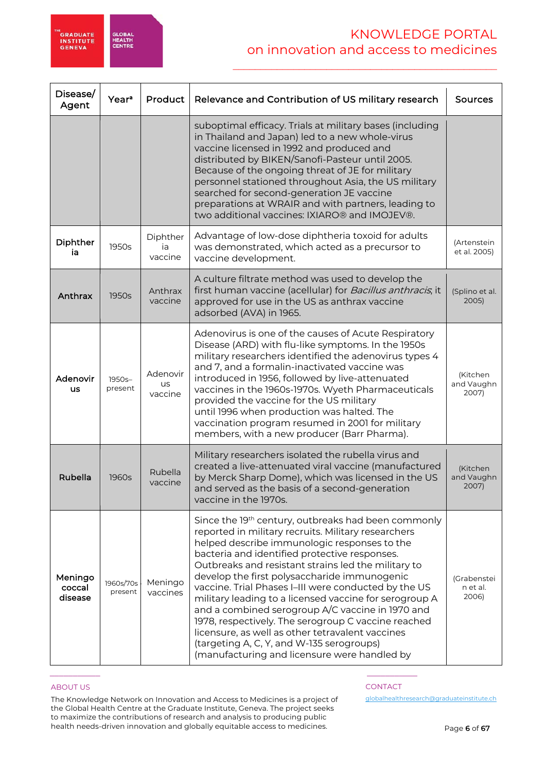| Disease/<br>Agent            | Year <sup>a</sup>    | Product                          | Relevance and Contribution of US military research                                                                                                                                                                                                                                                                                                                                                                                                                                                                                                                                                                                                                                               | Sources                          |
|------------------------------|----------------------|----------------------------------|--------------------------------------------------------------------------------------------------------------------------------------------------------------------------------------------------------------------------------------------------------------------------------------------------------------------------------------------------------------------------------------------------------------------------------------------------------------------------------------------------------------------------------------------------------------------------------------------------------------------------------------------------------------------------------------------------|----------------------------------|
|                              |                      |                                  | suboptimal efficacy. Trials at military bases (including<br>in Thailand and Japan) led to a new whole-virus<br>vaccine licensed in 1992 and produced and<br>distributed by BIKEN/Sanofi-Pasteur until 2005.<br>Because of the ongoing threat of JE for military<br>personnel stationed throughout Asia, the US military<br>searched for second-generation JE vaccine<br>preparations at WRAIR and with partners, leading to<br>two additional vaccines: IXIARO® and IMOJEV®.                                                                                                                                                                                                                     |                                  |
| Diphther<br>ia               | 1950s                | Diphther<br>ia<br>vaccine        | Advantage of low-dose diphtheria toxoid for adults<br>was demonstrated, which acted as a precursor to<br>vaccine development.                                                                                                                                                                                                                                                                                                                                                                                                                                                                                                                                                                    | (Artenstein<br>et al. 2005)      |
| Anthrax                      | 1950s                | Anthrax<br>vaccine               | A culture filtrate method was used to develop the<br>first human vaccine (acellular) for Bacillus anthracis, it<br>approved for use in the US as anthrax vaccine<br>adsorbed (AVA) in 1965.                                                                                                                                                                                                                                                                                                                                                                                                                                                                                                      | (Splino et al.<br>2005)          |
| Adenovir<br><b>US</b>        | 1950s-<br>present    | Adenovir<br><b>US</b><br>vaccine | Adenovirus is one of the causes of Acute Respiratory<br>Disease (ARD) with flu-like symptoms. In the 1950s<br>military researchers identified the adenovirus types 4<br>and 7, and a formalin-inactivated vaccine was<br>introduced in 1956, followed by live-attenuated<br>vaccines in the 1960s-1970s. Wyeth Pharmaceuticals<br>provided the vaccine for the US military<br>until 1996 when production was halted. The<br>vaccination program resumed in 2001 for military<br>members, with a new producer (Barr Pharma).                                                                                                                                                                      | (Kitchen<br>and Vaughn<br>2007)  |
| Rubella                      | 1960s                | Rubella<br>vaccine               | Military researchers isolated the rubella virus and<br>created a live-attenuated viral vaccine (manufactured<br>by Merck Sharp Dome), which was licensed in the US<br>and served as the basis of a second-generation<br>vaccine in the 1970s.                                                                                                                                                                                                                                                                                                                                                                                                                                                    | (Kitchen<br>and Vaughn<br>2007)  |
| Meningo<br>coccal<br>disease | 1960s/70s<br>present | Meningo<br>vaccines              | Since the 19th century, outbreaks had been commonly<br>reported in military recruits. Military researchers<br>helped describe immunologic responses to the<br>bacteria and identified protective responses.<br>Outbreaks and resistant strains led the military to<br>develop the first polysaccharide immunogenic<br>vaccine. Trial Phases I-III were conducted by the US<br>military leading to a licensed vaccine for serogroup A<br>and a combined serogroup A/C vaccine in 1970 and<br>1978, respectively. The serogroup C vaccine reached<br>licensure, as well as other tetravalent vaccines<br>(targeting A, C, Y, and W-135 serogroups)<br>(manufacturing and licensure were handled by | (Grabenstei<br>n et al.<br>2006) |

#### ABOUT US AND RESERVE THE RESERVE THAT IS A RESERVE TO A RESERVE THAT IS A RESERVE TO A RESERVE THAT IS A RESERVE TO A RESERVE THAT IS A RESERVE TO A RESERVE THAT IS A RESERVE TO A RESERVE THAT IS A RESERVE TO A RESERVE THA

"<br>GRADUATE<br>INSTITUTE<br>GENEVA

GLOBAL<br>HEALTH<br>CENTRE

The Knowledge Network on Innovation and Access to Medicines is a project of the Global Health Centre at the Graduate Institute, Geneva. The project seeks to maximize the contributions of research and analysis to producing public health needs-driven innovation and globally equitable access to medicines.

\_\_\_\_\_\_\_\_\_\_\_ \_\_\_\_\_\_\_\_\_\_\_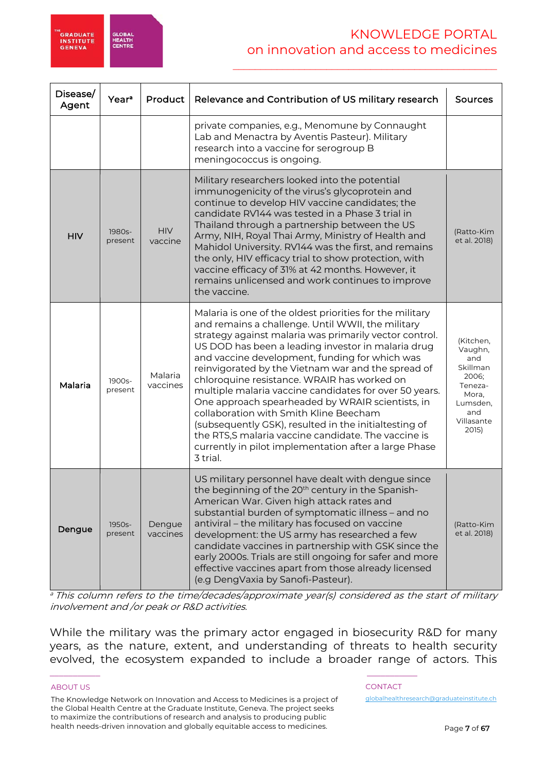

| Disease/<br>Agent | Year <sup>a</sup> | Product               | Relevance and Contribution of US military research                                                                                                                                                                                                                                                                                                                                                                                                                                                                                                                                                                                                                                                                                | Sources                                                                                                        |
|-------------------|-------------------|-----------------------|-----------------------------------------------------------------------------------------------------------------------------------------------------------------------------------------------------------------------------------------------------------------------------------------------------------------------------------------------------------------------------------------------------------------------------------------------------------------------------------------------------------------------------------------------------------------------------------------------------------------------------------------------------------------------------------------------------------------------------------|----------------------------------------------------------------------------------------------------------------|
|                   |                   |                       | private companies, e.g., Menomune by Connaught<br>Lab and Menactra by Aventis Pasteur). Military<br>research into a vaccine for serogroup B<br>meningococcus is ongoing.                                                                                                                                                                                                                                                                                                                                                                                                                                                                                                                                                          |                                                                                                                |
| <b>HIV</b>        | 1980s-<br>present | <b>HIV</b><br>vaccine | Military researchers looked into the potential<br>immunogenicity of the virus's glycoprotein and<br>continue to develop HIV vaccine candidates; the<br>candidate RV144 was tested in a Phase 3 trial in<br>Thailand through a partnership between the US<br>Army, NIH, Royal Thai Army, Ministry of Health and<br>Mahidol University. RV144 was the first, and remains<br>the only, HIV efficacy trial to show protection, with<br>vaccine efficacy of 31% at 42 months. However, it<br>remains unlicensed and work continues to improve<br>the vaccine.                                                                                                                                                                          | (Ratto-Kim<br>et al. 2018)                                                                                     |
| Malaria           | 1900s-<br>present | Malaria<br>vaccines   | Malaria is one of the oldest priorities for the military<br>and remains a challenge. Until WWII, the military<br>strategy against malaria was primarily vector control.<br>US DOD has been a leading investor in malaria drug<br>and vaccine development, funding for which was<br>reinvigorated by the Vietnam war and the spread of<br>chloroquine resistance. WRAIR has worked on<br>multiple malaria vaccine candidates for over 50 years.<br>One approach spearheaded by WRAIR scientists, in<br>collaboration with Smith Kline Beecham<br>(subsequently GSK), resulted in the initialtesting of<br>the RTS,S malaria vaccine candidate. The vaccine is<br>currently in pilot implementation after a large Phase<br>3 trial. | (Kitchen,<br>Vaughn,<br>and<br>Skillman<br>2006;<br>Teneza-<br>Mora,<br>Lumsden,<br>and<br>Villasante<br>2015) |
| Dengue            | 1950s-<br>present | Dengue<br>vaccines    | US military personnel have dealt with dengue since<br>the beginning of the 20 <sup>th</sup> century in the Spanish-<br>American War. Given high attack rates and<br>substantial burden of symptomatic illness - and no<br>antiviral - the military has focused on vaccine<br>development: the US army has researched a few<br>candidate vaccines in partnership with GSK since the<br>early 2000s. Trials are still ongoing for safer and more<br>effective vaccines apart from those already licensed<br>(e.g DengVaxia by Sanofi-Pasteur).                                                                                                                                                                                      | (Ratto-Kim<br>et al. 2018)                                                                                     |

<sup>a</sup> This column refers to the time/decades/approximate year(s) considered as the start of military involvement and /or peak or R&D activities.

While the military was the primary actor engaged in biosecurity R&D for many years, as the nature, extent, and understanding of threats to health security evolved, the ecosystem expanded to include a broader range of actors. This

\_\_\_\_\_\_\_\_\_\_\_ \_\_\_\_\_\_\_\_\_\_\_

#### ABOUT US AND RESERVE THE RESERVE THAT IS A RESERVE TO A RESERVE THAT IS A RESERVE TO A RESERVE THAT IS A RESERVE TO A RESERVE THAT IS A RESERVE TO A RESERVE THAT IS A RESERVE TO A RESERVE THAT IS A RESERVE TO A RESERVE THA

The Knowledge Network on Innovation and Access to Medicines is a project of the Global Health Centre at the Graduate Institute, Geneva. The project seeks to maximize the contributions of research and analysis to producing public health needs-driven innovation and globally equitable access to medicines.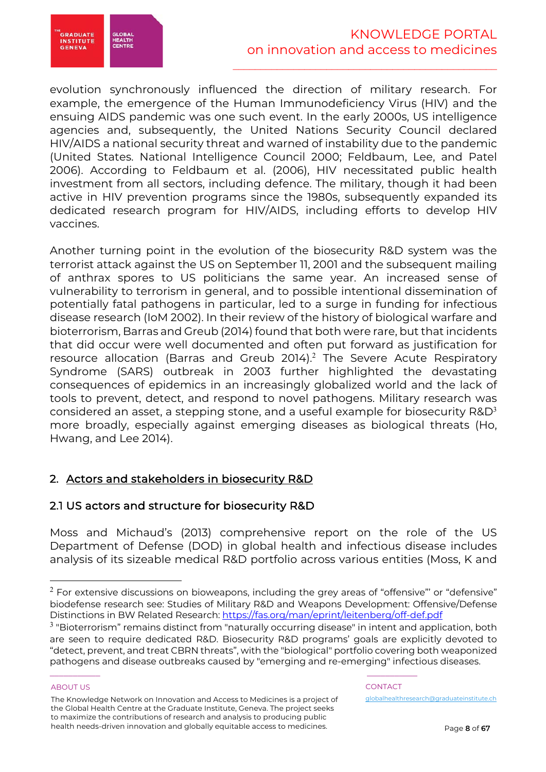

evolution synchronously influenced the direction of military research. For example, the emergence of the Human Immunodeficiency Virus (HIV) and the ensuing AIDS pandemic was one such event. In the early 2000s, US intelligence agencies and, subsequently, the United Nations Security Council declared HIV/AIDS a national security threat and warned of instability due to the pandemic (United States. National Intelligence Council 2000; Feldbaum, Lee, and Patel 2006). According to Feldbaum et al. (2006), HIV necessitated public health investment from all sectors, including defence. The military, though it had been active in HIV prevention programs since the 1980s, subsequently expanded its dedicated research program for HIV/AIDS, including efforts to develop HIV vaccines.

Another turning point in the evolution of the biosecurity R&D system was the terrorist attack against the US on September 11, 2001 and the subsequent mailing of anthrax spores to US politicians the same year. An increased sense of vulnerability to terrorism in general, and to possible intentional dissemination of potentially fatal pathogens in particular, led to a surge in funding for infectious disease research (IoM 2002). In their review of the history of biological warfare and bioterrorism, Barras and Greub (2014) found that both were rare, but that incidents that did occur were well documented and often put forward as justification for resource allocation (Barras and Greub 2014). <sup>2</sup> The Severe Acute Respiratory Syndrome (SARS) outbreak in 2003 further highlighted the devastating consequences of epidemics in an increasingly globalized world and the lack of tools to prevent, detect, and respond to novel pathogens. Military research was considered an asset, a stepping stone, and a useful example for biosecurity  $R&D<sup>3</sup>$ more broadly, especially against emerging diseases as biological threats (Ho, Hwang, and Lee 2014).

# 2. Actors and stakeholders in biosecurity R&D

# 2.1 US actors and structure for biosecurity R&D

Moss and Michaud's (2013) comprehensive report on the role of the US Department of Defense (DOD) in global health and infectious disease includes analysis of its sizeable medical R&D portfolio across various entities (Moss, K and

#### ABOUT US CONTACT AND RELEASED AT A RELEASED FOR THE RELEASED OF THE RELEASED OF THE RELEASED OF THE RELEASED OF THE RELEASED OF THE RELEASED OF THE RELEASED OF THE RELEASED OF THE RELEASED OF THE RELEASED OF THE RELEASED O

The Knowledge Network on Innovation and Access to Medicines is a project of the Global Health Centre at the Graduate Institute, Geneva. The project seeks to maximize the contributions of research and analysis to producing public health needs-driven innovation and globally equitable access to medicines.

\_\_\_\_\_\_\_\_\_\_\_ \_\_\_\_\_\_\_\_\_\_\_

 $2$  For extensive discussions on bioweapons, including the grey areas of "offensive"' or "defensive" biodefense research see: Studies of Military R&D and Weapons Development: Offensive/Defense Distinctions in BW Related Research: https://fas.org/man/eprint/leitenberg/off-def.pdf

<sup>&</sup>lt;sup>3</sup> "Bioterrorism" remains distinct from "naturally occurring disease" in intent and application, both are seen to require dedicated R&D. Biosecurity R&D programs' goals are explicitly devoted to "detect, prevent, and treat CBRN threats", with the "biological" portfolio covering both weaponized pathogens and disease outbreaks caused by "emerging and re-emerging" infectious diseases.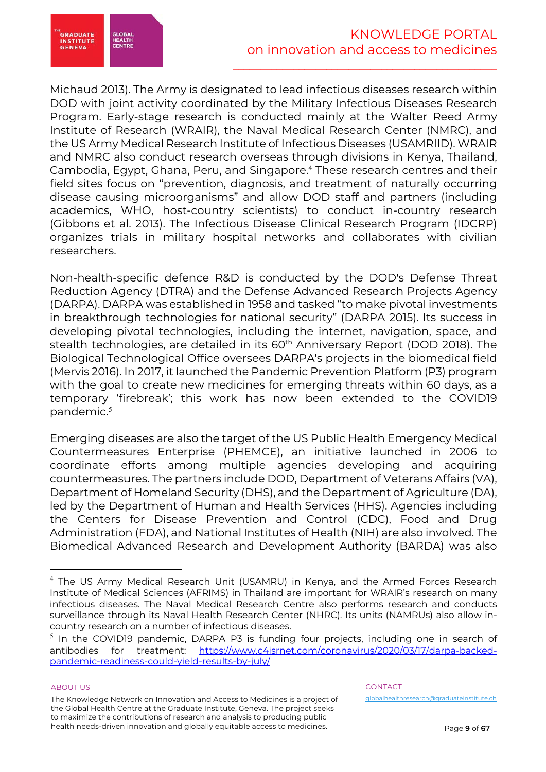

Michaud 2013). The Army is designated to lead infectious diseases research within DOD with joint activity coordinated by the Military Infectious Diseases Research Program. Early-stage research is conducted mainly at the Walter Reed Army Institute of Research (WRAIR), the Naval Medical Research Center (NMRC), and the US Army Medical Research Institute of Infectious Diseases (USAMRIID). WRAIR and NMRC also conduct research overseas through divisions in Kenya, Thailand, Cambodia, Egypt, Ghana, Peru, and Singapore. <sup>4</sup> These research centres and their field sites focus on "prevention, diagnosis, and treatment of naturally occurring disease causing microorganisms" and allow DOD staff and partners (including academics, WHO, host-country scientists) to conduct in-country research (Gibbons et al. 2013). The Infectious Disease Clinical Research Program (IDCRP) organizes trials in military hospital networks and collaborates with civilian researchers.

Non-health-specific defence R&D is conducted by the DOD's Defense Threat Reduction Agency (DTRA) and the Defense Advanced Research Projects Agency (DARPA). DARPA was established in 1958 and tasked "to make pivotal investments in breakthrough technologies for national security" (DARPA 2015). Its success in developing pivotal technologies, including the internet, navigation, space, and stealth technologies, are detailed in its 60<sup>th</sup> Anniversary Report (DOD 2018). The Biological Technological Office oversees DARPA's projects in the biomedical field (Mervis 2016). In 2017, it launched the Pandemic Prevention Platform (P3) program with the goal to create new medicines for emerging threats within 60 days, as a temporary 'firebreak'; this work has now been extended to the COVID19 pandemic. 5

Emerging diseases are also the target of the US Public Health Emergency Medical Countermeasures Enterprise (PHEMCE), an initiative launched in 2006 to coordinate efforts among multiple agencies developing and acquiring countermeasures. The partners include DOD, Department of Veterans Affairs (VA), Department of Homeland Security (DHS), and the Department of Agriculture (DA), led by the Department of Human and Health Services (HHS). Agencies including the Centers for Disease Prevention and Control (CDC), Food and Drug Administration (FDA), and National Institutes of Health (NIH) are also involved. The Biomedical Advanced Research and Development Authority (BARDA) was also

\_\_\_\_\_\_\_\_\_\_\_ \_\_\_\_\_\_\_\_\_\_\_

#### ABOUT US CONTACT AND RELEASED AT A RELEASED FOR THE RELEASED OF THE RELEASED OF THE RELEASED OF THE RELEASED OF THE RELEASED OF THE RELEASED OF THE RELEASED OF THE RELEASED OF THE RELEASED OF THE RELEASED OF THE RELEASED O

<sup>&</sup>lt;sup>4</sup> The US Army Medical Research Unit (USAMRU) in Kenya, and the Armed Forces Research Institute of Medical Sciences (AFRIMS) in Thailand are important for WRAIR's research on many infectious diseases. The Naval Medical Research Centre also performs research and conducts surveillance through its Naval Health Research Center (NHRC). Its units (NAMRUs) also allow incountry research on a number of infectious diseases.

 $<sup>5</sup>$  In the COVID19 pandemic, DARPA P3 is funding four projects, including one in search of</sup> antibodies for treatment: https://www.c4isrnet.com/coronavirus/2020/03/17/darpa-backedpandemic-readiness-could-yield-results-by-july/

The Knowledge Network on Innovation and Access to Medicines is a project of the Global Health Centre at the Graduate Institute, Geneva. The project seeks to maximize the contributions of research and analysis to producing public health needs-driven innovation and globally equitable access to medicines.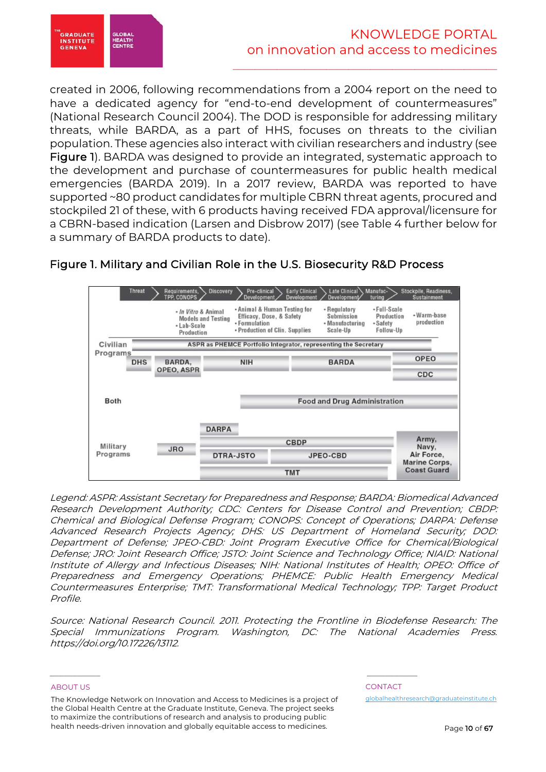

created in 2006, following recommendations from a 2004 report on the need to have a dedicated agency for "end-to-end development of countermeasures" (National Research Council 2004). The DOD is responsible for addressing military threats, while BARDA, as a part of HHS, focuses on threats to the civilian population. These agencies also interact with civilian researchers and industry (see Figure 1). BARDA was designed to provide an integrated, systematic approach to the development and purchase of countermeasures for public health medical emergencies (BARDA 2019). In a 2017 review, BARDA was reported to have supported ~80 product candidates for multiple CBRN threat agents, procured and stockpiled 21 of these, with 6 products having received FDA approval/licensure for a CBRN-based indication (Larsen and Disbrow 2017) (see Table 4 further below for a summary of BARDA products to date).



# Figure 1. Military and Civilian Role in the U.S. Biosecurity R&D Process

Legend: ASPR: Assistant Secretary for Preparedness and Response; BARDA: Biomedical Advanced Research Development Authority; CDC: Centers for Disease Control and Prevention; CBDP: Chemical and Biological Defense Program; CONOPS: Concept of Operations; DARPA: Defense Advanced Research Projects Agency; DHS: US Department of Homeland Security; DOD: Department of Defense; JPEO-CBD: Joint Program Executive Office for Chemical/Biological Defense; JRO: Joint Research Office; JSTO: Joint Science and Technology Office; NIAID: National Institute of Allergy and Infectious Diseases; NIH: National Institutes of Health; OPEO: Office of Preparedness and Emergency Operations; PHEMCE: Public Health Emergency Medical Countermeasures Enterprise; TMT: Transformational Medical Technology; TPP: Target Product Profile.

Source: National Research Council. 2011. Protecting the Frontline in Biodefense Research: The Special Immunizations Program. Washington, DC: The National Academies Press. https://doi.org/10.17226/13112.

The Knowledge Network on Innovation and Access to Medicines is a project of the Global Health Centre at the Graduate Institute, Geneva. The project seeks to maximize the contributions of research and analysis to producing public health needs-driven innovation and globally equitable access to medicines.

\_\_\_\_\_\_\_\_\_\_\_ \_\_\_\_\_\_\_\_\_\_\_

ABOUT US CONTACT AND RELEASED AT A RELEASED FOR THE RELEASED OF THE RELEASED OF THE RELEASED OF THE RELEASED OF THE RELEASED OF THE RELEASED OF THE RELEASED OF THE RELEASED OF THE RELEASED OF THE RELEASED OF THE RELEASED O globalhealthresearch@graduateinstitute.ch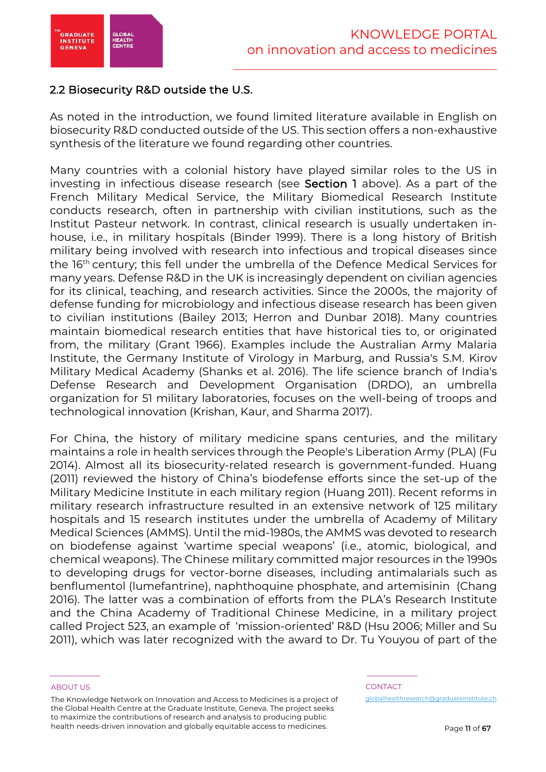

# 2.2 Biosecurity R&D outside the U.S.

As noted in the introduction, we found limited literature available in English on biosecurity R&D conducted outside of the US. This section offers a non-exhaustive synthesis of the literature we found regarding other countries.

Many countries with a colonial history have played similar roles to the US in investing in infectious disease research (see Section 1 above). As a part of the French Military Medical Service, the Military Biomedical Research Institute conducts research, often in partnership with civilian institutions, such as the Institut Pasteur network. In contrast, clinical research is usually undertaken inhouse, i.e., in military hospitals (Binder 1999). There is a long history of British military being involved with research into infectious and tropical diseases since the 16<sup>th</sup> century; this fell under the umbrella of the Defence Medical Services for many years. Defense R&D in the UK is increasingly dependent on civilian agencies for its clinical, teaching, and research activities. Since the 2000s, the majority of defense funding for microbiology and infectious disease research has been given to civilian institutions (Bailey 2013; Herron and Dunbar 2018). Many countries maintain biomedical research entities that have historical ties to, or originated from, the military (Grant 1966). Examples include the Australian Army Malaria Institute, the Germany Institute of Virology in Marburg, and Russia's S.M. Kirov Military Medical Academy (Shanks et al. 2016). The life science branch of India's Defense Research and Development Organisation (DRDO), an umbrella organization for 51 military laboratories, focuses on the well-being of troops and technological innovation (Krishan, Kaur, and Sharma 2017).

For China, the history of military medicine spans centuries, and the military maintains a role in health services through the People's Liberation Army (PLA) (Fu 2014). Almost all its biosecurity-related research is government-funded. Huang (2011) reviewed the history of China's biodefense efforts since the set-up of the Military Medicine Institute in each military region (Huang 2011). Recent reforms in military research infrastructure resulted in an extensive network of 125 military hospitals and 15 research institutes under the umbrella of Academy of Military Medical Sciences (AMMS). Until the mid-1980s, the AMMS was devoted to research on biodefense against 'wartime special weapons' (i.e., atomic, biological, and chemical weapons). The Chinese military committed major resources in the 1990s to developing drugs for vector-borne diseases, including antimalarials such as benflumentol (lumefantrine), naphthoquine phosphate, and artemisinin (Chang 2016). The latter was a combination of efforts from the PLA's Research Institute and the China Academy of Traditional Chinese Medicine, in a military project called Project 523, an example of 'mission-oriented' R&D (Hsu 2006; Miller and Su 2011), which was later recognized with the award to Dr. Tu Youyou of part of the

#### ABOUT US CONTACT AND RELEASED AT A RELEASED FOR THE RELEASED OF THE RELEASED OF THE RELEASED OF THE RELEASED OF THE RELEASED OF THE RELEASED OF THE RELEASED OF THE RELEASED OF THE RELEASED OF THE RELEASED OF THE RELEASED O

The Knowledge Network on Innovation and Access to Medicines is a project of the Global Health Centre at the Graduate Institute, Geneva. The project seeks to maximize the contributions of research and analysis to producing public health needs-driven innovation and globally equitable access to medicines.

\_\_\_\_\_\_\_\_\_\_\_ \_\_\_\_\_\_\_\_\_\_\_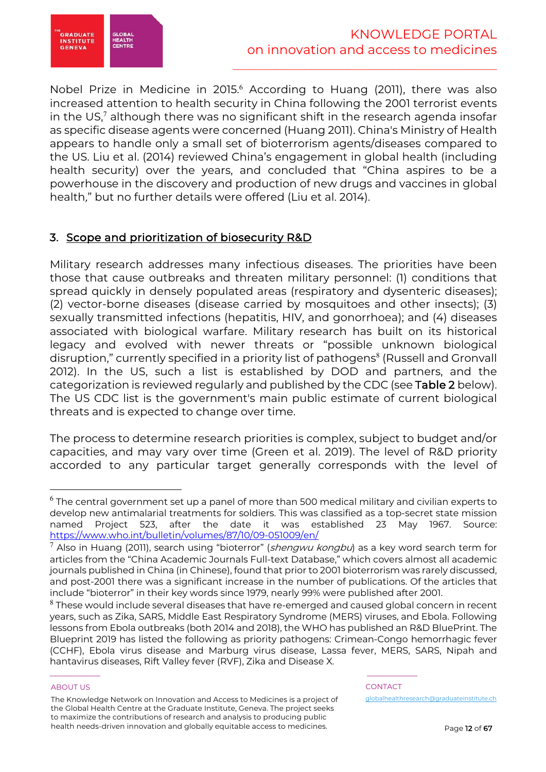

Nobel Prize in Medicine in 2015. <sup>6</sup> According to Huang (2011), there was also increased attention to health security in China following the 2001 terrorist events in the US, <sup>7</sup> although there was no significant shift in the research agenda insofar as specific disease agents were concerned (Huang 2011). China's Ministry of Health appears to handle only a small set of bioterrorism agents/diseases compared to the US. Liu et al. (2014) reviewed China's engagement in global health (including health security) over the years, and concluded that "China aspires to be a powerhouse in the discovery and production of new drugs and vaccines in global health," but no further details were offered (Liu et al. 2014).

# 3. Scope and prioritization of biosecurity R&D

Military research addresses many infectious diseases. The priorities have been those that cause outbreaks and threaten military personnel: (1) conditions that spread quickly in densely populated areas (respiratory and dysenteric diseases); (2) vector-borne diseases (disease carried by mosquitoes and other insects); (3) sexually transmitted infections (hepatitis, HIV, and gonorrhoea); and (4) diseases associated with biological warfare. Military research has built on its historical legacy and evolved with newer threats or "possible unknown biological disruption," currently specified in a priority list of pathogens<sup>8</sup> (Russell and Gronvall 2012). In the US, such a list is established by DOD and partners, and the categorization is reviewed regularly and published by the CDC (see Table 2 below). The US CDC list is the government's main public estimate of current biological threats and is expected to change over time.

The process to determine research priorities is complex, subject to budget and/or capacities, and may vary over time (Green et al. 2019). The level of R&D priority accorded to any particular target generally corresponds with the level of

#### ABOUT US CONTACT AND RELEASED AT A RELEASED FOR THE RELEASED OF THE RELEASED OF THE RELEASED OF THE RELEASED OF THE RELEASED OF THE RELEASED OF THE RELEASED OF THE RELEASED OF THE RELEASED OF THE RELEASED OF THE RELEASED O

\_\_\_\_\_\_\_\_\_\_\_ \_\_\_\_\_\_\_\_\_\_\_

 $6$  The central government set up a panel of more than 500 medical military and civilian experts to develop new antimalarial treatments for soldiers. This was classified as a top-secret state mission named Project 523, after the date it was established 23 May 1967. Source: https://www.who.int/bulletin/volumes/87/10/09-051009/en/

 $^7$  Also in Huang (2011), search using "bioterror" (shengwu kongbu) as a key word search term for articles from the "China Academic Journals Full-text Database," which covers almost all academic journals published in China (in Chinese), found that prior to 2001 bioterrorism was rarely discussed, and post-2001 there was a significant increase in the number of publications. Of the articles that include "bioterror" in their key words since 1979, nearly 99% were published after 2001.

 $8$  These would include several diseases that have re-emerged and caused global concern in recent years, such as Zika, SARS, Middle East Respiratory Syndrome (MERS) viruses, and Ebola. Following lessons from Ebola outbreaks (both 2014 and 2018), the WHO has published an R&D BluePrint. The Blueprint 2019 has listed the following as priority pathogens: Crimean-Congo hemorrhagic fever (CCHF), Ebola virus disease and Marburg virus disease, Lassa fever, MERS, SARS, Nipah and hantavirus diseases, Rift Valley fever (RVF), Zika and Disease X.

The Knowledge Network on Innovation and Access to Medicines is a project of the Global Health Centre at the Graduate Institute, Geneva. The project seeks to maximize the contributions of research and analysis to producing public health needs-driven innovation and globally equitable access to medicines.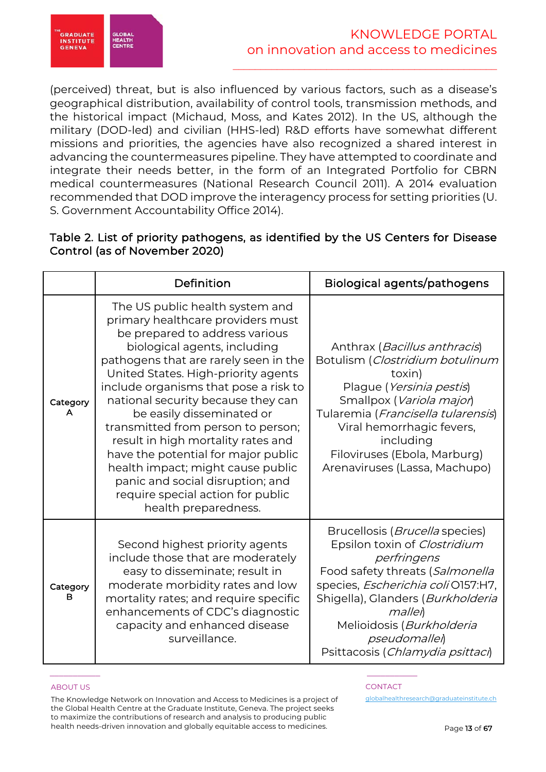

(perceived) threat, but is also influenced by various factors, such as a disease's geographical distribution, availability of control tools, transmission methods, and the historical impact (Michaud, Moss, and Kates 2012). In the US, although the military (DOD-led) and civilian (HHS-led) R&D efforts have somewhat different missions and priorities, the agencies have also recognized a shared interest in advancing the countermeasures pipeline. They have attempted to coordinate and integrate their needs better, in the form of an Integrated Portfolio for CBRN medical countermeasures (National Research Council 2011). A 2014 evaluation recommended that DOD improve the interagency process for setting priorities (U. S. Government Accountability Office 2014).

| Table 2. List of priority pathogens, as identified by the US Centers for Disease |  |  |
|----------------------------------------------------------------------------------|--|--|
| Control (as of November 2020)                                                    |  |  |

|               | Definition                                                                                                                                                                                                                                                                                                                                                                                                                                                                                                                                                                                  | Biological agents/pathogens                                                                                                                                                                                                                                                                     |
|---------------|---------------------------------------------------------------------------------------------------------------------------------------------------------------------------------------------------------------------------------------------------------------------------------------------------------------------------------------------------------------------------------------------------------------------------------------------------------------------------------------------------------------------------------------------------------------------------------------------|-------------------------------------------------------------------------------------------------------------------------------------------------------------------------------------------------------------------------------------------------------------------------------------------------|
| Category<br>А | The US public health system and<br>primary healthcare providers must<br>be prepared to address various<br>biological agents, including<br>pathogens that are rarely seen in the<br>United States. High-priority agents<br>include organisms that pose a risk to<br>national security because they can<br>be easily disseminated or<br>transmitted from person to person;<br>result in high mortality rates and<br>have the potential for major public<br>health impact; might cause public<br>panic and social disruption; and<br>require special action for public<br>health preparedness. | Anthrax (Bacillus anthracis)<br>Botulism (Clostridium botulinum<br>toxin)<br>Plague (Yersinia pestis)<br>Smallpox (Variola major)<br>Tularemia (Francisella tularensis)<br>Viral hemorrhagic fevers,<br>including<br>Filoviruses (Ebola, Marburg)<br>Arenaviruses (Lassa, Machupo)              |
| Category<br>в | Second highest priority agents<br>include those that are moderately<br>easy to disseminate; result in<br>moderate morbidity rates and low<br>mortality rates; and require specific<br>enhancements of CDC's diagnostic<br>capacity and enhanced disease<br>surveillance.                                                                                                                                                                                                                                                                                                                    | Brucellosis ( <i>Brucella</i> species)<br>Epsilon toxin of Clostridium<br>perfringens<br>Food safety threats (Salmonella<br>species, Escherichia coli O157:H7,<br>Shigella), Glanders (Burkholderia<br>mallei<br>Melioidosis (Burkholderia<br>pseudomallei)<br>Psittacosis (Chlamydia psittaci) |

#### ABOUT US CONTACT AND RELEASED AT A RELEASED FOR THE RELEASED OF THE RELEASED OF THE RELEASED OF THE RELEASED OF THE RELEASED OF THE RELEASED OF THE RELEASED OF THE RELEASED OF THE RELEASED OF THE RELEASED OF THE RELEASED O

The Knowledge Network on Innovation and Access to Medicines is a project of the Global Health Centre at the Graduate Institute, Geneva. The project seeks to maximize the contributions of research and analysis to producing public health needs-driven innovation and globally equitable access to medicines.

\_\_\_\_\_\_\_\_\_\_\_ \_\_\_\_\_\_\_\_\_\_\_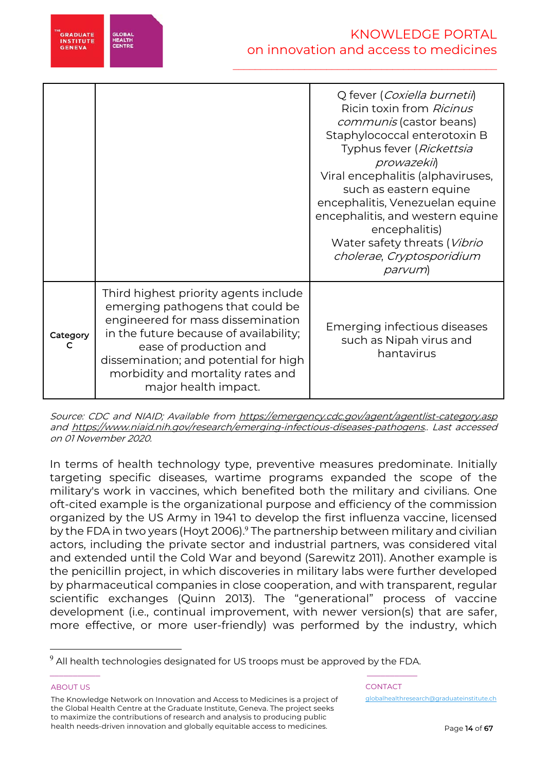**GRADUATE INSTITUTE**<br>GENEVA **GLOBAL**<br>HEALTH

CENTRE

|               |                                                                                                                                                                                                                                                                                          | Q fever (Coxiella burnetii)<br>Ricin toxin from <i>Ricinus</i><br><i>communis</i> (castor beans)<br>Staphylococcal enterotoxin B<br>Typhus fever (Rickettsia<br>prowazekii)<br>Viral encephalitis (alphaviruses,<br>such as eastern equine<br>encephalitis, Venezuelan equine<br>encephalitis, and western equine<br>encephalitis)<br>Water safety threats (Vibrio<br>cholerae, Cryptosporidium<br>parvum) |
|---------------|------------------------------------------------------------------------------------------------------------------------------------------------------------------------------------------------------------------------------------------------------------------------------------------|------------------------------------------------------------------------------------------------------------------------------------------------------------------------------------------------------------------------------------------------------------------------------------------------------------------------------------------------------------------------------------------------------------|
| Category<br>С | Third highest priority agents include<br>emerging pathogens that could be<br>engineered for mass dissemination<br>in the future because of availability;<br>ease of production and<br>dissemination; and potential for high<br>morbidity and mortality rates and<br>major health impact. | Emerging infectious diseases<br>such as Nipah virus and<br>hantavirus                                                                                                                                                                                                                                                                                                                                      |

Source: CDC and NIAID; Available from https://emergency.cdc.gov/agent/agentlist-category.asp and https://www.niaid.nih.gov/research/emerging-infectious-diseases-pathogens.. Last accessed on 01 November 2020.

In terms of health technology type, preventive measures predominate. Initially targeting specific diseases, wartime programs expanded the scope of the military's work in vaccines, which benefited both the military and civilians. One oft-cited example is the organizational purpose and efficiency of the commission organized by the US Army in 1941 to develop the first influenza vaccine, licensed by the FDA in two years (Hoyt 2006).<sup>9</sup> The partnership between military and civilian actors, including the private sector and industrial partners, was considered vital and extended until the Cold War and beyond (Sarewitz 2011). Another example is the penicillin project, in which discoveries in military labs were further developed by pharmaceutical companies in close cooperation, and with transparent, regular scientific exchanges (Quinn 2013). The "generational" process of vaccine development (i.e., continual improvement, with newer version(s) that are safer, more effective, or more user-friendly) was performed by the industry, which

The Knowledge Network on Innovation and Access to Medicines is a project of the Global Health Centre at the Graduate Institute, Geneva. The project seeks to maximize the contributions of research and analysis to producing public health needs-driven innovation and globally equitable access to medicines.

ABOUT US CONTACT AND RELEASED AT A RELEASED FOR THE RELEASED OF THE RELEASED OF THE RELEASED OF THE RELEASED OF THE RELEASED OF THE RELEASED OF THE RELEASED OF THE RELEASED OF THE RELEASED OF THE RELEASED OF THE RELEASED O globalhealthresearch@graduateinstitute.ch

\_\_\_\_\_\_\_\_\_\_\_ \_\_\_\_\_\_\_\_\_\_\_  $9$  All health technologies designated for US troops must be approved by the FDA.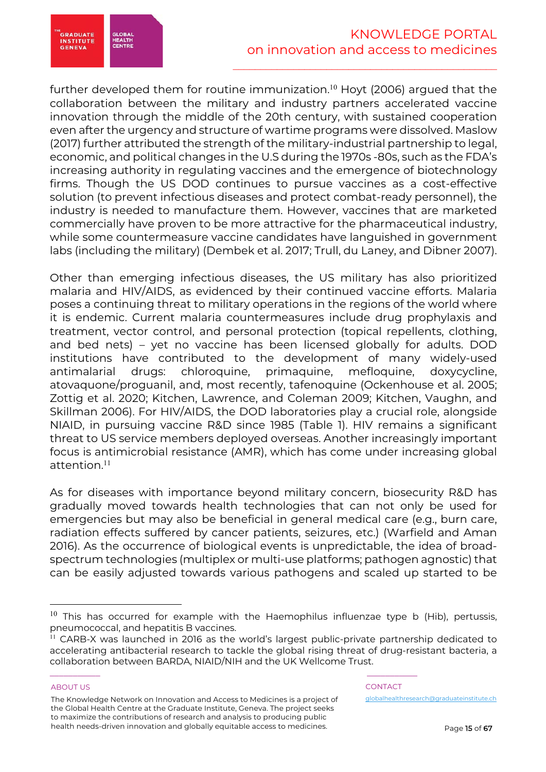

further developed them for routine immunization. <sup>10</sup> Hoyt (2006) argued that the collaboration between the military and industry partners accelerated vaccine innovation through the middle of the 20th century, with sustained cooperation even after the urgency and structure of wartime programs were dissolved. Maslow (2017) further attributed the strength of the military-industrial partnership to legal, economic, and political changes in the U.S during the 1970s -80s, such as the FDA's increasing authority in regulating vaccines and the emergence of biotechnology firms. Though the US DOD continues to pursue vaccines as a cost-effective solution (to prevent infectious diseases and protect combat-ready personnel), the industry is needed to manufacture them. However, vaccines that are marketed commercially have proven to be more attractive for the pharmaceutical industry, while some countermeasure vaccine candidates have languished in government labs (including the military) (Dembek et al. 2017; Trull, du Laney, and Dibner 2007).

Other than emerging infectious diseases, the US military has also prioritized malaria and HIV/AIDS, as evidenced by their continued vaccine efforts. Malaria poses a continuing threat to military operations in the regions of the world where it is endemic. Current malaria countermeasures include drug prophylaxis and treatment, vector control, and personal protection (topical repellents, clothing, and bed nets) – yet no vaccine has been licensed globally for adults. DOD institutions have contributed to the development of many widely-used antimalarial drugs: chloroquine, primaquine, mefloquine, doxycycline, atovaquone/proguanil, and, most recently, tafenoquine (Ockenhouse et al. 2005; Zottig et al. 2020; Kitchen, Lawrence, and Coleman 2009; Kitchen, Vaughn, and Skillman 2006). For HIV/AIDS, the DOD laboratories play a crucial role, alongside NIAID, in pursuing vaccine R&D since 1985 (Table 1). HIV remains a significant threat to US service members deployed overseas. Another increasingly important focus is antimicrobial resistance (AMR), which has come under increasing global attention. 11

As for diseases with importance beyond military concern, biosecurity R&D has gradually moved towards health technologies that can not only be used for emergencies but may also be beneficial in general medical care (e.g., burn care, radiation effects suffered by cancer patients, seizures, etc.) (Warfield and Aman 2016). As the occurrence of biological events is unpredictable, the idea of broadspectrum technologies (multiplex or multi-use platforms; pathogen agnostic) that can be easily adjusted towards various pathogens and scaled up started to be

\_\_\_\_\_\_\_\_\_\_\_ \_\_\_\_\_\_\_\_\_\_\_

ABOUT US CONTACT AND A RESERVE AND LODGED AND LODGED AT A RESERVE AND LODGED AT A RESERVE AND LODGED AT A RESERVE AND LODGED AT A RESERVE AND LODGED AT A RESERVE AND LODGED AT A RESERVE AND LODGED AT A RESERVE AND LODGED A

**GRADUATE** 

**INSTITUTE**<br>GENEVA

**GLOBAL**<br>HEALTH

CENTRE

The Knowledge Network on Innovation and Access to Medicines is a project of the Global Health Centre at the Graduate Institute, Geneva. The project seeks to maximize the contributions of research and analysis to producing public health needs-driven innovation and globally equitable access to medicines.

 $10$  This has occurred for example with the Haemophilus influenzae type b (Hib), pertussis, pneumococcal, and hepatitis B vaccines.

<sup>&</sup>lt;sup>11</sup> CARB-X was launched in 2016 as the world's largest public-private partnership dedicated to accelerating antibacterial research to tackle the global rising threat of drug-resistant bacteria, a collaboration between BARDA, NIAID/NIH and the UK Wellcome Trust.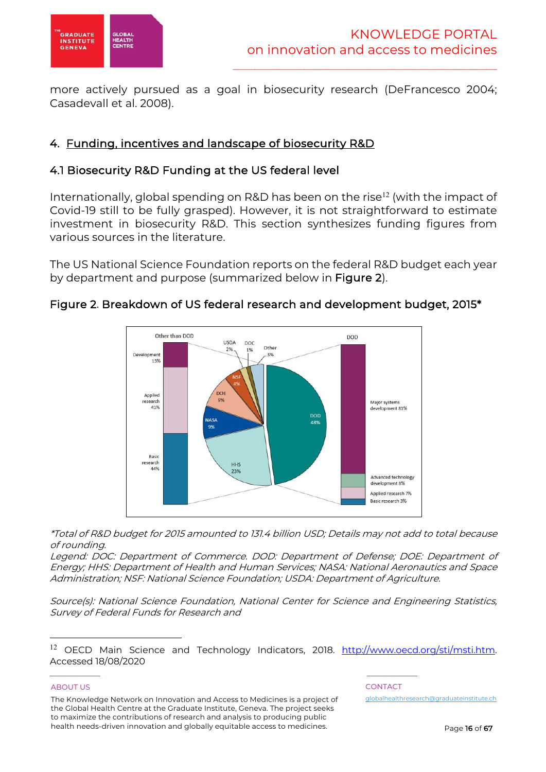

more actively pursued as a goal in biosecurity research (DeFrancesco 2004; Casadevall et al. 2008).

# 4. Funding, incentives and landscape of biosecurity R&D

#### 4.1 Biosecurity R&D Funding at the US federal level

Internationally, global spending on R&D has been on the rise<sup>12</sup> (with the impact of Covid-19 still to be fully grasped). However, it is not straightforward to estimate investment in biosecurity R&D. This section synthesizes funding figures from various sources in the literature.

The US National Science Foundation reports on the federal R&D budget each year by department and purpose (summarized below in Figure 2).



# Figure 2. Breakdown of US federal research and development budget, 2015\*

\*Total of R&D budget for 2015 amounted to 131.4 billion USD; Details may not add to total because of rounding.

Legend: DOC: Department of Commerce. DOD: Department of Defense; DOE: Department of Energy; HHS: Department of Health and Human Services; NASA: National Aeronautics and Space Administration; NSF: National Science Foundation; USDA: Department of Agriculture.

Source(s): National Science Foundation, National Center for Science and Engineering Statistics, Survey of Federal Funds for Research and

\_\_\_\_\_\_\_\_\_\_\_ \_\_\_\_\_\_\_\_\_\_\_

#### ABOUT US CONTACT AND RELEASED AT A RELEASED FOR THE RELEASED OF THE RELEASED OF THE RELEASED OF THE RELEASED OF THE RELEASED OF THE RELEASED OF THE RELEASED OF THE RELEASED OF THE RELEASED OF THE RELEASED OF THE RELEASED O

The Knowledge Network on Innovation and Access to Medicines is a project of the Global Health Centre at the Graduate Institute, Geneva. The project seeks to maximize the contributions of research and analysis to producing public health needs-driven innovation and globally equitable access to medicines.

<sup>&</sup>lt;sup>12</sup> OECD Main Science and Technology Indicators, 2018. http://www.oecd.org/sti/msti.htm. Accessed 18/08/2020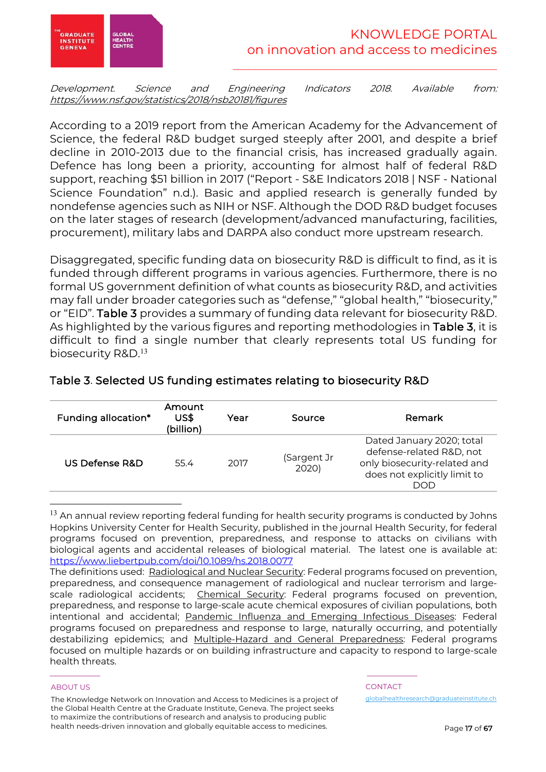

According to a 2019 report from the American Academy for the Advancement of Science, the federal R&D budget surged steeply after 2001, and despite a brief decline in 2010-2013 due to the financial crisis, has increased gradually again. Defence has long been a priority, accounting for almost half of federal R&D support, reaching \$51 billion in 2017 ("Report - S&E Indicators 2018 | NSF - National Science Foundation" n.d.). Basic and applied research is generally funded by nondefense agencies such as NIH or NSF. Although the DOD R&D budget focuses on the later stages of research (development/advanced manufacturing, facilities, procurement), military labs and DARPA also conduct more upstream research.

Disaggregated, specific funding data on biosecurity R&D is difficult to find, as it is funded through different programs in various agencies. Furthermore, there is no formal US government definition of what counts as biosecurity R&D, and activities may fall under broader categories such as "defense," "global health," "biosecurity," or "EID". Table 3 provides a summary of funding data relevant for biosecurity R&D. As highlighted by the various figures and reporting methodologies in Table 3, it is difficult to find a single number that clearly represents total US funding for biosecurity R&D. 13

| Funding allocation* | Amount<br>US\$<br>(billion) | Year | Source               | Remark                                                                                                                       |
|---------------------|-----------------------------|------|----------------------|------------------------------------------------------------------------------------------------------------------------------|
| US Defense R&D      | 554                         | 2017 | (Sargent Jr<br>2020) | Dated January 2020; total<br>defense-related R&D, not<br>only biosecurity-related and<br>does not explicitly limit to<br>DOD |

# Table 3. Selected US funding estimates relating to biosecurity R&D

#### ABOUT US CONTACT AND RELEASED AT A RELEASED FOR THE RELEASED OF THE RELEASED OF THE RELEASED OF THE RELEASED OF THE RELEASED OF THE RELEASED OF THE RELEASED OF THE RELEASED OF THE RELEASED OF THE RELEASED OF THE RELEASED O

The Knowledge Network on Innovation and Access to Medicines is a project of the Global Health Centre at the Graduate Institute, Geneva. The project seeks to maximize the contributions of research and analysis to producing public health needs-driven innovation and globally equitable access to medicines.

\_\_\_\_\_\_\_\_\_\_\_ \_\_\_\_\_\_\_\_\_\_\_

 $13$  An annual review reporting federal funding for health security programs is conducted by Johns Hopkins University Center for Health Security, published in the journal Health Security, for federal programs focused on prevention, preparedness, and response to attacks on civilians with biological agents and accidental releases of biological material. The latest one is available at: https://www.liebertpub.com/doi/10.1089/hs.2018.0077

The definitions used: Radiological and Nuclear Security: Federal programs focused on prevention, preparedness, and consequence management of radiological and nuclear terrorism and largescale radiological accidents; Chemical Security: Federal programs focused on prevention, preparedness, and response to large-scale acute chemical exposures of civilian populations, both intentional and accidental; **Pandemic Influenza and Emerging Infectious Diseases**: Federal programs focused on preparedness and response to large, naturally occurring, and potentially destabilizing epidemics; and **Multiple-Hazard and General Preparedness**: Federal programs focused on multiple hazards or on building infrastructure and capacity to respond to large-scale health threats.

globalhealthresearch@graduateinstitute.ch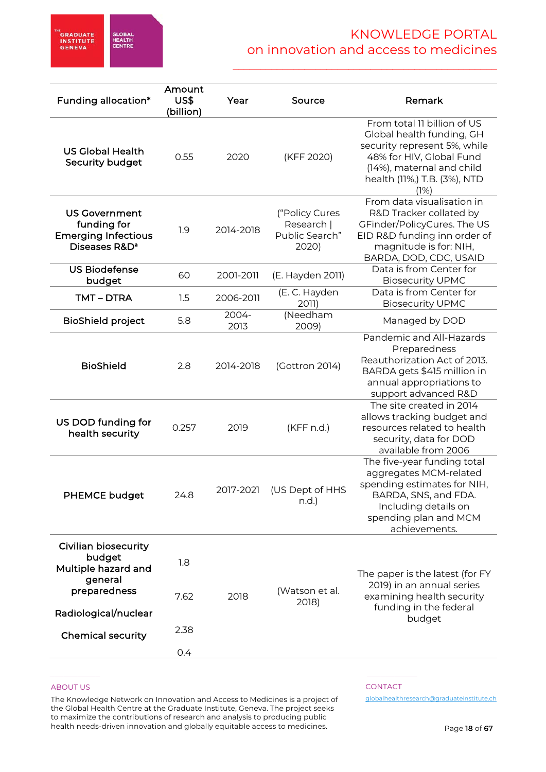

| Funding allocation*                                                                            | Amount<br>US\$<br>(billion) | Year          | Source                                                  | Remark                                                                                                                                                                                    |
|------------------------------------------------------------------------------------------------|-----------------------------|---------------|---------------------------------------------------------|-------------------------------------------------------------------------------------------------------------------------------------------------------------------------------------------|
| <b>US Global Health</b><br>Security budget                                                     | 0.55                        | 2020          | (KFF 2020)                                              | From total 11 billion of US<br>Global health funding, GH<br>security represent 5%, while<br>48% for HIV, Global Fund<br>(14%), maternal and child<br>health (11%,) T.B. (3%), NTD<br>(1%) |
| <b>US Government</b><br>funding for<br><b>Emerging Infectious</b><br>Diseases R&D <sup>a</sup> | 1.9                         | 2014-2018     | ("Policy Cures<br>Research  <br>Public Search"<br>2020) | From data visualisation in<br>R&D Tracker collated by<br>GFinder/PolicyCures. The US<br>EID R&D funding inn order of<br>magnitude is for: NIH,<br>BARDA, DOD, CDC, USAID                  |
| <b>US Biodefense</b><br>budget                                                                 | 60                          | 2001-2011     | (E. Hayden 2011)                                        | Data is from Center for<br><b>Biosecurity UPMC</b>                                                                                                                                        |
| TMT-DTRA                                                                                       | 1.5                         | 2006-2011     | (E. C. Hayden<br>2011)                                  | Data is from Center for<br><b>Biosecurity UPMC</b>                                                                                                                                        |
| <b>BioShield project</b>                                                                       | 5.8                         | 2004-<br>2013 | (Needham<br>2009)                                       | Managed by DOD                                                                                                                                                                            |
| <b>BioShield</b>                                                                               | 2.8                         | 2014-2018     | (Gottron 2014)                                          | Pandemic and All-Hazards<br>Preparedness<br>Reauthorization Act of 2013.<br>BARDA gets \$415 million in<br>annual appropriations to<br>support advanced R&D                               |
| US DOD funding for<br>health security                                                          | 0.257                       | 2019          | (KFF n.d.)                                              | The site created in 2014<br>allows tracking budget and<br>resources related to health<br>security, data for DOD<br>available from 2006                                                    |
| <b>PHEMCE budget</b>                                                                           | 24.8                        |               | 2017-2021 (US Dept of HHS<br>n.d.                       | The five-year funding total<br>aggregates MCM-related<br>spending estimates for NIH,<br>BARDA, SNS, and FDA.<br>Including details on<br>spending plan and MCM<br>achievements.            |
| <b>Civilian biosecurity</b><br>budget<br>Multiple hazard and<br>general<br>preparedness        | 1.8<br>7.62                 | 2018          | (Watson et al.                                          | The paper is the latest (for FY<br>2019) in an annual series<br>examining health security                                                                                                 |
| Radiological/nuclear                                                                           |                             |               | 2018)                                                   | funding in the federal<br>budget                                                                                                                                                          |
| <b>Chemical security</b>                                                                       | 2.38                        |               |                                                         |                                                                                                                                                                                           |
|                                                                                                | 0.4                         |               |                                                         |                                                                                                                                                                                           |

#### ABOUT US AND RESERVE THE RESERVE THAT IS A RESERVE TO A RESERVE THAT IS A RESERVE TO A RESERVE THAT IS A RESERVE TO A RESERVE THAT IS A RESERVE TO A RESERVE THAT IS A RESERVE TO A RESERVE THAT IS A RESERVE TO A RESERVE THA

The Knowledge Network on Innovation and Access to Medicines is a project of the Global Health Centre at the Graduate Institute, Geneva. The project seeks to maximize the contributions of research and analysis to producing public health needs-driven innovation and globally equitable access to medicines.

\_\_\_\_\_\_\_\_\_\_\_ \_\_\_\_\_\_\_\_\_\_\_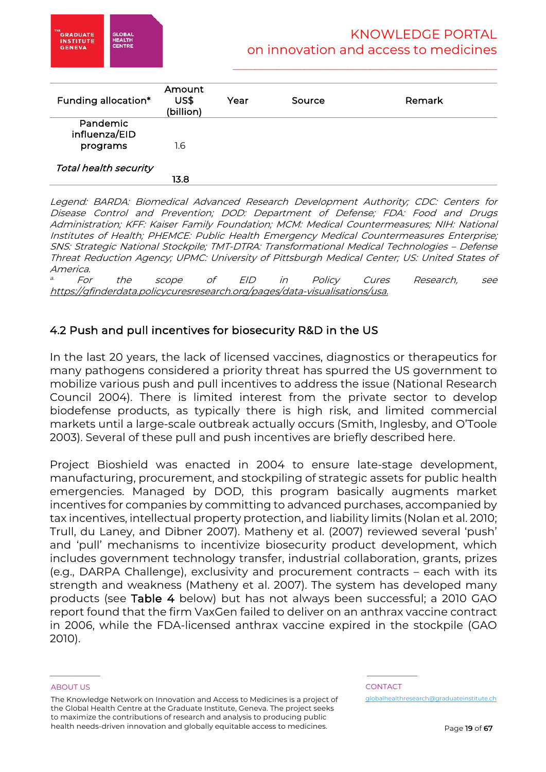

| Funding allocation*                   | Amount<br>US\$<br>(billion) | Year | Source | Remark |
|---------------------------------------|-----------------------------|------|--------|--------|
| Pandemic<br>influenza/EID<br>programs | 1.6                         |      |        |        |
| <b>Total health security</b>          | 13.8                        |      |        |        |

Legend: BARDA: Biomedical Advanced Research Development Authority; CDC: Centers for Disease Control and Prevention; DOD: Department of Defense; FDA: Food and Drugs Administration; KFF: Kaiser Family Foundation; MCM: Medical Countermeasures; NIH: National Institutes of Health; PHEMCE: Public Health Emergency Medical Countermeasures Enterprise; SNS: Strategic National Stockpile; TMT-DTRA: Transformational Medical Technologies – Defense Threat Reduction Agency; UPMC: University of Pittsburgh Medical Center; US: United States of America.

<sup>a.</sup> For the scope of EID in Policy Cures Research, see https://gfinderdata.policycuresresearch.org/pages/data-visualisations/usa.

# 4.2 Push and pull incentives for biosecurity R&D in the US

In the last 20 years, the lack of licensed vaccines, diagnostics or therapeutics for many pathogens considered a priority threat has spurred the US government to mobilize various push and pull incentives to address the issue (National Research Council 2004). There is limited interest from the private sector to develop biodefense products, as typically there is high risk, and limited commercial markets until a large-scale outbreak actually occurs (Smith, Inglesby, and O'Toole 2003). Several of these pull and push incentives are briefly described here.

Project Bioshield was enacted in 2004 to ensure late-stage development, manufacturing, procurement, and stockpiling of strategic assets for public health emergencies. Managed by DOD, this program basically augments market incentives for companies by committing to advanced purchases, accompanied by tax incentives, intellectual property protection, and liability limits (Nolan et al. 2010; Trull, du Laney, and Dibner 2007). Matheny et al. (2007) reviewed several 'push' and 'pull' mechanisms to incentivize biosecurity product development, which includes government technology transfer, industrial collaboration, grants, prizes (e.g., DARPA Challenge), exclusivity and procurement contracts – each with its strength and weakness (Matheny et al. 2007). The system has developed many products (see Table 4 below) but has not always been successful; a 2010 GAO report found that the firm VaxGen failed to deliver on an anthrax vaccine contract in 2006, while the FDA-licensed anthrax vaccine expired in the stockpile (GAO 2010).

The Knowledge Network on Innovation and Access to Medicines is a project of the Global Health Centre at the Graduate Institute, Geneva. The project seeks to maximize the contributions of research and analysis to producing public health needs-driven innovation and globally equitable access to medicines.

\_\_\_\_\_\_\_\_\_\_\_ \_\_\_\_\_\_\_\_\_\_\_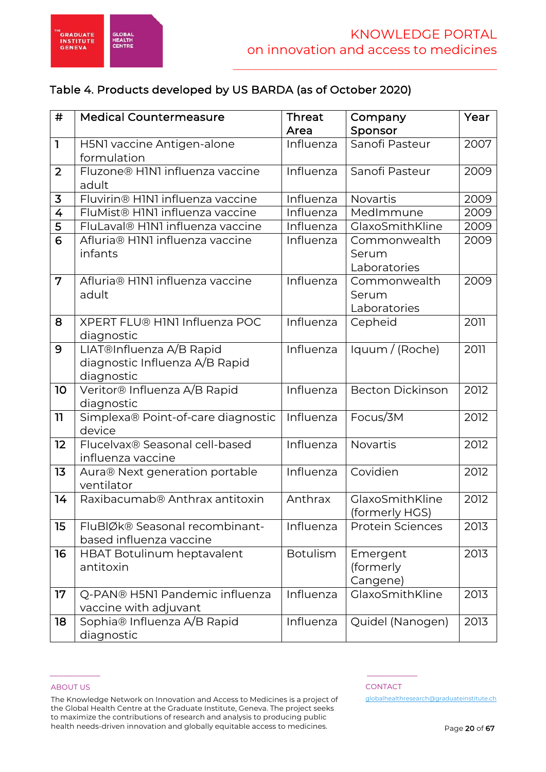

# Table 4. Products developed by US BARDA (as of October 2020)

| #              | <b>Medical Countermeasure</b>                                            | <b>Threat</b>   | Company                               | Year |
|----------------|--------------------------------------------------------------------------|-----------------|---------------------------------------|------|
|                |                                                                          | Area            | Sponsor                               |      |
| $\mathbf{1}$   | H5N1 vaccine Antigen-alone<br>formulation                                | Influenza       | Sanofi Pasteur                        | 2007 |
| $\overline{2}$ | Fluzone® H1N1 influenza vaccine<br>adult                                 | Influenza       | Sanofi Pasteur                        | 2009 |
| $\overline{3}$ | Fluvirin® H1N1 influenza vaccine                                         | Influenza       | Novartis                              | 2009 |
| 4              | FluMist <sup>®</sup> H1N1 influenza vaccine                              | Influenza       | MedImmune                             | 2009 |
| 5              | FluLaval® H1N1 influenza vaccine                                         | Influenza       | GlaxoSmithKline                       | 2009 |
| $\overline{6}$ | Afluria® H1N1 influenza vaccine<br>infants                               | Influenza       | Commonwealth<br>Serum<br>Laboratories | 2009 |
| 7              | Afluria® H1N1 influenza vaccine<br>adult                                 | Influenza       | Commonwealth<br>Serum<br>Laboratories | 2009 |
| 8              | <b>XPERT FLU® H1N1 Influenza POC</b><br>diagnostic                       | Influenza       | Cepheid                               | 2011 |
| 9              | LIAT®Influenza A/B Rapid<br>diagnostic Influenza A/B Rapid<br>diagnostic | Influenza       | Iquum / (Roche)                       | 2011 |
| 10             | Veritor® Influenza A/B Rapid<br>diagnostic                               | Influenza       | <b>Becton Dickinson</b>               | 2012 |
| 11             | Simplexa® Point-of-care diagnostic<br>device                             | Influenza       | Focus/3M                              | 2012 |
| 12             | Flucelvax® Seasonal cell-based<br>influenza vaccine                      | Influenza       | Novartis                              | 2012 |
| 13             | Aura® Next generation portable<br>ventilator                             | Influenza       | Covidien                              | 2012 |
| 14             | Raxibacumab® Anthrax antitoxin                                           | Anthrax         | GlaxoSmithKline<br>(formerly HGS)     | 2012 |
| 15             | FluBIØk® Seasonal recombinant-<br>based influenza vaccine                | Influenza       | <b>Protein Sciences</b>               | 2013 |
| 16             | <b>HBAT Botulinum heptavalent</b><br>antitoxin                           | <b>Botulism</b> | Emergent<br>(formerly<br>Cangene)     | 2013 |
| 17             | Q-PAN® H5N1 Pandemic influenza<br>vaccine with adjuvant                  | Influenza       | GlaxoSmithKline                       | 2013 |
| 18             | Sophia® Influenza A/B Rapid<br>diagnostic                                | Influenza       | Quidel (Nanogen)                      | 2013 |

\_\_\_\_\_\_\_\_\_\_\_ \_\_\_\_\_\_\_\_\_\_\_

The Knowledge Network on Innovation and Access to Medicines is a project of the Global Health Centre at the Graduate Institute, Geneva. The project seeks to maximize the contributions of research and analysis to producing public health needs-driven innovation and globally equitable access to medicines.

globalhealthresearch@graduateinstitute.ch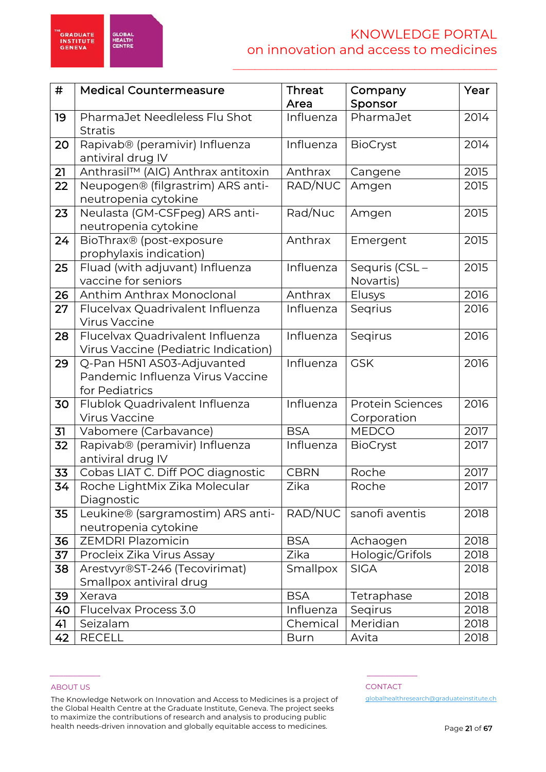| #        | <b>Medical Countermeasure</b>                            | <b>Threat</b> | Company                 | Year         |
|----------|----------------------------------------------------------|---------------|-------------------------|--------------|
|          |                                                          | Area          | Sponsor                 |              |
| 19       | PharmaJet Needleless Flu Shot                            | Influenza     | PharmaJet               | 2014         |
|          | <b>Stratis</b>                                           |               |                         |              |
| 20       | Rapivab® (peramivir) Influenza                           | Influenza     | <b>BioCryst</b>         | 2014         |
|          | antiviral drug IV                                        |               |                         |              |
| 21       | Anthrasil™ (AIG) Anthrax antitoxin                       | Anthrax       | Cangene                 | 2015         |
| 22       | Neupogen® (filgrastrim) ARS anti-                        | RAD/NUC       | Amgen                   | 2015         |
|          | neutropenia cytokine                                     |               |                         |              |
| 23       | Neulasta (GM-CSFpeg) ARS anti-                           | Rad/Nuc       | Amgen                   | 2015         |
|          | neutropenia cytokine                                     |               |                         |              |
| 24       | BioThrax® (post-exposure                                 | Anthrax       | Emergent                | 2015         |
|          | prophylaxis indication)                                  |               |                         |              |
| 25       | Fluad (with adjuvant) Influenza                          | Influenza     | Sequris (CSL-           | 2015         |
|          | vaccine for seniors                                      |               | Novartis)               |              |
| 26<br>27 | Anthim Anthrax Monoclonal                                | Anthrax       | Elusys                  | 2016<br>2016 |
|          | Flucelvax Quadrivalent Influenza<br><b>Virus Vaccine</b> | Influenza     | Segrius                 |              |
| 28       | Flucelvax Quadrivalent Influenza                         | Influenza     |                         | 2016         |
|          | Virus Vaccine (Pediatric Indication)                     |               | Segirus                 |              |
| 29       | Q-Pan H5N1 AS03-Adjuvanted                               | Influenza     | <b>GSK</b>              | 2016         |
|          | Pandemic Influenza Virus Vaccine                         |               |                         |              |
|          | for Pediatrics                                           |               |                         |              |
| 30       | Flublok Quadrivalent Influenza                           | Influenza     | <b>Protein Sciences</b> | 2016         |
|          | <b>Virus Vaccine</b>                                     |               | Corporation             |              |
| 31       | Vabomere (Carbavance)                                    | <b>BSA</b>    | <b>MEDCO</b>            | 2017         |
| 32       | Rapivab® (peramivir) Influenza                           | Influenza     | <b>BioCryst</b>         | 2017         |
|          | antiviral drug IV                                        |               |                         |              |
| 33       | Cobas LIAT C. Diff POC diagnostic                        | <b>CBRN</b>   | Roche                   | 2017         |
| 34       | Roche LightMix Zika Molecular                            | Zika          | Roche                   | 2017         |
|          | Diagnostic                                               |               |                         |              |
| 35       | Leukine® (sargramostim) ARS anti-                        | RAD/NUC       | sanofi aventis          | 2018         |
|          | neutropenia cytokine                                     |               |                         |              |
| 36       | <b>ZEMDRI Plazomicin</b>                                 | <b>BSA</b>    | Achaogen                | 2018         |
| 37       | Procleix Zika Virus Assay                                | Zika          | Hologic/Grifols         | 2018         |
| 38       | Arestvyr®ST-246 (Tecovirimat)                            | Smallpox      | <b>SIGA</b>             | 2018         |
|          | Smallpox antiviral drug                                  |               |                         |              |
| 39       | Xerava                                                   | <b>BSA</b>    | Tetraphase              | 2018         |
| 40       | Flucelvax Process 3.0                                    | Influenza     | Segirus                 | 2018         |
| 41       | Seizalam                                                 | Chemical      | Meridian                | 2018         |
| 42       | <b>RECELL</b>                                            | <b>Burn</b>   | Avita                   | 2018         |

"<br>GRADUATE<br>INSTITUTE<br>GENEVA

GLOBAL<br>HEALTH<br>CENTRE

\_\_\_\_\_\_\_\_\_\_\_ \_\_\_\_\_\_\_\_\_\_\_

The Knowledge Network on Innovation and Access to Medicines is a project of the Global Health Centre at the Graduate Institute, Geneva. The project seeks to maximize the contributions of research and analysis to producing public health needs-driven innovation and globally equitable access to medicines.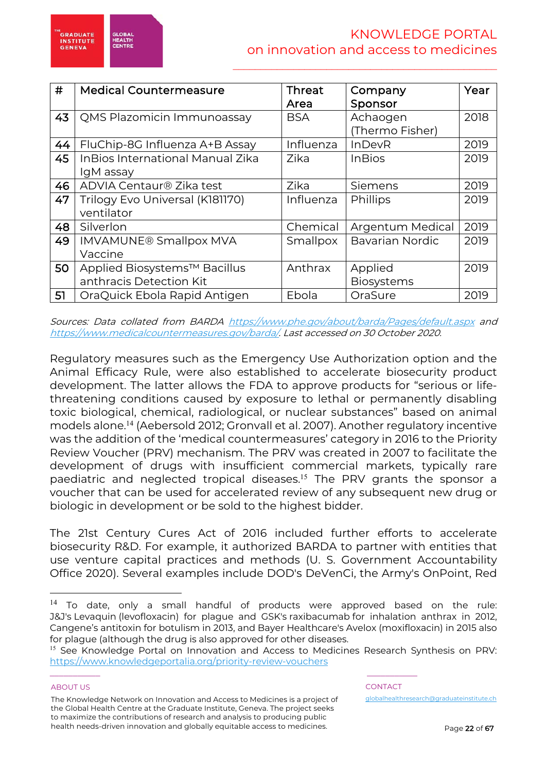| #  | <b>Medical Countermeasure</b>           | Threat     | Company                | Year |
|----|-----------------------------------------|------------|------------------------|------|
|    |                                         | Area       | Sponsor                |      |
| 43 | QMS Plazomicin Immunoassay              | <b>BSA</b> | Achaogen               | 2018 |
|    |                                         |            | (Thermo Fisher)        |      |
| 44 | FluChip-8G Influenza A+B Assay          | Influenza  | <b>InDevR</b>          | 2019 |
| 45 | <b>InBios International Manual Zika</b> | Zika       | <b>InBios</b>          | 2019 |
|    | lgM assay                               |            |                        |      |
| 46 | ADVIA Centaur® Zika test                | Zika       | Siemens                | 2019 |
| 47 | Trilogy Evo Universal (K181170)         | Influenza  | Phillips               | 2019 |
|    | ventilator                              |            |                        |      |
| 48 | Silverlon                               | Chemical   | Argentum Medical       | 2019 |
| 49 | <b>IMVAMUNE® Smallpox MVA</b>           | Smallpox   | <b>Bavarian Nordic</b> | 2019 |
|    | Vaccine                                 |            |                        |      |
| 50 | Applied Biosystems™ Bacillus            | Anthrax    | Applied                | 2019 |
|    | anthracis Detection Kit                 |            | Biosystems             |      |
| 51 | OraQuick Ebola Rapid Antigen            | Ebola      | OraSure                | 2019 |

Sources: Data collated from BARDA https://www.phe.gov/about/barda/Pages/default.aspx and https://www.medicalcountermeasures.gov/barda/. Last accessed on 30 October 2020.

Regulatory measures such as the Emergency Use Authorization option and the Animal Efficacy Rule, were also established to accelerate biosecurity product development. The latter allows the FDA to approve products for "serious or lifethreatening conditions caused by exposure to lethal or permanently disabling toxic biological, chemical, radiological, or nuclear substances" based on animal models alone. <sup>14</sup> (Aebersold 2012; Gronvall et al. 2007). Another regulatory incentive was the addition of the 'medical countermeasures' category in 2016 to the Priority Review Voucher (PRV) mechanism. The PRV was created in 2007 to facilitate the development of drugs with insufficient commercial markets, typically rare paediatric and neglected tropical diseases.<sup>15</sup> The PRV grants the sponsor a voucher that can be used for accelerated review of any subsequent new drug or biologic in development or be sold to the highest bidder.

The 21st Century Cures Act of 2016 included further efforts to accelerate biosecurity R&D. For example, it authorized BARDA to partner with entities that use venture capital practices and methods (U. S. Government Accountability Office 2020). Several examples include DOD's DeVenCi, the Army's OnPoint, Red

\_\_\_\_\_\_\_\_\_\_\_ \_\_\_\_\_\_\_\_\_\_\_

#### ABOUT US CONTACT AND RELEASED AT A RELEASED FOR THE RELEASED OF THE RELEASED OF THE RELEASED OF THE RELEASED OF THE RELEASED OF THE RELEASED OF THE RELEASED OF THE RELEASED OF THE RELEASED OF THE RELEASED OF THE RELEASED O

**GRADUATE** 

**INSTITUTE**<br>GENEVA

**GLOBAL**<br>HEALTH

**CENTRE** 

The Knowledge Network on Innovation and Access to Medicines is a project of the Global Health Centre at the Graduate Institute, Geneva. The project seeks to maximize the contributions of research and analysis to producing public health needs-driven innovation and globally equitable access to medicines.

 $14$  To date, only a small handful of products were approved based on the rule: J&J's Levaquin (levofloxacin) for plague and GSK's raxibacumab for inhalation anthrax in 2012, Cangene's antitoxin for botulism in 2013, and Bayer Healthcare's Avelox (moxifloxacin) in 2015 also for plague (although the drug is also approved for other diseases.

<sup>15</sup> See Knowledge Portal on Innovation and Access to Medicines Research Synthesis on PRV: https://www.knowledgeportalia.org/priority-review-vouchers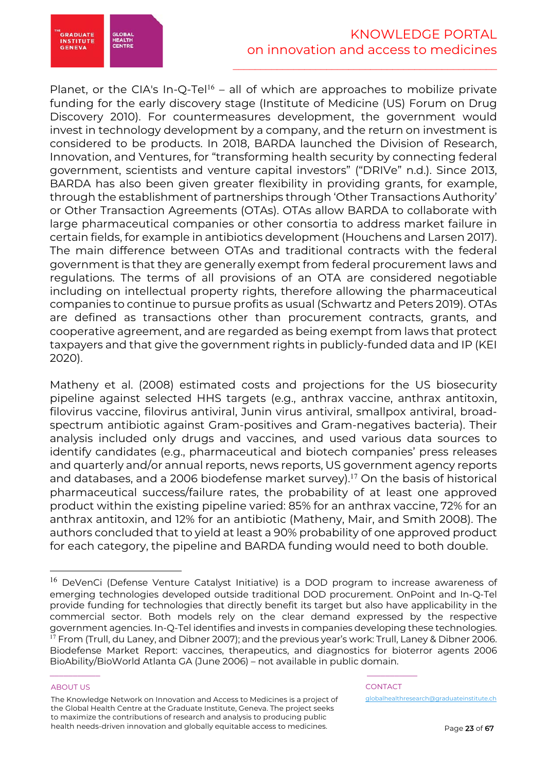

Planet, or the CIA's In-Q-Tel<sup>16</sup> – all of which are approaches to mobilize private funding for the early discovery stage (Institute of Medicine (US) Forum on Drug Discovery 2010). For countermeasures development, the government would invest in technology development by a company, and the return on investment is considered to be products. In 2018, BARDA launched the Division of Research, Innovation, and Ventures, for "transforming health security by connecting federal government, scientists and venture capital investors" ("DRIVe" n.d.). Since 2013, BARDA has also been given greater flexibility in providing grants, for example, through the establishment of partnerships through 'Other Transactions Authority' or Other Transaction Agreements (OTAs). OTAs allow BARDA to collaborate with large pharmaceutical companies or other consortia to address market failure in certain fields, for example in antibiotics development (Houchens and Larsen 2017). The main difference between OTAs and traditional contracts with the federal government is that they are generally exempt from federal procurement laws and regulations. The terms of all provisions of an OTA are considered negotiable including on intellectual property rights, therefore allowing the pharmaceutical companies to continue to pursue profits as usual (Schwartz and Peters 2019). OTAs are defined as transactions other than procurement contracts, grants, and cooperative agreement, and are regarded as being exempt from laws that protect taxpayers and that give the government rights in publicly-funded data and IP (KEI 2020).

Matheny et al. (2008) estimated costs and projections for the US biosecurity pipeline against selected HHS targets (e.g., anthrax vaccine, anthrax antitoxin, filovirus vaccine, filovirus antiviral, Junin virus antiviral, smallpox antiviral, broadspectrum antibiotic against Gram-positives and Gram-negatives bacteria). Their analysis included only drugs and vaccines, and used various data sources to identify candidates (e.g., pharmaceutical and biotech companies' press releases and quarterly and/or annual reports, news reports, US government agency reports and databases, and a 2006 biodefense market survey).<sup>17</sup> On the basis of historical pharmaceutical success/failure rates, the probability of at least one approved product within the existing pipeline varied: 85% for an anthrax vaccine, 72% for an anthrax antitoxin, and 12% for an antibiotic (Matheny, Mair, and Smith 2008). The authors concluded that to yield at least a 90% probability of one approved product for each category, the pipeline and BARDA funding would need to both double.

#### ABOUT US CONTACT AND RELEASED AT A RELEASED FOR THE RELEASED OF THE RELEASED OF THE RELEASED OF THE RELEASED OF THE RELEASED OF THE RELEASED OF THE RELEASED OF THE RELEASED OF THE RELEASED OF THE RELEASED OF THE RELEASED O

\_\_\_\_\_\_\_\_\_\_\_ \_\_\_\_\_\_\_\_\_\_\_

<sup>&</sup>lt;sup>16</sup> DeVenCi (Defense Venture Catalyst Initiative) is a DOD program to increase awareness of emerging technologies developed outside traditional DOD procurement. OnPoint and In-Q-Tel provide funding for technologies that directly benefit its target but also have applicability in the commercial sector. Both models rely on the clear demand expressed by the respective government agencies. In-Q-Tel identifies and invests in companies developing these technologies. <sup>17</sup> From (Trull, du Laney, and Dibner 2007); and the previous year's work: Trull, Laney & Dibner 2006. Biodefense Market Report: vaccines, therapeutics, and diagnostics for bioterror agents 2006 BioAbility/BioWorld Atlanta GA (June 2006) – not available in public domain.

The Knowledge Network on Innovation and Access to Medicines is a project of the Global Health Centre at the Graduate Institute, Geneva. The project seeks to maximize the contributions of research and analysis to producing public health needs-driven innovation and globally equitable access to medicines.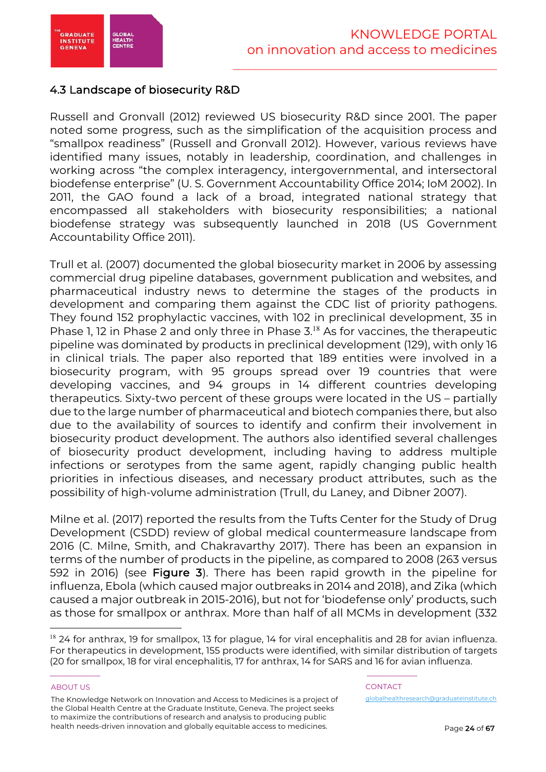

# 4.3 Landscape of biosecurity R&D

Russell and Gronvall (2012) reviewed US biosecurity R&D since 2001. The paper noted some progress, such as the simplification of the acquisition process and "smallpox readiness" (Russell and Gronvall 2012). However, various reviews have identified many issues, notably in leadership, coordination, and challenges in working across "the complex interagency, intergovernmental, and intersectoral biodefense enterprise" (U. S. Government Accountability Office 2014; IoM 2002). In 2011, the GAO found a lack of a broad, integrated national strategy that encompassed all stakeholders with biosecurity responsibilities; a national biodefense strategy was subsequently launched in 2018 (US Government Accountability Office 2011).

Trull et al. (2007) documented the global biosecurity market in 2006 by assessing commercial drug pipeline databases, government publication and websites, and pharmaceutical industry news to determine the stages of the products in development and comparing them against the CDC list of priority pathogens. They found 152 prophylactic vaccines, with 102 in preclinical development, 35 in Phase 1, 12 in Phase 2 and only three in Phase 3.<sup>18</sup> As for vaccines, the therapeutic pipeline was dominated by products in preclinical development (129), with only 16 in clinical trials. The paper also reported that 189 entities were involved in a biosecurity program, with 95 groups spread over 19 countries that were developing vaccines, and 94 groups in 14 different countries developing therapeutics. Sixty-two percent of these groups were located in the US – partially due to the large number of pharmaceutical and biotech companies there, but also due to the availability of sources to identify and confirm their involvement in biosecurity product development. The authors also identified several challenges of biosecurity product development, including having to address multiple infections or serotypes from the same agent, rapidly changing public health priorities in infectious diseases, and necessary product attributes, such as the possibility of high-volume administration (Trull, du Laney, and Dibner 2007).

Milne et al. (2017) reported the results from the Tufts Center for the Study of Drug Development (CSDD) review of global medical countermeasure landscape from 2016 (C. Milne, Smith, and Chakravarthy 2017). There has been an expansion in terms of the number of products in the pipeline, as compared to 2008 (263 versus 592 in 2016) (see Figure 3). There has been rapid growth in the pipeline for influenza, Ebola (which caused major outbreaks in 2014 and 2018), and Zika (which caused a major outbreak in 2015-2016), but not for 'biodefense only' products, such as those for smallpox or anthrax. More than half of all MCMs in development (332

\_\_\_\_\_\_\_\_\_\_\_ \_\_\_\_\_\_\_\_\_\_\_

ABOUT US CONTACT AND A RESERVE AND LODGED AND LODGED AT A RESERVE AND LODGED AT A RESERVE AND LODGED AT A RESERVE AND LODGED AT A RESERVE AND LODGED AT A RESERVE AND LODGED AT A RESERVE AND LODGED AT A RESERVE AND LODGED A

<sup>&</sup>lt;sup>18</sup> 24 for anthrax, 19 for smallpox, 13 for plague, 14 for viral encephalitis and 28 for avian influenza. For therapeutics in development, 155 products were identified, with similar distribution of targets (20 for smallpox, 18 for viral encephalitis, 17 for anthrax, 14 for SARS and 16 for avian influenza.

The Knowledge Network on Innovation and Access to Medicines is a project of the Global Health Centre at the Graduate Institute, Geneva. The project seeks to maximize the contributions of research and analysis to producing public health needs-driven innovation and globally equitable access to medicines.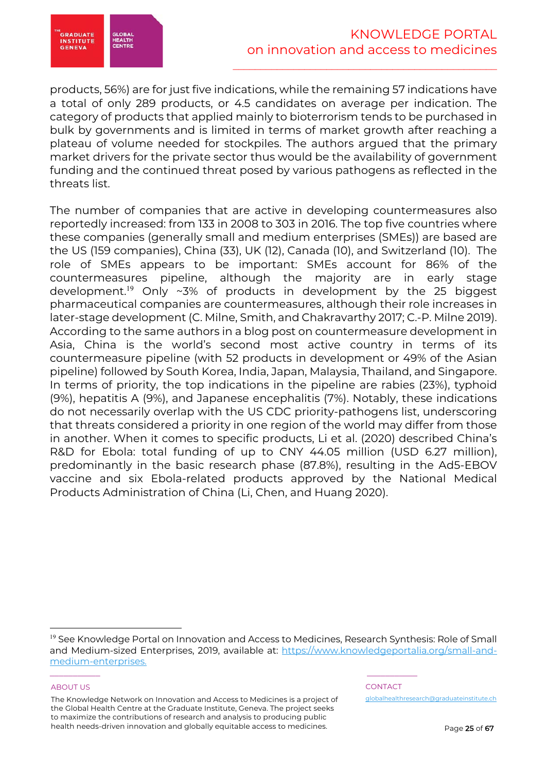

products, 56%) are for just five indications, while the remaining 57 indications have a total of only 289 products, or 4.5 candidates on average per indication. The category of products that applied mainly to bioterrorism tends to be purchased in bulk by governments and is limited in terms of market growth after reaching a plateau of volume needed for stockpiles. The authors argued that the primary market drivers for the private sector thus would be the availability of government funding and the continued threat posed by various pathogens as reflected in the threats list.

The number of companies that are active in developing countermeasures also reportedly increased: from 133 in 2008 to 303 in 2016. The top five countries where these companies (generally small and medium enterprises (SMEs)) are based are the US (159 companies), China (33), UK (12), Canada (10), and Switzerland (10). The role of SMEs appears to be important: SMEs account for 86% of the countermeasures pipeline, although the majority are in early stage development. <sup>19</sup> Only ~3% of products in development by the 25 biggest pharmaceutical companies are countermeasures, although their role increases in later-stage development (C. Milne, Smith, and Chakravarthy 2017; C.-P. Milne 2019). According to the same authors in a blog post on countermeasure development in Asia, China is the world's second most active country in terms of its countermeasure pipeline (with 52 products in development or 49% of the Asian pipeline) followed by South Korea, India, Japan, Malaysia, Thailand, and Singapore. In terms of priority, the top indications in the pipeline are rabies (23%), typhoid (9%), hepatitis A (9%), and Japanese encephalitis (7%). Notably, these indications do not necessarily overlap with the US CDC priority-pathogens list, underscoring that threats considered a priority in one region of the world may differ from those in another. When it comes to specific products, Li et al. (2020) described China's R&D for Ebola: total funding of up to CNY 44.05 million (USD 6.27 million), predominantly in the basic research phase (87.8%), resulting in the Ad5-EBOV vaccine and six Ebola-related products approved by the National Medical Products Administration of China (Li, Chen, and Huang 2020).

#### ABOUT US CONTACT AND RELEASED AT A RELEASED FOR THE RELEASED OF THE RELEASED OF THE RELEASED OF THE RELEASED OF THE RELEASED OF THE RELEASED OF THE RELEASED OF THE RELEASED OF THE RELEASED OF THE RELEASED OF THE RELEASED O

The Knowledge Network on Innovation and Access to Medicines is a project of the Global Health Centre at the Graduate Institute, Geneva. The project seeks to maximize the contributions of research and analysis to producing public health needs-driven innovation and globally equitable access to medicines.

\_\_\_\_\_\_\_\_\_\_\_ \_\_\_\_\_\_\_\_\_\_\_

<sup>&</sup>lt;sup>19</sup> See Knowledge Portal on Innovation and Access to Medicines, Research Synthesis: Role of Small and Medium-sized Enterprises, 2019, available at: https://www.knowledgeportalia.org/small-andmedium-enterprises.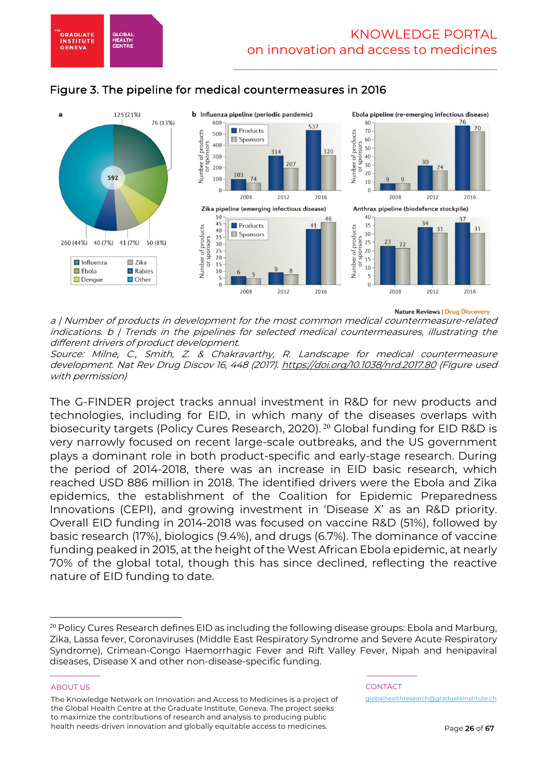

# Figure 3. The pipeline for medical countermeasures in 2016

**Nature Reviews | Drug Discovery** 

a | Number of products in development for the most common medical countermeasure-related indications. b | Trends in the pipelines for selected medical countermeasures, illustrating the different drivers of product development.

Source: Milne, C., Smith, Z. & Chakravarthy, R. Landscape for medical countermeasure development. Nat Rev Drug Discov 16, 448 (2017). https://doi.org/10.1038/nrd.2017.80 (Figure used with permission)

The G-FINDER project tracks annual investment in R&D for new products and technologies, including for EID, in which many of the diseases overlaps with biosecurity targets (Policy Cures Research, 2020). <sup>20</sup> Global funding for EID R&D is very narrowly focused on recent large-scale outbreaks, and the US government plays a dominant role in both product-specific and early-stage research. During the period of 2014-2018, there was an increase in EID basic research, which reached USD 886 million in 2018. The identified drivers were the Ebola and Zika epidemics, the establishment of the Coalition for Epidemic Preparedness Innovations (CEPI), and growing investment in 'Disease X' as an R&D priority. Overall EID funding in 2014-2018 was focused on vaccine R&D (51%), followed by basic research (17%), biologics (9.4%), and drugs (6.7%). The dominance of vaccine funding peaked in 2015, at the height of the West African Ebola epidemic, at nearly 70% of the global total, though this has since declined, reflecting the reactive nature of EID funding to date.

#### ABOUT US CONTACT AND RELEASED AT A RELEASED FOR THE RELEASED OF THE RELEASED OF THE RELEASED OF THE RELEASED OF THE RELEASED OF THE RELEASED OF THE RELEASED OF THE RELEASED OF THE RELEASED OF THE RELEASED OF THE RELEASED O

**GRADUATE** 

**INSTITUTE**<br>GENEVA

**GLOBAL**<br>HEALTH

CENTRE

The Knowledge Network on Innovation and Access to Medicines is a project of the Global Health Centre at the Graduate Institute, Geneva. The project seeks to maximize the contributions of research and analysis to producing public health needs-driven innovation and globally equitable access to medicines.

\_\_\_\_\_\_\_\_\_\_\_ \_\_\_\_\_\_\_\_\_\_\_

<sup>&</sup>lt;sup>20</sup> Policy Cures Research defines EID as including the following disease groups: Ebola and Marburg, Zika, Lassa fever, Coronaviruses (Middle East Respiratory Syndrome and Severe Acute Respiratory Syndrome), Crimean-Congo Haemorrhagic Fever and Rift Valley Fever, Nipah and henipaviral diseases, Disease X and other non-disease-specific funding.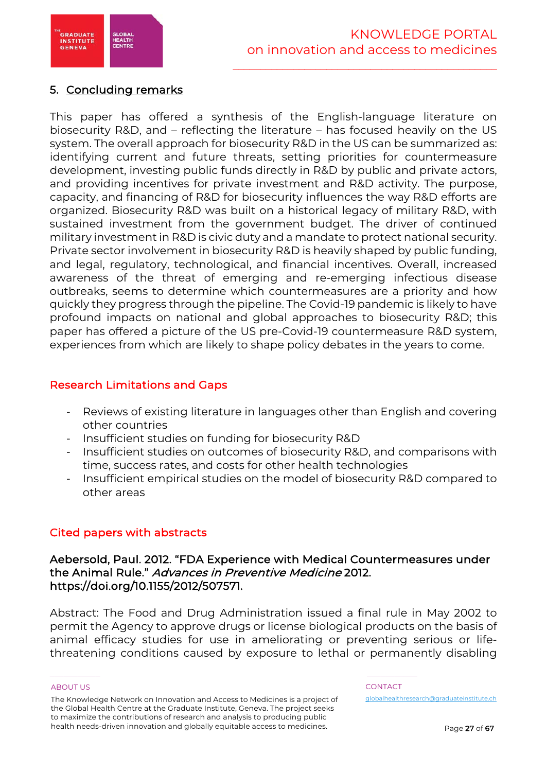

# 5. Concluding remarks

This paper has offered a synthesis of the English-language literature on biosecurity R&D, and – reflecting the literature – has focused heavily on the US system. The overall approach for biosecurity R&D in the US can be summarized as: identifying current and future threats, setting priorities for countermeasure development, investing public funds directly in R&D by public and private actors, and providing incentives for private investment and R&D activity. The purpose, capacity, and financing of R&D for biosecurity influences the way R&D efforts are organized. Biosecurity R&D was built on a historical legacy of military R&D, with sustained investment from the government budget. The driver of continued military investment in R&D is civic duty and a mandate to protect national security. Private sector involvement in biosecurity R&D is heavily shaped by public funding, and legal, regulatory, technological, and financial incentives. Overall, increased awareness of the threat of emerging and re-emerging infectious disease outbreaks, seems to determine which countermeasures are a priority and how quickly they progress through the pipeline. The Covid-19 pandemic is likely to have profound impacts on national and global approaches to biosecurity R&D; this paper has offered a picture of the US pre-Covid-19 countermeasure R&D system, experiences from which are likely to shape policy debates in the years to come.

#### Research Limitations and Gaps

- Reviews of existing literature in languages other than English and covering other countries
- Insufficient studies on funding for biosecurity R&D
- Insufficient studies on outcomes of biosecurity R&D, and comparisons with time, success rates, and costs for other health technologies
- Insufficient empirical studies on the model of biosecurity R&D compared to other areas

# Cited papers with abstracts

Aebersold, Paul. 2012. "FDA Experience with Medical Countermeasures under the Animal Rule." Advances in Preventive Medicine 2012. https://doi.org/10.1155/2012/507571.

Abstract: The Food and Drug Administration issued a final rule in May 2002 to permit the Agency to approve drugs or license biological products on the basis of animal efficacy studies for use in ameliorating or preventing serious or lifethreatening conditions caused by exposure to lethal or permanently disabling

\_\_\_\_\_\_\_\_\_\_\_ \_\_\_\_\_\_\_\_\_\_\_

ABOUT US CONTACT AND RELEASED AT A RELEASED FOR THE RELEASED OF THE RELEASED OF THE RELEASED OF THE RELEASED OF THE RELEASED OF THE RELEASED OF THE RELEASED OF THE RELEASED OF THE RELEASED OF THE RELEASED OF THE RELEASED O

The Knowledge Network on Innovation and Access to Medicines is a project of the Global Health Centre at the Graduate Institute, Geneva. The project seeks to maximize the contributions of research and analysis to producing public health needs-driven innovation and globally equitable access to medicines.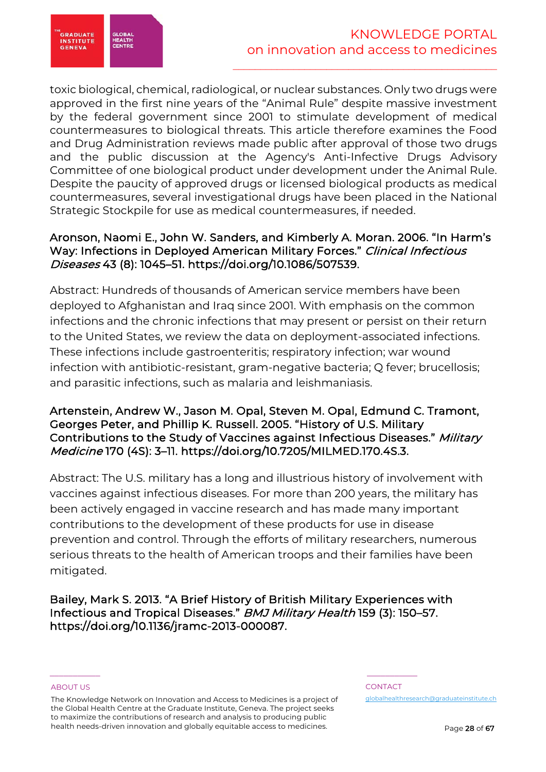

toxic biological, chemical, radiological, or nuclear substances. Only two drugs were approved in the first nine years of the "Animal Rule" despite massive investment by the federal government since 2001 to stimulate development of medical countermeasures to biological threats. This article therefore examines the Food and Drug Administration reviews made public after approval of those two drugs and the public discussion at the Agency's Anti-Infective Drugs Advisory Committee of one biological product under development under the Animal Rule. Despite the paucity of approved drugs or licensed biological products as medical countermeasures, several investigational drugs have been placed in the National Strategic Stockpile for use as medical countermeasures, if needed.

# Aronson, Naomi E., John W. Sanders, and Kimberly A. Moran. 2006. "In Harm's Way: Infections in Deployed American Military Forces." Clinical Infectious Diseases 43 (8): 1045–51. https://doi.org/10.1086/507539.

Abstract: Hundreds of thousands of American service members have been deployed to Afghanistan and Iraq since 2001. With emphasis on the common infections and the chronic infections that may present or persist on their return to the United States, we review the data on deployment-associated infections. These infections include gastroenteritis; respiratory infection; war wound infection with antibiotic-resistant, gram-negative bacteria; Q fever; brucellosis; and parasitic infections, such as malaria and leishmaniasis.

# Artenstein, Andrew W., Jason M. Opal, Steven M. Opal, Edmund C. Tramont, Georges Peter, and Phillip K. Russell. 2005. "History of U.S. Military Contributions to the Study of Vaccines against Infectious Diseases." Military Medicine 170 (4S): 3–11. https://doi.org/10.7205/MILMED.170.4S.3.

Abstract: The U.S. military has a long and illustrious history of involvement with vaccines against infectious diseases. For more than 200 years, the military has been actively engaged in vaccine research and has made many important contributions to the development of these products for use in disease prevention and control. Through the efforts of military researchers, numerous serious threats to the health of American troops and their families have been mitigated.

Bailey, Mark S. 2013. "A Brief History of British Military Experiences with Infectious and Tropical Diseases." BMJ Military Health 159 (3): 150-57. https://doi.org/10.1136/jramc-2013-000087.

\_\_\_\_\_\_\_\_\_\_\_ \_\_\_\_\_\_\_\_\_\_\_

The Knowledge Network on Innovation and Access to Medicines is a project of the Global Health Centre at the Graduate Institute, Geneva. The project seeks to maximize the contributions of research and analysis to producing public health needs-driven innovation and globally equitable access to medicines.

ABOUT US CONTACT AND RELEASED AT A RELEASED FOR THE RELEASED OF THE RELEASED OF THE RELEASED OF THE RELEASED OF THE RELEASED OF THE RELEASED OF THE RELEASED OF THE RELEASED OF THE RELEASED OF THE RELEASED OF THE RELEASED O globalhealthresearch@graduateinstitute.ch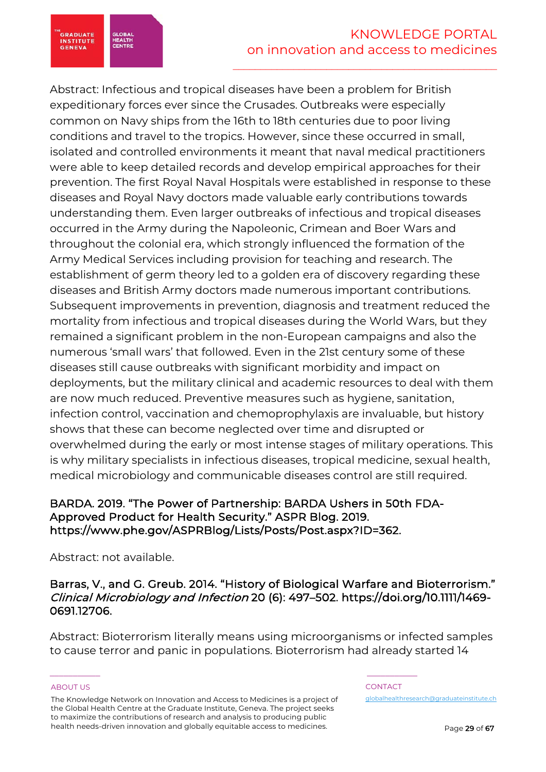Abstract: Infectious and tropical diseases have been a problem for British expeditionary forces ever since the Crusades. Outbreaks were especially common on Navy ships from the 16th to 18th centuries due to poor living conditions and travel to the tropics. However, since these occurred in small, isolated and controlled environments it meant that naval medical practitioners were able to keep detailed records and develop empirical approaches for their prevention. The first Royal Naval Hospitals were established in response to these diseases and Royal Navy doctors made valuable early contributions towards understanding them. Even larger outbreaks of infectious and tropical diseases occurred in the Army during the Napoleonic, Crimean and Boer Wars and throughout the colonial era, which strongly influenced the formation of the Army Medical Services including provision for teaching and research. The establishment of germ theory led to a golden era of discovery regarding these diseases and British Army doctors made numerous important contributions. Subsequent improvements in prevention, diagnosis and treatment reduced the mortality from infectious and tropical diseases during the World Wars, but they remained a significant problem in the non-European campaigns and also the numerous 'small wars' that followed. Even in the 21st century some of these diseases still cause outbreaks with significant morbidity and impact on deployments, but the military clinical and academic resources to deal with them are now much reduced. Preventive measures such as hygiene, sanitation, infection control, vaccination and chemoprophylaxis are invaluable, but history shows that these can become neglected over time and disrupted or overwhelmed during the early or most intense stages of military operations. This

is why military specialists in infectious diseases, tropical medicine, sexual health, medical microbiology and communicable diseases control are still required.

# BARDA. 2019. "The Power of Partnership: BARDA Ushers in 50th FDA-Approved Product for Health Security." ASPR Blog. 2019. https://www.phe.gov/ASPRBlog/Lists/Posts/Post.aspx?ID=362.

Abstract: not available.

# Barras, V., and G. Greub. 2014. "History of Biological Warfare and Bioterrorism." Clinical Microbiology and Infection 20 (6): 497–502. https://doi.org/10.1111/1469- 0691.12706.

Abstract: Bioterrorism literally means using microorganisms or infected samples to cause terror and panic in populations. Bioterrorism had already started 14

\_\_\_\_\_\_\_\_\_\_\_ \_\_\_\_\_\_\_\_\_\_\_

#### ABOUT US CONTACT AND RELEASED AT A RELEASED FOR THE RELEASED OF THE RELEASED OF THE RELEASED OF THE RELEASED OF THE RELEASED OF THE RELEASED OF THE RELEASED OF THE RELEASED OF THE RELEASED OF THE RELEASED OF THE RELEASED O

**GRADUATE** 

**INSTITUTE**<br>GENEVA

**GLOBAL**<br>HEALTH

The Knowledge Network on Innovation and Access to Medicines is a project of the Global Health Centre at the Graduate Institute, Geneva. The project seeks to maximize the contributions of research and analysis to producing public health needs-driven innovation and globally equitable access to medicines.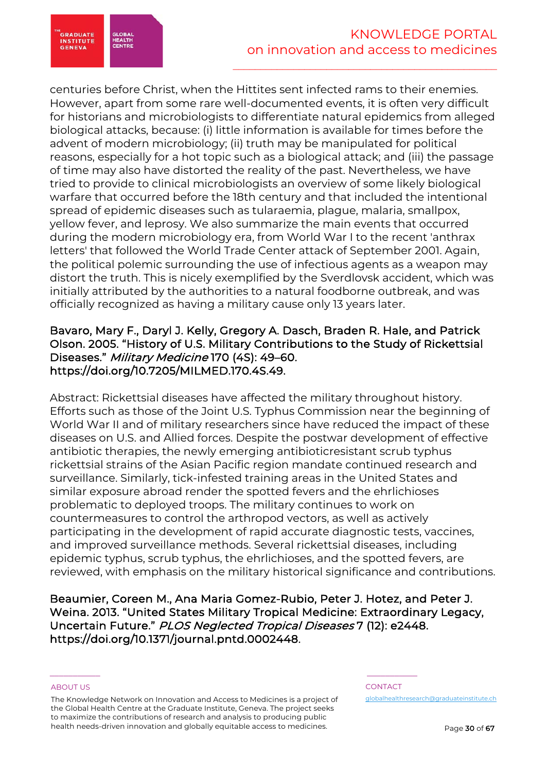

centuries before Christ, when the Hittites sent infected rams to their enemies. However, apart from some rare well-documented events, it is often very difficult for historians and microbiologists to differentiate natural epidemics from alleged biological attacks, because: (i) little information is available for times before the advent of modern microbiology; (ii) truth may be manipulated for political reasons, especially for a hot topic such as a biological attack; and (iii) the passage of time may also have distorted the reality of the past. Nevertheless, we have tried to provide to clinical microbiologists an overview of some likely biological warfare that occurred before the 18th century and that included the intentional spread of epidemic diseases such as tularaemia, plague, malaria, smallpox, yellow fever, and leprosy. We also summarize the main events that occurred during the modern microbiology era, from World War I to the recent 'anthrax letters' that followed the World Trade Center attack of September 2001. Again, the political polemic surrounding the use of infectious agents as a weapon may distort the truth. This is nicely exemplified by the Sverdlovsk accident, which was initially attributed by the authorities to a natural foodborne outbreak, and was officially recognized as having a military cause only 13 years later.

#### Bavaro, Mary F., Daryl J. Kelly, Gregory A. Dasch, Braden R. Hale, and Patrick Olson. 2005. "History of U.S. Military Contributions to the Study of Rickettsial Diseases." Military Medicine 170 (4S): 49–60. https://doi.org/10.7205/MILMED.170.4S.49.

Abstract: Rickettsial diseases have affected the military throughout history. Efforts such as those of the Joint U.S. Typhus Commission near the beginning of World War II and of military researchers since have reduced the impact of these diseases on U.S. and Allied forces. Despite the postwar development of effective antibiotic therapies, the newly emerging antibioticresistant scrub typhus rickettsial strains of the Asian Pacific region mandate continued research and surveillance. Similarly, tick-infested training areas in the United States and similar exposure abroad render the spotted fevers and the ehrlichioses problematic to deployed troops. The military continues to work on countermeasures to control the arthropod vectors, as well as actively participating in the development of rapid accurate diagnostic tests, vaccines, and improved surveillance methods. Several rickettsial diseases, including epidemic typhus, scrub typhus, the ehrlichioses, and the spotted fevers, are reviewed, with emphasis on the military historical significance and contributions.

Beaumier, Coreen M., Ana Maria Gomez-Rubio, Peter J. Hotez, and Peter J. Weina. 2013. "United States Military Tropical Medicine: Extraordinary Legacy, Uncertain Future." PLOS Neglected Tropical Diseases 7 (12): e2448. https://doi.org/10.1371/journal.pntd.0002448.

The Knowledge Network on Innovation and Access to Medicines is a project of the Global Health Centre at the Graduate Institute, Geneva. The project seeks to maximize the contributions of research and analysis to producing public health needs-driven innovation and globally equitable access to medicines.

\_\_\_\_\_\_\_\_\_\_\_ \_\_\_\_\_\_\_\_\_\_\_

ABOUT US CONTACT AND RELEASED AT A RELEASED FOR THE RELEASED OF THE RELEASED OF THE RELEASED OF THE RELEASED OF THE RELEASED OF THE RELEASED OF THE RELEASED OF THE RELEASED OF THE RELEASED OF THE RELEASED OF THE RELEASED O globalhealthresearch@graduateinstitute.ch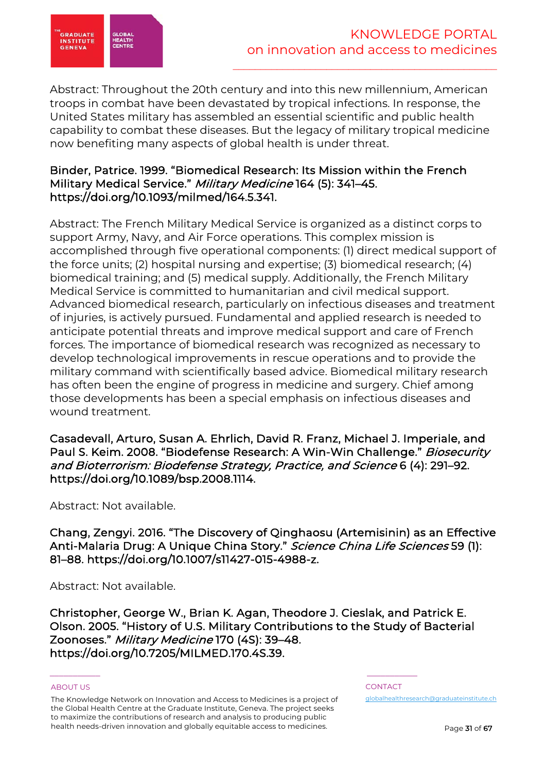

Abstract: Throughout the 20th century and into this new millennium, American troops in combat have been devastated by tropical infections. In response, the United States military has assembled an essential scientific and public health capability to combat these diseases. But the legacy of military tropical medicine now benefiting many aspects of global health is under threat.

#### Binder, Patrice. 1999. "Biomedical Research: Its Mission within the French Military Medical Service." Military Medicine 164 (5): 341-45. https://doi.org/10.1093/milmed/164.5.341.

Abstract: The French Military Medical Service is organized as a distinct corps to support Army, Navy, and Air Force operations. This complex mission is accomplished through five operational components: (1) direct medical support of the force units; (2) hospital nursing and expertise; (3) biomedical research; (4) biomedical training; and (5) medical supply. Additionally, the French Military Medical Service is committed to humanitarian and civil medical support. Advanced biomedical research, particularly on infectious diseases and treatment of injuries, is actively pursued. Fundamental and applied research is needed to anticipate potential threats and improve medical support and care of French forces. The importance of biomedical research was recognized as necessary to develop technological improvements in rescue operations and to provide the military command with scientifically based advice. Biomedical military research has often been the engine of progress in medicine and surgery. Chief among those developments has been a special emphasis on infectious diseases and wound treatment.

Casadevall, Arturo, Susan A. Ehrlich, David R. Franz, Michael J. Imperiale, and Paul S. Keim. 2008. "Biodefense Research: A Win-Win Challenge." Biosecurity and Bioterrorism: Biodefense Strategy, Practice, and Science 6 (4): 291–92. https://doi.org/10.1089/bsp.2008.1114.

Abstract: Not available.

Chang, Zengyi. 2016. "The Discovery of Qinghaosu (Artemisinin) as an Effective Anti-Malaria Drug: A Unique China Story." Science China Life Sciences 59 (1): 81–88. https://doi.org/10.1007/s11427-015-4988-z.

Abstract: Not available.

Christopher, George W., Brian K. Agan, Theodore J. Cieslak, and Patrick E. Olson. 2005. "History of U.S. Military Contributions to the Study of Bacterial Zoonoses." Military Medicine 170 (4S): 39–48. https://doi.org/10.7205/MILMED.170.4S.39.

\_\_\_\_\_\_\_\_\_\_\_ \_\_\_\_\_\_\_\_\_\_\_

#### ABOUT US CONTACT AND RELEASED AT A RELEASED FOR THE RELEASED OF THE RELEASED OF THE RELEASED OF THE RELEASED OF THE RELEASED OF THE RELEASED OF THE RELEASED OF THE RELEASED OF THE RELEASED OF THE RELEASED OF THE RELEASED O

The Knowledge Network on Innovation and Access to Medicines is a project of the Global Health Centre at the Graduate Institute, Geneva. The project seeks to maximize the contributions of research and analysis to producing public health needs-driven innovation and globally equitable access to medicines.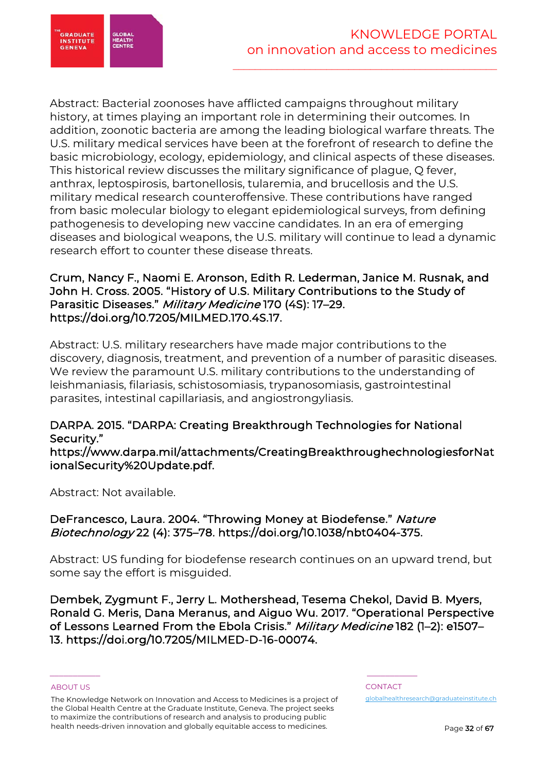

Abstract: Bacterial zoonoses have afflicted campaigns throughout military history, at times playing an important role in determining their outcomes. In addition, zoonotic bacteria are among the leading biological warfare threats. The U.S. military medical services have been at the forefront of research to define the basic microbiology, ecology, epidemiology, and clinical aspects of these diseases. This historical review discusses the military significance of plague, Q fever, anthrax, leptospirosis, bartonellosis, tularemia, and brucellosis and the U.S. military medical research counteroffensive. These contributions have ranged from basic molecular biology to elegant epidemiological surveys, from defining pathogenesis to developing new vaccine candidates. In an era of emerging diseases and biological weapons, the U.S. military will continue to lead a dynamic research effort to counter these disease threats.

#### Crum, Nancy F., Naomi E. Aronson, Edith R. Lederman, Janice M. Rusnak, and John H. Cross. 2005. "History of U.S. Military Contributions to the Study of Parasitic Diseases." Military Medicine 170 (4S): 17–29. https://doi.org/10.7205/MILMED.170.4S.17.

Abstract: U.S. military researchers have made major contributions to the discovery, diagnosis, treatment, and prevention of a number of parasitic diseases. We review the paramount U.S. military contributions to the understanding of leishmaniasis, filariasis, schistosomiasis, trypanosomiasis, gastrointestinal parasites, intestinal capillariasis, and angiostrongyliasis.

# DARPA. 2015. "DARPA: Creating Breakthrough Technologies for National Security."

https://www.darpa.mil/attachments/CreatingBreakthroughechnologiesforNat ionalSecurity%20Update.pdf.

Abstract: Not available.

# DeFrancesco, Laura. 2004. "Throwing Money at Biodefense." Nature Biotechnology 22 (4): 375–78. https://doi.org/10.1038/nbt0404-375.

\_\_\_\_\_\_\_\_\_\_\_ \_\_\_\_\_\_\_\_\_\_\_

Abstract: US funding for biodefense research continues on an upward trend, but some say the effort is misguided.

Dembek, Zygmunt F., Jerry L. Mothershead, Tesema Chekol, David B. Myers, Ronald G. Meris, Dana Meranus, and Aiguo Wu. 2017. "Operational Perspective of Lessons Learned From the Ebola Crisis." Military Medicine 182 (1-2): e1507-13. https://doi.org/10.7205/MILMED-D-16-00074.

ABOUT US CONTACT AND RELEASED AT A RELEASED FOR THE RELEASED OF THE RELEASED OF THE RELEASED OF THE RELEASED OF THE RELEASED OF THE RELEASED OF THE RELEASED OF THE RELEASED OF THE RELEASED OF THE RELEASED OF THE RELEASED O globalhealthresearch@graduateinstitute.ch

The Knowledge Network on Innovation and Access to Medicines is a project of the Global Health Centre at the Graduate Institute, Geneva. The project seeks to maximize the contributions of research and analysis to producing public health needs-driven innovation and globally equitable access to medicines.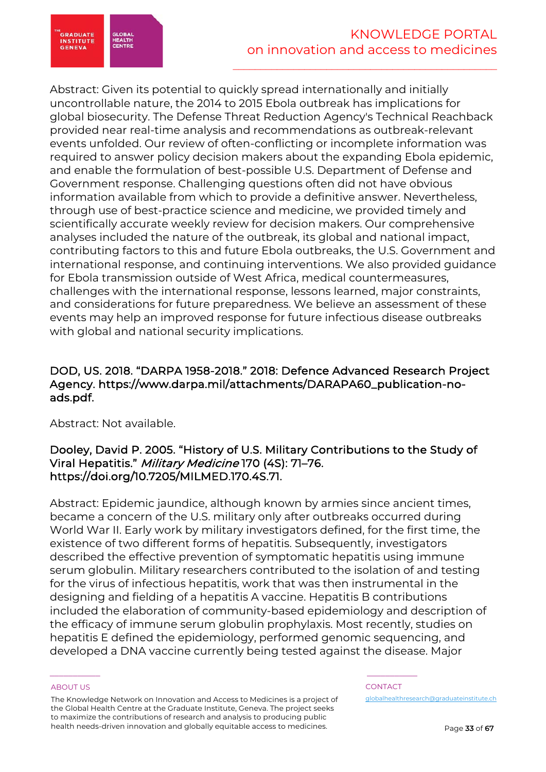

Abstract: Given its potential to quickly spread internationally and initially uncontrollable nature, the 2014 to 2015 Ebola outbreak has implications for global biosecurity. The Defense Threat Reduction Agency's Technical Reachback provided near real-time analysis and recommendations as outbreak-relevant events unfolded. Our review of often-conflicting or incomplete information was required to answer policy decision makers about the expanding Ebola epidemic, and enable the formulation of best-possible U.S. Department of Defense and Government response. Challenging questions often did not have obvious information available from which to provide a definitive answer. Nevertheless, through use of best-practice science and medicine, we provided timely and scientifically accurate weekly review for decision makers. Our comprehensive analyses included the nature of the outbreak, its global and national impact, contributing factors to this and future Ebola outbreaks, the U.S. Government and international response, and continuing interventions. We also provided guidance for Ebola transmission outside of West Africa, medical countermeasures, challenges with the international response, lessons learned, major constraints, and considerations for future preparedness. We believe an assessment of these events may help an improved response for future infectious disease outbreaks with global and national security implications.

# DOD, US. 2018. "DARPA 1958-2018." 2018: Defence Advanced Research Project Agency. https://www.darpa.mil/attachments/DARAPA60\_publication-noads.pdf.

Abstract: Not available.

# Dooley, David P. 2005. "History of U.S. Military Contributions to the Study of Viral Hepatitis." Military Medicine 170 (4S): 71–76. https://doi.org/10.7205/MILMED.170.4S.71.

Abstract: Epidemic jaundice, although known by armies since ancient times, became a concern of the U.S. military only after outbreaks occurred during World War II. Early work by military investigators defined, for the first time, the existence of two different forms of hepatitis. Subsequently, investigators described the effective prevention of symptomatic hepatitis using immune serum globulin. Military researchers contributed to the isolation of and testing for the virus of infectious hepatitis, work that was then instrumental in the designing and fielding of a hepatitis A vaccine. Hepatitis B contributions included the elaboration of community-based epidemiology and description of the efficacy of immune serum globulin prophylaxis. Most recently, studies on hepatitis E defined the epidemiology, performed genomic sequencing, and developed a DNA vaccine currently being tested against the disease. Major

#### ABOUT US CONTACT AND RELEASED AT A RELEASED FOR THE RELEASED OF THE RELEASED OF THE RELEASED OF THE RELEASED OF THE RELEASED OF THE RELEASED OF THE RELEASED OF THE RELEASED OF THE RELEASED OF THE RELEASED OF THE RELEASED O

The Knowledge Network on Innovation and Access to Medicines is a project of the Global Health Centre at the Graduate Institute, Geneva. The project seeks to maximize the contributions of research and analysis to producing public health needs-driven innovation and globally equitable access to medicines.

\_\_\_\_\_\_\_\_\_\_\_ \_\_\_\_\_\_\_\_\_\_\_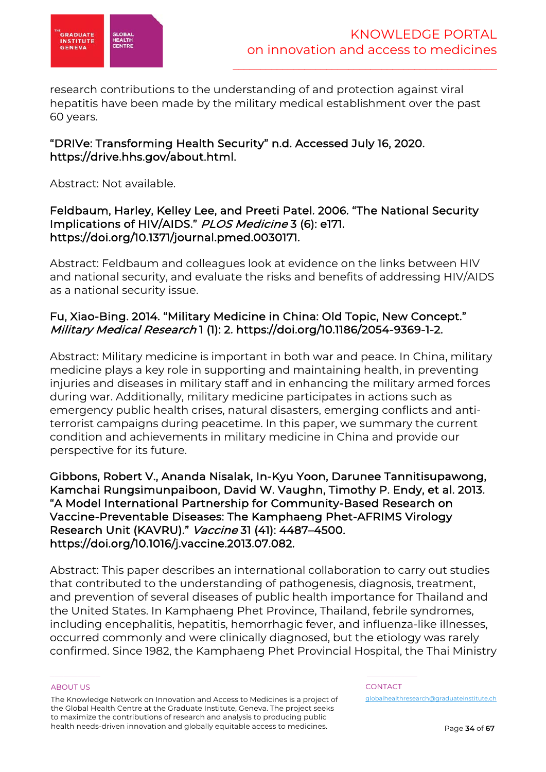

research contributions to the understanding of and protection against viral hepatitis have been made by the military medical establishment over the past 60 years.

# "DRIVe: Transforming Health Security" n.d. Accessed July 16, 2020. https://drive.hhs.gov/about.html.

Abstract: Not available.

#### Feldbaum, Harley, Kelley Lee, and Preeti Patel. 2006. "The National Security Implications of HIV/AIDS." PLOS Medicine 3 (6): e171. https://doi.org/10.1371/journal.pmed.0030171.

Abstract: Feldbaum and colleagues look at evidence on the links between HIV and national security, and evaluate the risks and benefits of addressing HIV/AIDS as a national security issue.

# Fu, Xiao-Bing. 2014. "Military Medicine in China: Old Topic, New Concept." Military Medical Research 1 (1): 2. https://doi.org/10.1186/2054-9369-1-2.

Abstract: Military medicine is important in both war and peace. In China, military medicine plays a key role in supporting and maintaining health, in preventing injuries and diseases in military staff and in enhancing the military armed forces during war. Additionally, military medicine participates in actions such as emergency public health crises, natural disasters, emerging conflicts and antiterrorist campaigns during peacetime. In this paper, we summary the current condition and achievements in military medicine in China and provide our perspective for its future.

Gibbons, Robert V., Ananda Nisalak, In-Kyu Yoon, Darunee Tannitisupawong, Kamchai Rungsimunpaiboon, David W. Vaughn, Timothy P. Endy, et al. 2013. "A Model International Partnership for Community-Based Research on Vaccine-Preventable Diseases: The Kamphaeng Phet-AFRIMS Virology Research Unit (KAVRU)." Vaccine 31 (41): 4487–4500. https://doi.org/10.1016/j.vaccine.2013.07.082.

Abstract: This paper describes an international collaboration to carry out studies that contributed to the understanding of pathogenesis, diagnosis, treatment, and prevention of several diseases of public health importance for Thailand and the United States. In Kamphaeng Phet Province, Thailand, febrile syndromes, including encephalitis, hepatitis, hemorrhagic fever, and influenza-like illnesses, occurred commonly and were clinically diagnosed, but the etiology was rarely confirmed. Since 1982, the Kamphaeng Phet Provincial Hospital, the Thai Ministry

The Knowledge Network on Innovation and Access to Medicines is a project of the Global Health Centre at the Graduate Institute, Geneva. The project seeks to maximize the contributions of research and analysis to producing public health needs-driven innovation and globally equitable access to medicines.

\_\_\_\_\_\_\_\_\_\_\_ \_\_\_\_\_\_\_\_\_\_\_

ABOUT US CONTACT AND RELEASED AT A RELEASED FOR THE RELEASED OF THE RELEASED OF THE RELEASED OF THE RELEASED OF THE RELEASED OF THE RELEASED OF THE RELEASED OF THE RELEASED OF THE RELEASED OF THE RELEASED OF THE RELEASED O globalhealthresearch@graduateinstitute.ch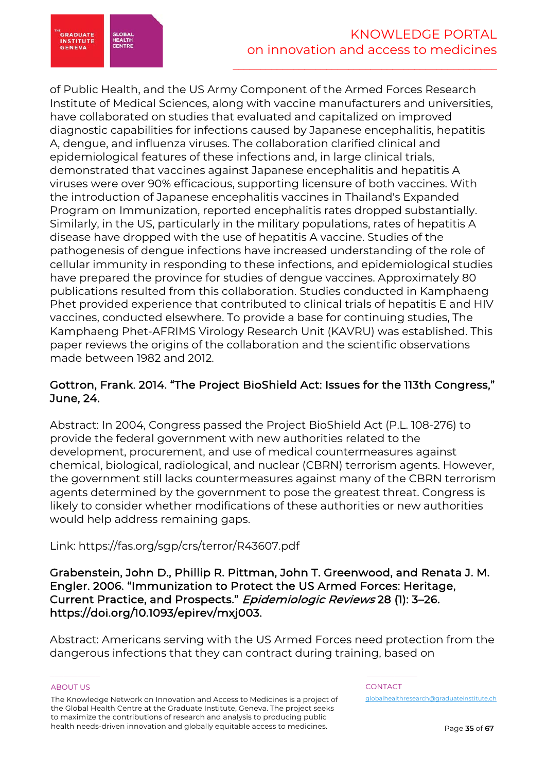

of Public Health, and the US Army Component of the Armed Forces Research Institute of Medical Sciences, along with vaccine manufacturers and universities, have collaborated on studies that evaluated and capitalized on improved diagnostic capabilities for infections caused by Japanese encephalitis, hepatitis A, dengue, and influenza viruses. The collaboration clarified clinical and epidemiological features of these infections and, in large clinical trials, demonstrated that vaccines against Japanese encephalitis and hepatitis A viruses were over 90% efficacious, supporting licensure of both vaccines. With the introduction of Japanese encephalitis vaccines in Thailand's Expanded Program on Immunization, reported encephalitis rates dropped substantially. Similarly, in the US, particularly in the military populations, rates of hepatitis A disease have dropped with the use of hepatitis A vaccine. Studies of the pathogenesis of dengue infections have increased understanding of the role of cellular immunity in responding to these infections, and epidemiological studies have prepared the province for studies of dengue vaccines. Approximately 80 publications resulted from this collaboration. Studies conducted in Kamphaeng Phet provided experience that contributed to clinical trials of hepatitis E and HIV vaccines, conducted elsewhere. To provide a base for continuing studies, The Kamphaeng Phet-AFRIMS Virology Research Unit (KAVRU) was established. This paper reviews the origins of the collaboration and the scientific observations made between 1982 and 2012.

# Gottron, Frank. 2014. "The Project BioShield Act: Issues for the 113th Congress," June, 24.

Abstract: In 2004, Congress passed the Project BioShield Act (P.L. 108-276) to provide the federal government with new authorities related to the development, procurement, and use of medical countermeasures against chemical, biological, radiological, and nuclear (CBRN) terrorism agents. However, the government still lacks countermeasures against many of the CBRN terrorism agents determined by the government to pose the greatest threat. Congress is likely to consider whether modifications of these authorities or new authorities would help address remaining gaps.

# Link: https://fas.org/sgp/crs/terror/R43607.pdf

Grabenstein, John D., Phillip R. Pittman, John T. Greenwood, and Renata J. M. Engler. 2006. "Immunization to Protect the US Armed Forces: Heritage, Current Practice, and Prospects." Epidemiologic Reviews 28 (1): 3–26. https://doi.org/10.1093/epirev/mxj003.

Abstract: Americans serving with the US Armed Forces need protection from the dangerous infections that they can contract during training, based on

\_\_\_\_\_\_\_\_\_\_\_ \_\_\_\_\_\_\_\_\_\_\_

#### ABOUT US CONTACT AND RELEASED AT A RELEASED FOR THE RELEASED OF THE RELEASED OF THE RELEASED OF THE RELEASED OF THE RELEASED OF THE RELEASED OF THE RELEASED OF THE RELEASED OF THE RELEASED OF THE RELEASED OF THE RELEASED O

**GRADUATE** 

**INSTITUTE**<br>GENEVA

**GLOBAL**<br>HEALTH

The Knowledge Network on Innovation and Access to Medicines is a project of the Global Health Centre at the Graduate Institute, Geneva. The project seeks to maximize the contributions of research and analysis to producing public health needs-driven innovation and globally equitable access to medicines.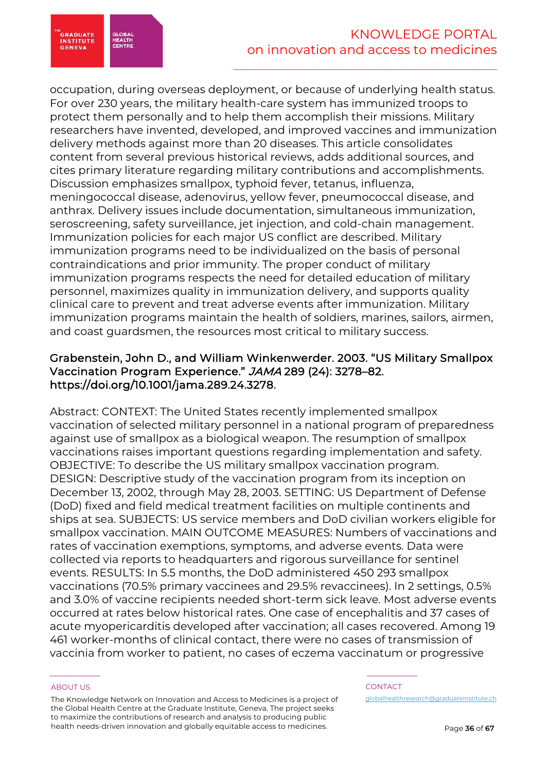

occupation, during overseas deployment, or because of underlying health status. For over 230 years, the military health-care system has immunized troops to protect them personally and to help them accomplish their missions. Military researchers have invented, developed, and improved vaccines and immunization delivery methods against more than 20 diseases. This article consolidates content from several previous historical reviews, adds additional sources, and cites primary literature regarding military contributions and accomplishments. Discussion emphasizes smallpox, typhoid fever, tetanus, influenza, meningococcal disease, adenovirus, yellow fever, pneumococcal disease, and anthrax. Delivery issues include documentation, simultaneous immunization, seroscreening, safety surveillance, jet injection, and cold-chain management. Immunization policies for each major US conflict are described. Military immunization programs need to be individualized on the basis of personal contraindications and prior immunity. The proper conduct of military immunization programs respects the need for detailed education of military personnel, maximizes quality in immunization delivery, and supports quality clinical care to prevent and treat adverse events after immunization. Military immunization programs maintain the health of soldiers, marines, sailors, airmen, and coast guardsmen, the resources most critical to military success.

# Grabenstein, John D., and William Winkenwerder. 2003. "US Military Smallpox Vaccination Program Experience." JAMA 289 (24): 3278–82. https://doi.org/10.1001/jama.289.24.3278.

Abstract: CONTEXT: The United States recently implemented smallpox vaccination of selected military personnel in a national program of preparedness against use of smallpox as a biological weapon. The resumption of smallpox vaccinations raises important questions regarding implementation and safety. OBJECTIVE: To describe the US military smallpox vaccination program. DESIGN: Descriptive study of the vaccination program from its inception on December 13, 2002, through May 28, 2003. SETTING: US Department of Defense (DoD) fixed and field medical treatment facilities on multiple continents and ships at sea. SUBJECTS: US service members and DoD civilian workers eligible for smallpox vaccination. MAIN OUTCOME MEASURES: Numbers of vaccinations and rates of vaccination exemptions, symptoms, and adverse events. Data were collected via reports to headquarters and rigorous surveillance for sentinel events. RESULTS: In 5.5 months, the DoD administered 450 293 smallpox vaccinations (70.5% primary vaccinees and 29.5% revaccinees). In 2 settings, 0.5% and 3.0% of vaccine recipients needed short-term sick leave. Most adverse events occurred at rates below historical rates. One case of encephalitis and 37 cases of acute myopericarditis developed after vaccination; all cases recovered. Among 19 461 worker-months of clinical contact, there were no cases of transmission of vaccinia from worker to patient, no cases of eczema vaccinatum or progressive

#### ABOUT US CONTACT AND RELEASED AT A RELEASED FOR THE RELEASED OF THE RELEASED OF THE RELEASED OF THE RELEASED OF THE RELEASED OF THE RELEASED OF THE RELEASED OF THE RELEASED OF THE RELEASED OF THE RELEASED OF THE RELEASED O

**GRADUATE** 

**INSTITUTE**<br>GENEVA

**GLOBAL**<br>HEALTH

CENTRE

The Knowledge Network on Innovation and Access to Medicines is a project of the Global Health Centre at the Graduate Institute, Geneva. The project seeks to maximize the contributions of research and analysis to producing public health needs-driven innovation and globally equitable access to medicines.

\_\_\_\_\_\_\_\_\_\_\_ \_\_\_\_\_\_\_\_\_\_\_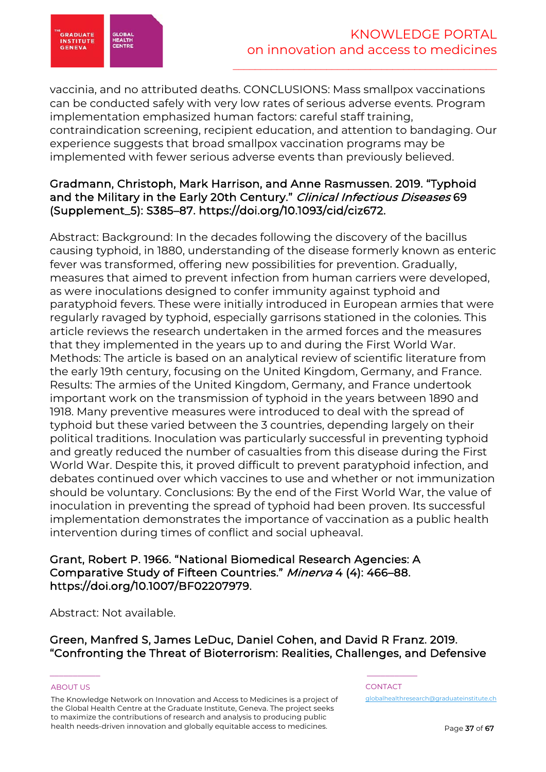

vaccinia, and no attributed deaths. CONCLUSIONS: Mass smallpox vaccinations can be conducted safely with very low rates of serious adverse events. Program implementation emphasized human factors: careful staff training, contraindication screening, recipient education, and attention to bandaging. Our experience suggests that broad smallpox vaccination programs may be implemented with fewer serious adverse events than previously believed.

# Gradmann, Christoph, Mark Harrison, and Anne Rasmussen. 2019. "Typhoid and the Military in the Early 20th Century." Clinical Infectious Diseases 69 (Supplement\_5): S385–87. https://doi.org/10.1093/cid/ciz672.

Abstract: Background: In the decades following the discovery of the bacillus causing typhoid, in 1880, understanding of the disease formerly known as enteric fever was transformed, offering new possibilities for prevention. Gradually, measures that aimed to prevent infection from human carriers were developed, as were inoculations designed to confer immunity against typhoid and paratyphoid fevers. These were initially introduced in European armies that were regularly ravaged by typhoid, especially garrisons stationed in the colonies. This article reviews the research undertaken in the armed forces and the measures that they implemented in the years up to and during the First World War. Methods: The article is based on an analytical review of scientific literature from the early 19th century, focusing on the United Kingdom, Germany, and France. Results: The armies of the United Kingdom, Germany, and France undertook important work on the transmission of typhoid in the years between 1890 and 1918. Many preventive measures were introduced to deal with the spread of typhoid but these varied between the 3 countries, depending largely on their political traditions. Inoculation was particularly successful in preventing typhoid and greatly reduced the number of casualties from this disease during the First World War. Despite this, it proved difficult to prevent paratyphoid infection, and debates continued over which vaccines to use and whether or not immunization should be voluntary. Conclusions: By the end of the First World War, the value of inoculation in preventing the spread of typhoid had been proven. Its successful implementation demonstrates the importance of vaccination as a public health intervention during times of conflict and social upheaval.

#### Grant, Robert P. 1966. "National Biomedical Research Agencies: A Comparative Study of Fifteen Countries." Minerva 4 (4): 466–88. https://doi.org/10.1007/BF02207979.

\_\_\_\_\_\_\_\_\_\_\_ \_\_\_\_\_\_\_\_\_\_\_

Abstract: Not available.

Green, Manfred S, James LeDuc, Daniel Cohen, and David R Franz. 2019. "Confronting the Threat of Bioterrorism: Realities, Challenges, and Defensive

#### ABOUT US CONTACT AND RELEASED AT A RELEASED FOR THE RELEASED OF THE RELEASED OF THE RELEASED OF THE RELEASED OF THE RELEASED OF THE RELEASED OF THE RELEASED OF THE RELEASED OF THE RELEASED OF THE RELEASED OF THE RELEASED O

The Knowledge Network on Innovation and Access to Medicines is a project of the Global Health Centre at the Graduate Institute, Geneva. The project seeks to maximize the contributions of research and analysis to producing public health needs-driven innovation and globally equitable access to medicines.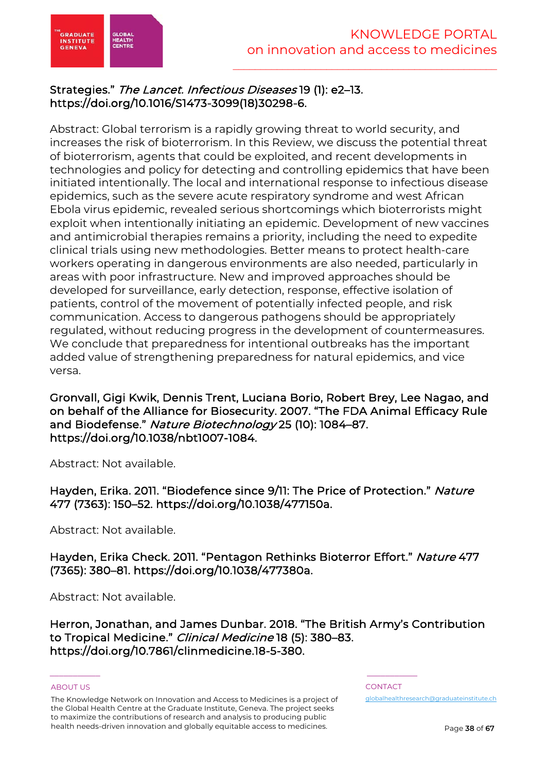

# Strategies." The Lancet. Infectious Diseases 19 (1): e2-13. https://doi.org/10.1016/S1473-3099(18)30298-6.

Abstract: Global terrorism is a rapidly growing threat to world security, and increases the risk of bioterrorism. In this Review, we discuss the potential threat of bioterrorism, agents that could be exploited, and recent developments in technologies and policy for detecting and controlling epidemics that have been initiated intentionally. The local and international response to infectious disease epidemics, such as the severe acute respiratory syndrome and west African Ebola virus epidemic, revealed serious shortcomings which bioterrorists might exploit when intentionally initiating an epidemic. Development of new vaccines and antimicrobial therapies remains a priority, including the need to expedite clinical trials using new methodologies. Better means to protect health-care workers operating in dangerous environments are also needed, particularly in areas with poor infrastructure. New and improved approaches should be developed for surveillance, early detection, response, effective isolation of patients, control of the movement of potentially infected people, and risk communication. Access to dangerous pathogens should be appropriately regulated, without reducing progress in the development of countermeasures. We conclude that preparedness for intentional outbreaks has the important added value of strengthening preparedness for natural epidemics, and vice versa.

Gronvall, Gigi Kwik, Dennis Trent, Luciana Borio, Robert Brey, Lee Nagao, and on behalf of the Alliance for Biosecurity. 2007. "The FDA Animal Efficacy Rule and Biodefense." Nature Biotechnology 25 (10): 1084-87. https://doi.org/10.1038/nbt1007-1084.

Abstract: Not available.

Hayden, Erika. 2011. "Biodefence since 9/11: The Price of Protection." Nature 477 (7363): 150–52. https://doi.org/10.1038/477150a.

Abstract: Not available.

Hayden, Erika Check. 2011. "Pentagon Rethinks Bioterror Effort." Nature 477 (7365): 380–81. https://doi.org/10.1038/477380a.

Abstract: Not available.

Herron, Jonathan, and James Dunbar. 2018. "The British Army's Contribution to Tropical Medicine." Clinical Medicine 18 (5): 380-83. https://doi.org/10.7861/clinmedicine.18-5-380.

\_\_\_\_\_\_\_\_\_\_\_ \_\_\_\_\_\_\_\_\_\_\_

#### ABOUT US CONTACT AND RELEASED AT A RELEASED FOR THE RELEASED OF THE RELEASED OF THE RELEASED OF THE RELEASED OF THE RELEASED OF THE RELEASED OF THE RELEASED OF THE RELEASED OF THE RELEASED OF THE RELEASED OF THE RELEASED O

The Knowledge Network on Innovation and Access to Medicines is a project of the Global Health Centre at the Graduate Institute, Geneva. The project seeks to maximize the contributions of research and analysis to producing public health needs-driven innovation and globally equitable access to medicines.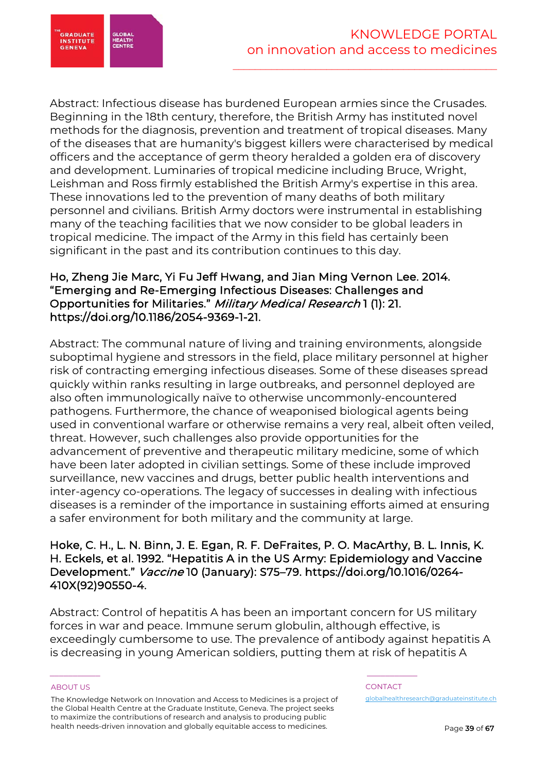

Abstract: Infectious disease has burdened European armies since the Crusades. Beginning in the 18th century, therefore, the British Army has instituted novel methods for the diagnosis, prevention and treatment of tropical diseases. Many of the diseases that are humanity's biggest killers were characterised by medical officers and the acceptance of germ theory heralded a golden era of discovery and development. Luminaries of tropical medicine including Bruce, Wright, Leishman and Ross firmly established the British Army's expertise in this area. These innovations led to the prevention of many deaths of both military personnel and civilians. British Army doctors were instrumental in establishing many of the teaching facilities that we now consider to be global leaders in tropical medicine. The impact of the Army in this field has certainly been significant in the past and its contribution continues to this day.

# Ho, Zheng Jie Marc, Yi Fu Jeff Hwang, and Jian Ming Vernon Lee. 2014. "Emerging and Re-Emerging Infectious Diseases: Challenges and Opportunities for Militaries." Military Medical Research 1 (1): 21. https://doi.org/10.1186/2054-9369-1-21.

Abstract: The communal nature of living and training environments, alongside suboptimal hygiene and stressors in the field, place military personnel at higher risk of contracting emerging infectious diseases. Some of these diseases spread quickly within ranks resulting in large outbreaks, and personnel deployed are also often immunologically naïve to otherwise uncommonly-encountered pathogens. Furthermore, the chance of weaponised biological agents being used in conventional warfare or otherwise remains a very real, albeit often veiled, threat. However, such challenges also provide opportunities for the advancement of preventive and therapeutic military medicine, some of which have been later adopted in civilian settings. Some of these include improved surveillance, new vaccines and drugs, better public health interventions and inter-agency co-operations. The legacy of successes in dealing with infectious diseases is a reminder of the importance in sustaining efforts aimed at ensuring a safer environment for both military and the community at large.

# Hoke, C. H., L. N. Binn, J. E. Egan, R. F. DeFraites, P. O. MacArthy, B. L. Innis, K. H. Eckels, et al. 1992. "Hepatitis A in the US Army: Epidemiology and Vaccine Development." Vaccine 10 (January): S75–79. https://doi.org/10.1016/0264- 410X(92)90550-4.

Abstract: Control of hepatitis A has been an important concern for US military forces in war and peace. Immune serum globulin, although effective, is exceedingly cumbersome to use. The prevalence of antibody against hepatitis A is decreasing in young American soldiers, putting them at risk of hepatitis A

\_\_\_\_\_\_\_\_\_\_\_ \_\_\_\_\_\_\_\_\_\_\_

#### ABOUT US CONTACT AND RELEASED AT A RELEASED FOR THE RELEASED OF THE RELEASED OF THE RELEASED OF THE RELEASED OF THE RELEASED OF THE RELEASED OF THE RELEASED OF THE RELEASED OF THE RELEASED OF THE RELEASED OF THE RELEASED O

The Knowledge Network on Innovation and Access to Medicines is a project of the Global Health Centre at the Graduate Institute, Geneva. The project seeks to maximize the contributions of research and analysis to producing public health needs-driven innovation and globally equitable access to medicines.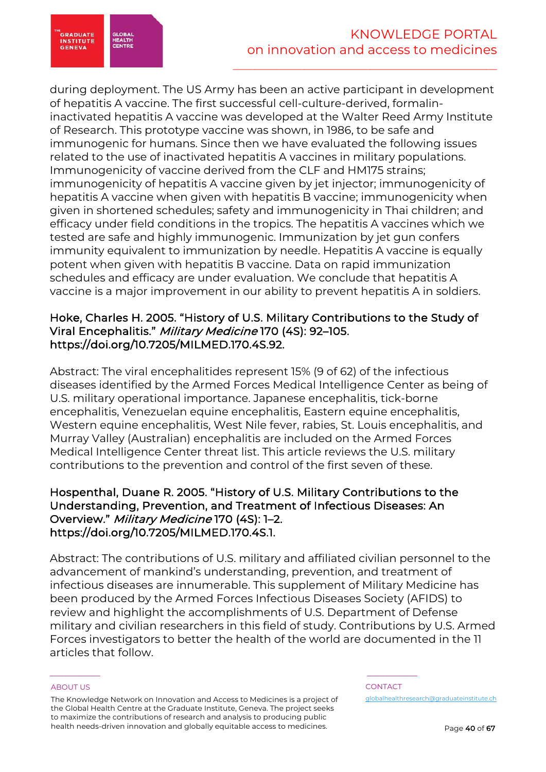

during deployment. The US Army has been an active participant in development of hepatitis A vaccine. The first successful cell-culture-derived, formalininactivated hepatitis A vaccine was developed at the Walter Reed Army Institute of Research. This prototype vaccine was shown, in 1986, to be safe and immunogenic for humans. Since then we have evaluated the following issues related to the use of inactivated hepatitis A vaccines in military populations. Immunogenicity of vaccine derived from the CLF and HM175 strains; immunogenicity of hepatitis A vaccine given by jet injector; immunogenicity of hepatitis A vaccine when given with hepatitis B vaccine; immunogenicity when given in shortened schedules; safety and immunogenicity in Thai children; and efficacy under field conditions in the tropics. The hepatitis A vaccines which we tested are safe and highly immunogenic. Immunization by jet gun confers immunity equivalent to immunization by needle. Hepatitis A vaccine is equally potent when given with hepatitis B vaccine. Data on rapid immunization schedules and efficacy are under evaluation. We conclude that hepatitis A vaccine is a major improvement in our ability to prevent hepatitis A in soldiers.

#### Hoke, Charles H. 2005. "History of U.S. Military Contributions to the Study of Viral Encephalitis." Military Medicine 170 (4S): 92–105. https://doi.org/10.7205/MILMED.170.4S.92.

Abstract: The viral encephalitides represent 15% (9 of 62) of the infectious diseases identified by the Armed Forces Medical Intelligence Center as being of U.S. military operational importance. Japanese encephalitis, tick-borne encephalitis, Venezuelan equine encephalitis, Eastern equine encephalitis, Western equine encephalitis, West Nile fever, rabies, St. Louis encephalitis, and Murray Valley (Australian) encephalitis are included on the Armed Forces Medical Intelligence Center threat list. This article reviews the U.S. military contributions to the prevention and control of the first seven of these.

# Hospenthal, Duane R. 2005. "History of U.S. Military Contributions to the Understanding, Prevention, and Treatment of Infectious Diseases: An Overview." Military Medicine 170 (4S): 1–2. https://doi.org/10.7205/MILMED.170.4S.1.

Abstract: The contributions of U.S. military and affiliated civilian personnel to the advancement of mankind's understanding, prevention, and treatment of infectious diseases are innumerable. This supplement of Military Medicine has been produced by the Armed Forces Infectious Diseases Society (AFIDS) to review and highlight the accomplishments of U.S. Department of Defense military and civilian researchers in this field of study. Contributions by U.S. Armed Forces investigators to better the health of the world are documented in the 11 articles that follow.

#### ABOUT US CONTACT AND RELEASED AT A RELEASED FOR THE RELEASED OF THE RELEASED OF THE RELEASED OF THE RELEASED OF THE RELEASED OF THE RELEASED OF THE RELEASED OF THE RELEASED OF THE RELEASED OF THE RELEASED OF THE RELEASED O

The Knowledge Network on Innovation and Access to Medicines is a project of the Global Health Centre at the Graduate Institute, Geneva. The project seeks to maximize the contributions of research and analysis to producing public health needs-driven innovation and globally equitable access to medicines.

\_\_\_\_\_\_\_\_\_\_\_ \_\_\_\_\_\_\_\_\_\_\_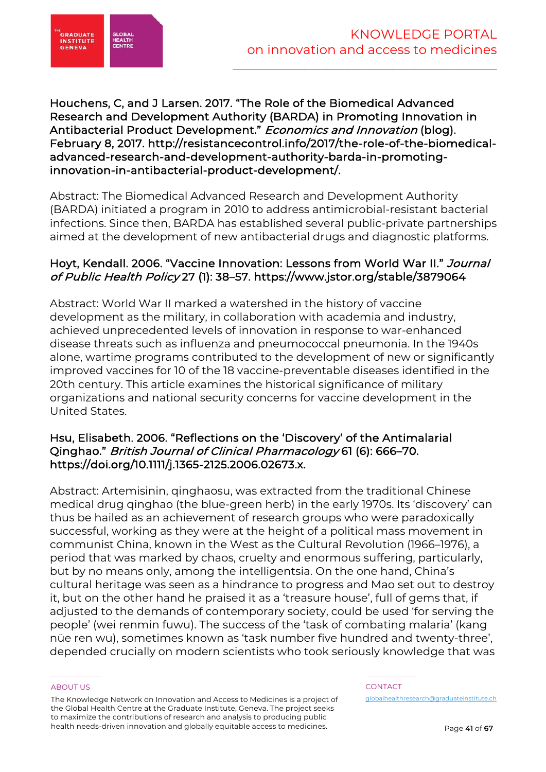

Houchens, C, and J Larsen. 2017. "The Role of the Biomedical Advanced Research and Development Authority (BARDA) in Promoting Innovation in Antibacterial Product Development." Economics and Innovation (blog). February 8, 2017. http://resistancecontrol.info/2017/the-role-of-the-biomedicaladvanced-research-and-development-authority-barda-in-promotinginnovation-in-antibacterial-product-development/.

Abstract: The Biomedical Advanced Research and Development Authority (BARDA) initiated a program in 2010 to address antimicrobial-resistant bacterial infections. Since then, BARDA has established several public-private partnerships aimed at the development of new antibacterial drugs and diagnostic platforms.

#### Hoyt, Kendall. 2006. "Vaccine Innovation: Lessons from World War II." Journal of Public Health Policy 27 (1): 38–57. https://www.jstor.org/stable/3879064

Abstract: World War II marked a watershed in the history of vaccine development as the military, in collaboration with academia and industry, achieved unprecedented levels of innovation in response to war-enhanced disease threats such as influenza and pneumococcal pneumonia. In the 1940s alone, wartime programs contributed to the development of new or significantly improved vaccines for 10 of the 18 vaccine-preventable diseases identified in the 20th century. This article examines the historical significance of military organizations and national security concerns for vaccine development in the United States.

# Hsu, Elisabeth. 2006. "Reflections on the 'Discovery' of the Antimalarial Qinghao." British Journal of Clinical Pharmacology 61 (6): 666–70. https://doi.org/10.1111/j.1365-2125.2006.02673.x.

Abstract: Artemisinin, qinghaosu, was extracted from the traditional Chinese medical drug qinghao (the blue-green herb) in the early 1970s. Its 'discovery' can thus be hailed as an achievement of research groups who were paradoxically successful, working as they were at the height of a political mass movement in communist China, known in the West as the Cultural Revolution (1966–1976), a period that was marked by chaos, cruelty and enormous suffering, particularly, but by no means only, among the intelligentsia. On the one hand, China's cultural heritage was seen as a hindrance to progress and Mao set out to destroy it, but on the other hand he praised it as a 'treasure house', full of gems that, if adjusted to the demands of contemporary society, could be used 'for serving the people' (wei renmin fuwu). The success of the 'task of combating malaria' (kang nüe ren wu), sometimes known as 'task number five hundred and twenty-three', depended crucially on modern scientists who took seriously knowledge that was

#### ABOUT US CONTACT AND RELEASED AT A RELEASED FOR THE RELEASED OF THE RELEASED OF THE RELEASED OF THE RELEASED OF THE RELEASED OF THE RELEASED OF THE RELEASED OF THE RELEASED OF THE RELEASED OF THE RELEASED OF THE RELEASED O

The Knowledge Network on Innovation and Access to Medicines is a project of the Global Health Centre at the Graduate Institute, Geneva. The project seeks to maximize the contributions of research and analysis to producing public health needs-driven innovation and globally equitable access to medicines.

\_\_\_\_\_\_\_\_\_\_\_ \_\_\_\_\_\_\_\_\_\_\_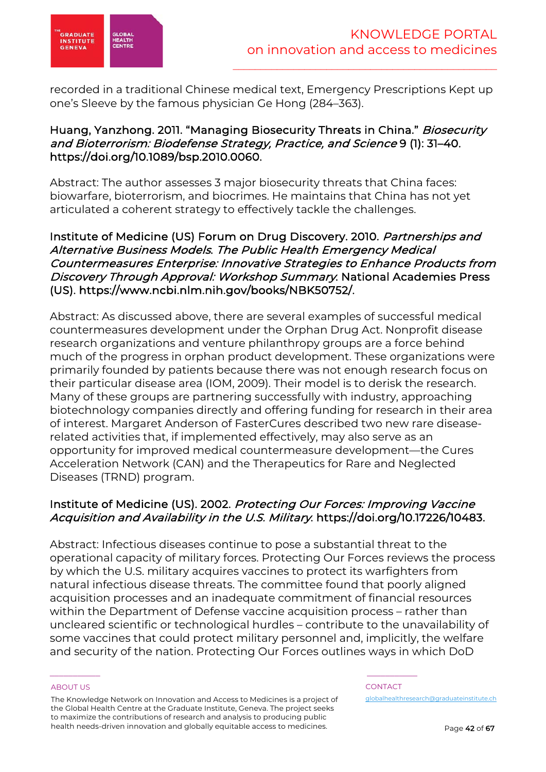

recorded in a traditional Chinese medical text, Emergency Prescriptions Kept up one's Sleeve by the famous physician Ge Hong (284–363).

# Huang, Yanzhong. 2011. "Managing Biosecurity Threats in China." Biosecurity and Bioterrorism: Biodefense Strategy, Practice, and Science 9 (1): 31–40. https://doi.org/10.1089/bsp.2010.0060.

Abstract: The author assesses 3 major biosecurity threats that China faces: biowarfare, bioterrorism, and biocrimes. He maintains that China has not yet articulated a coherent strategy to effectively tackle the challenges.

# Institute of Medicine (US) Forum on Drug Discovery. 2010. Partnerships and Alternative Business Models. The Public Health Emergency Medical Countermeasures Enterprise: Innovative Strategies to Enhance Products from Discovery Through Approval: Workshop Summary. National Academies Press (US). https://www.ncbi.nlm.nih.gov/books/NBK50752/.

Abstract: As discussed above, there are several examples of successful medical countermeasures development under the Orphan Drug Act. Nonprofit disease research organizations and venture philanthropy groups are a force behind much of the progress in orphan product development. These organizations were primarily founded by patients because there was not enough research focus on their particular disease area (IOM, 2009). Their model is to derisk the research. Many of these groups are partnering successfully with industry, approaching biotechnology companies directly and offering funding for research in their area of interest. Margaret Anderson of FasterCures described two new rare diseaserelated activities that, if implemented effectively, may also serve as an opportunity for improved medical countermeasure development—the Cures Acceleration Network (CAN) and the Therapeutics for Rare and Neglected Diseases (TRND) program.

# Institute of Medicine (US). 2002. Protecting Our Forces: Improving Vaccine Acquisition and Availability in the U.S. Military. https://doi.org/10.17226/10483.

Abstract: Infectious diseases continue to pose a substantial threat to the operational capacity of military forces. Protecting Our Forces reviews the process by which the U.S. military acquires vaccines to protect its warfighters from natural infectious disease threats. The committee found that poorly aligned acquisition processes and an inadequate commitment of financial resources within the Department of Defense vaccine acquisition process – rather than uncleared scientific or technological hurdles – contribute to the unavailability of some vaccines that could protect military personnel and, implicitly, the welfare and security of the nation. Protecting Our Forces outlines ways in which DoD

#### ABOUT US CONTACT AND RELEASED AT A RELEASED FOR THE RELEASED OF THE RELEASED OF THE RELEASED OF THE RELEASED OF THE RELEASED OF THE RELEASED OF THE RELEASED OF THE RELEASED OF THE RELEASED OF THE RELEASED OF THE RELEASED O

The Knowledge Network on Innovation and Access to Medicines is a project of the Global Health Centre at the Graduate Institute, Geneva. The project seeks to maximize the contributions of research and analysis to producing public health needs-driven innovation and globally equitable access to medicines.

\_\_\_\_\_\_\_\_\_\_\_ \_\_\_\_\_\_\_\_\_\_\_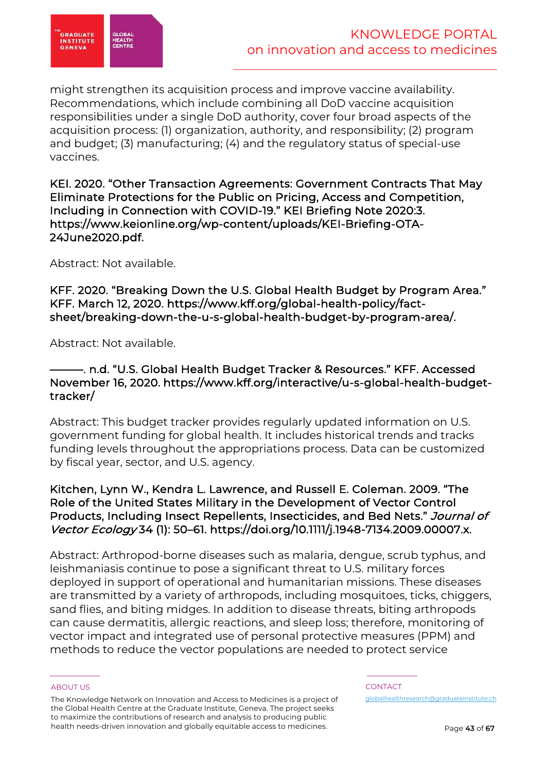

might strengthen its acquisition process and improve vaccine availability. Recommendations, which include combining all DoD vaccine acquisition responsibilities under a single DoD authority, cover four broad aspects of the acquisition process: (1) organization, authority, and responsibility; (2) program and budget; (3) manufacturing; (4) and the regulatory status of special-use vaccines.

KEI. 2020. "Other Transaction Agreements: Government Contracts That May Eliminate Protections for the Public on Pricing, Access and Competition, Including in Connection with COVID-19." KEI Briefing Note 2020:3. https://www.keionline.org/wp-content/uploads/KEI-Briefing-OTA-24June2020.pdf.

Abstract: Not available.

KFF. 2020. "Breaking Down the U.S. Global Health Budget by Program Area." KFF. March 12, 2020. https://www.kff.org/global-health-policy/factsheet/breaking-down-the-u-s-global-health-budget-by-program-area/.

Abstract: Not available.

# ———. n.d. "U.S. Global Health Budget Tracker & Resources." KFF. Accessed November 16, 2020. https://www.kff.org/interactive/u-s-global-health-budgettracker/

Abstract: This budget tracker provides regularly updated information on U.S. government funding for global health. It includes historical trends and tracks funding levels throughout the appropriations process. Data can be customized by fiscal year, sector, and U.S. agency.

# Kitchen, Lynn W., Kendra L. Lawrence, and Russell E. Coleman. 2009. "The Role of the United States Military in the Development of Vector Control Products, Including Insect Repellents, Insecticides, and Bed Nets." Journal of Vector Ecology 34 (1): 50–61. https://doi.org/10.1111/j.1948-7134.2009.00007.x.

Abstract: Arthropod-borne diseases such as malaria, dengue, scrub typhus, and leishmaniasis continue to pose a significant threat to U.S. military forces deployed in support of operational and humanitarian missions. These diseases are transmitted by a variety of arthropods, including mosquitoes, ticks, chiggers, sand flies, and biting midges. In addition to disease threats, biting arthropods can cause dermatitis, allergic reactions, and sleep loss; therefore, monitoring of vector impact and integrated use of personal protective measures (PPM) and methods to reduce the vector populations are needed to protect service

#### ABOUT US CONTACT AND RELEASED AT A RELEASED FOR THE RELEASED OF THE RELEASED OF THE RELEASED OF THE RELEASED OF THE RELEASED OF THE RELEASED OF THE RELEASED OF THE RELEASED OF THE RELEASED OF THE RELEASED OF THE RELEASED O

The Knowledge Network on Innovation and Access to Medicines is a project of the Global Health Centre at the Graduate Institute, Geneva. The project seeks to maximize the contributions of research and analysis to producing public health needs-driven innovation and globally equitable access to medicines.

\_\_\_\_\_\_\_\_\_\_\_ \_\_\_\_\_\_\_\_\_\_\_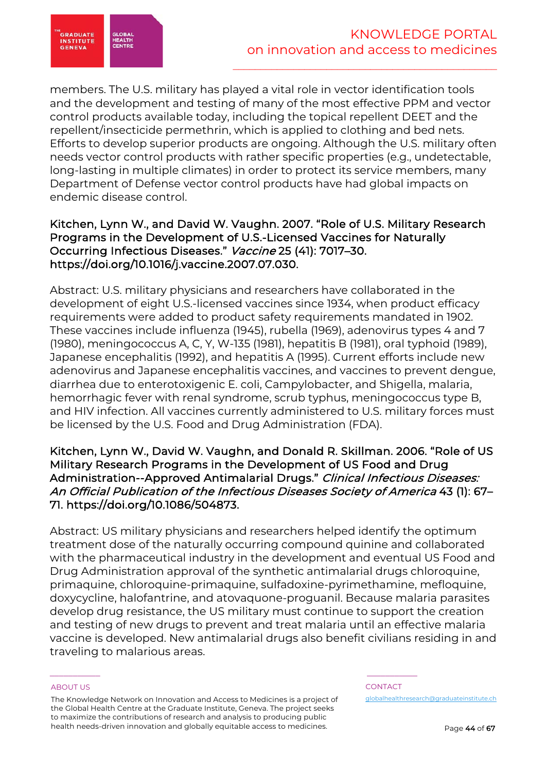

members. The U.S. military has played a vital role in vector identification tools and the development and testing of many of the most effective PPM and vector control products available today, including the topical repellent DEET and the repellent/insecticide permethrin, which is applied to clothing and bed nets. Efforts to develop superior products are ongoing. Although the U.S. military often needs vector control products with rather specific properties (e.g., undetectable, long-lasting in multiple climates) in order to protect its service members, many Department of Defense vector control products have had global impacts on endemic disease control.

# Kitchen, Lynn W., and David W. Vaughn. 2007. "Role of U.S. Military Research Programs in the Development of U.S.-Licensed Vaccines for Naturally Occurring Infectious Diseases." Vaccine 25 (41): 7017–30. https://doi.org/10.1016/j.vaccine.2007.07.030.

Abstract: U.S. military physicians and researchers have collaborated in the development of eight U.S.-licensed vaccines since 1934, when product efficacy requirements were added to product safety requirements mandated in 1902. These vaccines include influenza (1945), rubella (1969), adenovirus types 4 and 7 (1980), meningococcus A, C, Y, W-135 (1981), hepatitis B (1981), oral typhoid (1989), Japanese encephalitis (1992), and hepatitis A (1995). Current efforts include new adenovirus and Japanese encephalitis vaccines, and vaccines to prevent dengue, diarrhea due to enterotoxigenic E. coli, Campylobacter, and Shigella, malaria, hemorrhagic fever with renal syndrome, scrub typhus, meningococcus type B, and HIV infection. All vaccines currently administered to U.S. military forces must be licensed by the U.S. Food and Drug Administration (FDA).

# Kitchen, Lynn W., David W. Vaughn, and Donald R. Skillman. 2006. "Role of US Military Research Programs in the Development of US Food and Drug Administration--Approved Antimalarial Drugs." Clinical Infectious Diseases: An Official Publication of the Infectious Diseases Society of America 43 (1): 67– 71. https://doi.org/10.1086/504873.

Abstract: US military physicians and researchers helped identify the optimum treatment dose of the naturally occurring compound quinine and collaborated with the pharmaceutical industry in the development and eventual US Food and Drug Administration approval of the synthetic antimalarial drugs chloroquine, primaquine, chloroquine-primaquine, sulfadoxine-pyrimethamine, mefloquine, doxycycline, halofantrine, and atovaquone-proguanil. Because malaria parasites develop drug resistance, the US military must continue to support the creation and testing of new drugs to prevent and treat malaria until an effective malaria vaccine is developed. New antimalarial drugs also benefit civilians residing in and traveling to malarious areas.

#### ABOUT US CONTACT AND RELEASED AT A RELEASED FOR THE RELEASED OF THE RELEASED OF THE RELEASED OF THE RELEASED OF THE RELEASED OF THE RELEASED OF THE RELEASED OF THE RELEASED OF THE RELEASED OF THE RELEASED OF THE RELEASED O

The Knowledge Network on Innovation and Access to Medicines is a project of the Global Health Centre at the Graduate Institute, Geneva. The project seeks to maximize the contributions of research and analysis to producing public health needs-driven innovation and globally equitable access to medicines.

\_\_\_\_\_\_\_\_\_\_\_ \_\_\_\_\_\_\_\_\_\_\_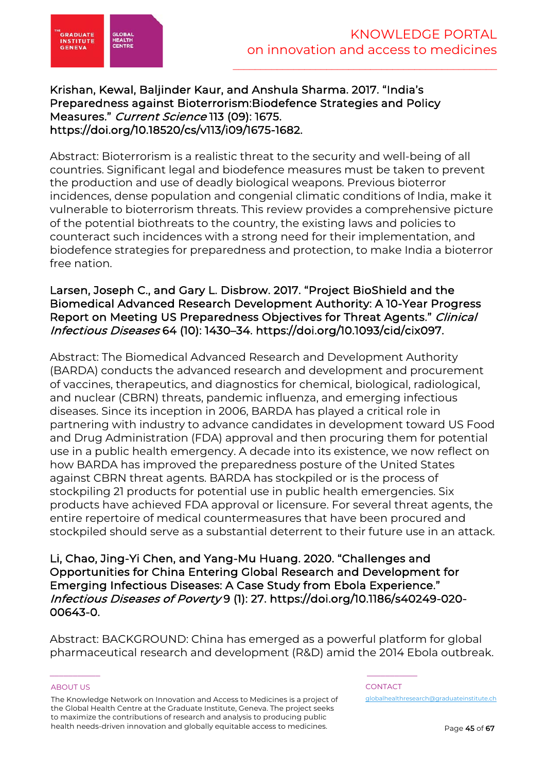

#### Krishan, Kewal, Baljinder Kaur, and Anshula Sharma. 2017. "India's Preparedness against Bioterrorism:Biodefence Strategies and Policy Measures." Current Science 113 (09): 1675. https://doi.org/10.18520/cs/v113/i09/1675-1682.

Abstract: Bioterrorism is a realistic threat to the security and well-being of all countries. Significant legal and biodefence measures must be taken to prevent the production and use of deadly biological weapons. Previous bioterror incidences, dense population and congenial climatic conditions of India, make it vulnerable to bioterrorism threats. This review provides a comprehensive picture of the potential biothreats to the country, the existing laws and policies to counteract such incidences with a strong need for their implementation, and biodefence strategies for preparedness and protection, to make India a bioterror free nation.

### Larsen, Joseph C., and Gary L. Disbrow. 2017. "Project BioShield and the Biomedical Advanced Research Development Authority: A 10-Year Progress Report on Meeting US Preparedness Objectives for Threat Agents." Clinical Infectious Diseases 64 (10): 1430–34. https://doi.org/10.1093/cid/cix097.

Abstract: The Biomedical Advanced Research and Development Authority (BARDA) conducts the advanced research and development and procurement of vaccines, therapeutics, and diagnostics for chemical, biological, radiological, and nuclear (CBRN) threats, pandemic influenza, and emerging infectious diseases. Since its inception in 2006, BARDA has played a critical role in partnering with industry to advance candidates in development toward US Food and Drug Administration (FDA) approval and then procuring them for potential use in a public health emergency. A decade into its existence, we now reflect on how BARDA has improved the preparedness posture of the United States against CBRN threat agents. BARDA has stockpiled or is the process of stockpiling 21 products for potential use in public health emergencies. Six products have achieved FDA approval or licensure. For several threat agents, the entire repertoire of medical countermeasures that have been procured and stockpiled should serve as a substantial deterrent to their future use in an attack.

Li, Chao, Jing-Yi Chen, and Yang-Mu Huang. 2020. "Challenges and Opportunities for China Entering Global Research and Development for Emerging Infectious Diseases: A Case Study from Ebola Experience." Infectious Diseases of Poverty 9 (1): 27. https://doi.org/10.1186/s40249-020- 00643-0.

\_\_\_\_\_\_\_\_\_\_\_ \_\_\_\_\_\_\_\_\_\_\_

Abstract: BACKGROUND: China has emerged as a powerful platform for global pharmaceutical research and development (R&D) amid the 2014 Ebola outbreak.

The Knowledge Network on Innovation and Access to Medicines is a project of the Global Health Centre at the Graduate Institute, Geneva. The project seeks to maximize the contributions of research and analysis to producing public health needs-driven innovation and globally equitable access to medicines.

ABOUT US CONTACT AND RELEASED AT A RELEASED FOR THE RELEASED OF THE RELEASED OF THE RELEASED OF THE RELEASED OF THE RELEASED OF THE RELEASED OF THE RELEASED OF THE RELEASED OF THE RELEASED OF THE RELEASED OF THE RELEASED O globalhealthresearch@graduateinstitute.ch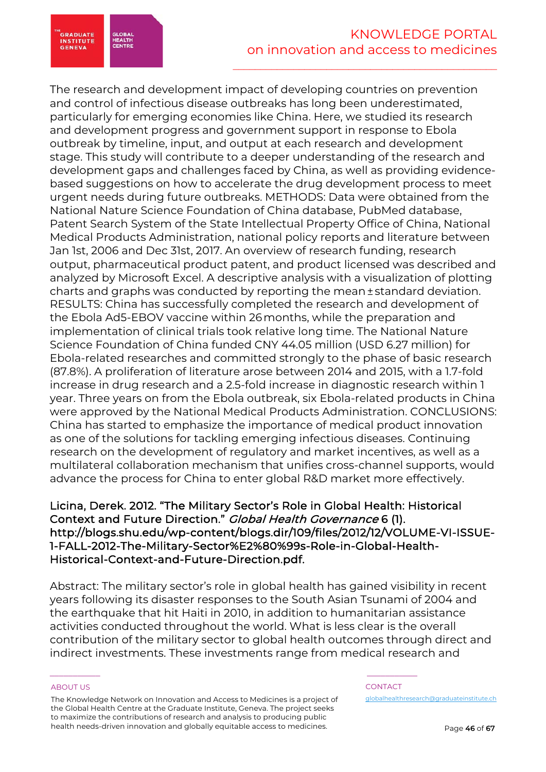**GRADUATE GLOBAL**<br>HEALTH **INSTITUTE**<br>GENEVA CENTRE

particularly for emerging economies like China. Here, we studied its research and development progress and government support in response to Ebola outbreak by timeline, input, and output at each research and development stage. This study will contribute to a deeper understanding of the research and development gaps and challenges faced by China, as well as providing evidencebased suggestions on how to accelerate the drug development process to meet urgent needs during future outbreaks. METHODS: Data were obtained from the National Nature Science Foundation of China database, PubMed database, Patent Search System of the State Intellectual Property Office of China, National Medical Products Administration, national policy reports and literature between Jan 1st, 2006 and Dec 31st, 2017. An overview of research funding, research output, pharmaceutical product patent, and product licensed was described and analyzed by Microsoft Excel. A descriptive analysis with a visualization of plotting charts and graphs was conducted by reporting the mean±standard deviation. RESULTS: China has successfully completed the research and development of the Ebola Ad5-EBOV vaccine within 26months, while the preparation and implementation of clinical trials took relative long time. The National Nature Science Foundation of China funded CNY 44.05 million (USD 6.27 million) for Ebola-related researches and committed strongly to the phase of basic research (87.8%). A proliferation of literature arose between 2014 and 2015, with a 1.7-fold increase in drug research and a 2.5-fold increase in diagnostic research within 1 year. Three years on from the Ebola outbreak, six Ebola-related products in China were approved by the National Medical Products Administration. CONCLUSIONS: China has started to emphasize the importance of medical product innovation as one of the solutions for tackling emerging infectious diseases. Continuing research on the development of regulatory and market incentives, as well as a multilateral collaboration mechanism that unifies cross-channel supports, would

The research and development impact of developing countries on prevention and control of infectious disease outbreaks has long been underestimated,

Licina, Derek. 2012. "The Military Sector's Role in Global Health: Historical Context and Future Direction." Global Health Governance 6 (1). http://blogs.shu.edu/wp-content/blogs.dir/109/files/2012/12/VOLUME-VI-ISSUE-1-FALL-2012-The-Military-Sector%E2%80%99s-Role-in-Global-Health-Historical-Context-and-Future-Direction.pdf.

advance the process for China to enter global R&D market more effectively.

Abstract: The military sector's role in global health has gained visibility in recent years following its disaster responses to the South Asian Tsunami of 2004 and the earthquake that hit Haiti in 2010, in addition to humanitarian assistance activities conducted throughout the world. What is less clear is the overall contribution of the military sector to global health outcomes through direct and indirect investments. These investments range from medical research and

#### ABOUT US CONTACT AND RELEASED AT A RELEASED FOR THE RELEASED OF THE RELEASED OF THE RELEASED OF THE RELEASED OF THE RELEASED OF THE RELEASED OF THE RELEASED OF THE RELEASED OF THE RELEASED OF THE RELEASED OF THE RELEASED O

The Knowledge Network on Innovation and Access to Medicines is a project of the Global Health Centre at the Graduate Institute, Geneva. The project seeks to maximize the contributions of research and analysis to producing public health needs-driven innovation and globally equitable access to medicines.

\_\_\_\_\_\_\_\_\_\_\_ \_\_\_\_\_\_\_\_\_\_\_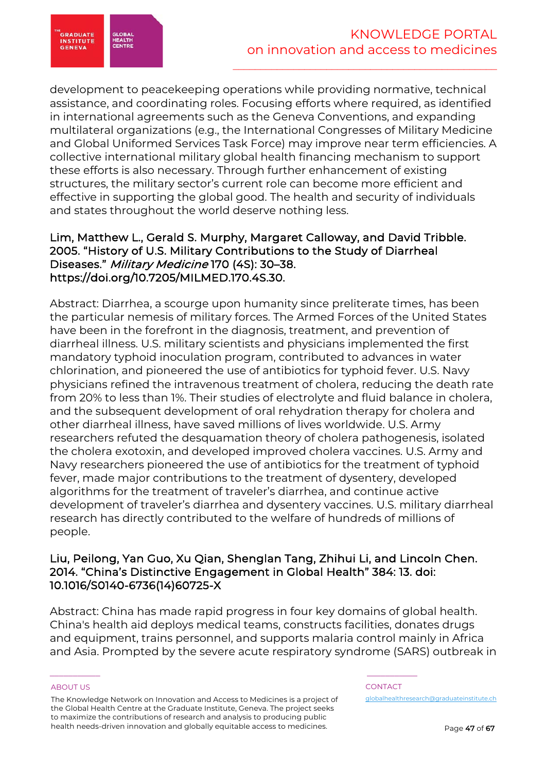

development to peacekeeping operations while providing normative, technical assistance, and coordinating roles. Focusing efforts where required, as identified in international agreements such as the Geneva Conventions, and expanding multilateral organizations (e.g., the International Congresses of Military Medicine and Global Uniformed Services Task Force) may improve near term efficiencies. A collective international military global health financing mechanism to support these efforts is also necessary. Through further enhancement of existing structures, the military sector's current role can become more efficient and effective in supporting the global good. The health and security of individuals and states throughout the world deserve nothing less.

#### Lim, Matthew L., Gerald S. Murphy, Margaret Calloway, and David Tribble. 2005. "History of U.S. Military Contributions to the Study of Diarrheal Diseases." Military Medicine 170 (4S): 30–38. https://doi.org/10.7205/MILMED.170.4S.30.

Abstract: Diarrhea, a scourge upon humanity since preliterate times, has been the particular nemesis of military forces. The Armed Forces of the United States have been in the forefront in the diagnosis, treatment, and prevention of diarrheal illness. U.S. military scientists and physicians implemented the first mandatory typhoid inoculation program, contributed to advances in water chlorination, and pioneered the use of antibiotics for typhoid fever. U.S. Navy physicians refined the intravenous treatment of cholera, reducing the death rate from 20% to less than 1%. Their studies of electrolyte and fluid balance in cholera, and the subsequent development of oral rehydration therapy for cholera and other diarrheal illness, have saved millions of lives worldwide. U.S. Army researchers refuted the desquamation theory of cholera pathogenesis, isolated the cholera exotoxin, and developed improved cholera vaccines. U.S. Army and Navy researchers pioneered the use of antibiotics for the treatment of typhoid fever, made major contributions to the treatment of dysentery, developed algorithms for the treatment of traveler's diarrhea, and continue active development of traveler's diarrhea and dysentery vaccines. U.S. military diarrheal research has directly contributed to the welfare of hundreds of millions of people.

# Liu, Peilong, Yan Guo, Xu Qian, Shenglan Tang, Zhihui Li, and Lincoln Chen. 2014. "China's Distinctive Engagement in Global Health" 384: 13. doi: 10.1016/S0140-6736(14)60725-X

Abstract: China has made rapid progress in four key domains of global health. China's health aid deploys medical teams, constructs facilities, donates drugs and equipment, trains personnel, and supports malaria control mainly in Africa and Asia. Prompted by the severe acute respiratory syndrome (SARS) outbreak in

The Knowledge Network on Innovation and Access to Medicines is a project of the Global Health Centre at the Graduate Institute, Geneva. The project seeks to maximize the contributions of research and analysis to producing public health needs-driven innovation and globally equitable access to medicines.

\_\_\_\_\_\_\_\_\_\_\_ \_\_\_\_\_\_\_\_\_\_\_

ABOUT US CONTACT AND RELEASED AT A RELEASED FOR THE RELEASED OF THE RELEASED OF THE RELEASED OF THE RELEASED OF THE RELEASED OF THE RELEASED OF THE RELEASED OF THE RELEASED OF THE RELEASED OF THE RELEASED OF THE RELEASED O globalhealthresearch@graduateinstitute.ch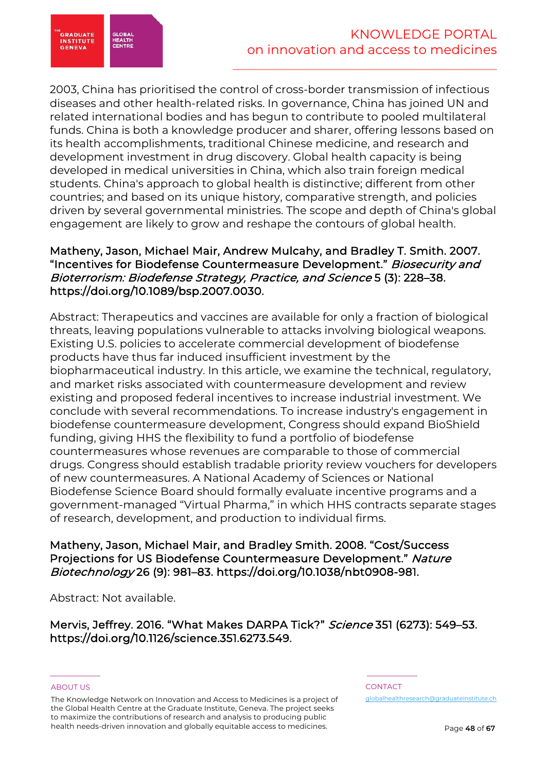

2003, China has prioritised the control of cross-border transmission of infectious diseases and other health-related risks. In governance, China has joined UN and related international bodies and has begun to contribute to pooled multilateral funds. China is both a knowledge producer and sharer, offering lessons based on its health accomplishments, traditional Chinese medicine, and research and development investment in drug discovery. Global health capacity is being developed in medical universities in China, which also train foreign medical students. China's approach to global health is distinctive; different from other countries; and based on its unique history, comparative strength, and policies driven by several governmental ministries. The scope and depth of China's global engagement are likely to grow and reshape the contours of global health.

# Matheny, Jason, Michael Mair, Andrew Mulcahy, and Bradley T. Smith. 2007. "Incentives for Biodefense Countermeasure Development." Biosecurity and Bioterrorism: Biodefense Strategy, Practice, and Science 5 (3): 228–38. https://doi.org/10.1089/bsp.2007.0030.

Abstract: Therapeutics and vaccines are available for only a fraction of biological threats, leaving populations vulnerable to attacks involving biological weapons. Existing U.S. policies to accelerate commercial development of biodefense products have thus far induced insufficient investment by the biopharmaceutical industry. In this article, we examine the technical, regulatory, and market risks associated with countermeasure development and review existing and proposed federal incentives to increase industrial investment. We conclude with several recommendations. To increase industry's engagement in biodefense countermeasure development, Congress should expand BioShield funding, giving HHS the flexibility to fund a portfolio of biodefense countermeasures whose revenues are comparable to those of commercial drugs. Congress should establish tradable priority review vouchers for developers of new countermeasures. A National Academy of Sciences or National Biodefense Science Board should formally evaluate incentive programs and a government-managed "Virtual Pharma," in which HHS contracts separate stages of research, development, and production to individual firms.

#### Matheny, Jason, Michael Mair, and Bradley Smith. 2008. "Cost/Success Projections for US Biodefense Countermeasure Development." Nature Biotechnology 26 (9): 981–83. https://doi.org/10.1038/nbt0908-981.

Abstract: Not available.

Mervis, Jeffrey. 2016. "What Makes DARPA Tick?" Science 351 (6273): 549-53. https://doi.org/10.1126/science.351.6273.549.

\_\_\_\_\_\_\_\_\_\_\_ \_\_\_\_\_\_\_\_\_\_\_

#### ABOUT US CONTACT AND RELEASED AT A RELEASED FOR THE RELEASED OF THE RELEASED OF THE RELEASED OF THE RELEASED OF THE RELEASED OF THE RELEASED OF THE RELEASED OF THE RELEASED OF THE RELEASED OF THE RELEASED OF THE RELEASED O

The Knowledge Network on Innovation and Access to Medicines is a project of the Global Health Centre at the Graduate Institute, Geneva. The project seeks to maximize the contributions of research and analysis to producing public health needs-driven innovation and globally equitable access to medicines.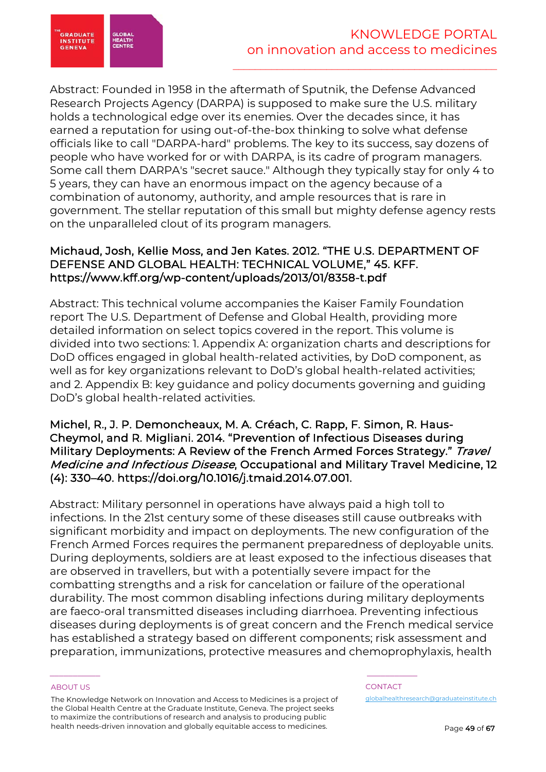

Abstract: Founded in 1958 in the aftermath of Sputnik, the Defense Advanced Research Projects Agency (DARPA) is supposed to make sure the U.S. military holds a technological edge over its enemies. Over the decades since, it has earned a reputation for using out-of-the-box thinking to solve what defense officials like to call "DARPA-hard" problems. The key to its success, say dozens of people who have worked for or with DARPA, is its cadre of program managers. Some call them DARPA's "secret sauce." Although they typically stay for only 4 to 5 years, they can have an enormous impact on the agency because of a combination of autonomy, authority, and ample resources that is rare in government. The stellar reputation of this small but mighty defense agency rests on the unparalleled clout of its program managers.

# Michaud, Josh, Kellie Moss, and Jen Kates. 2012. "THE U.S. DEPARTMENT OF DEFENSE AND GLOBAL HEALTH: TECHNICAL VOLUME," 45. KFF. https://www.kff.org/wp-content/uploads/2013/01/8358-t.pdf

Abstract: This technical volume accompanies the Kaiser Family Foundation report The U.S. Department of Defense and Global Health, providing more detailed information on select topics covered in the report. This volume is divided into two sections: 1. Appendix A: organization charts and descriptions for DoD offices engaged in global health-related activities, by DoD component, as well as for key organizations relevant to DoD's global health-related activities; and 2. Appendix B: key guidance and policy documents governing and guiding DoD's global health-related activities.

#### Michel, R., J. P. Demoncheaux, M. A. Créach, C. Rapp, F. Simon, R. Haus-Cheymol, and R. Migliani. 2014. "Prevention of Infectious Diseases during Military Deployments: A Review of the French Armed Forces Strategy." Travel Medicine and Infectious Disease, Occupational and Military Travel Medicine, 12 (4): 330–40. https://doi.org/10.1016/j.tmaid.2014.07.001.

Abstract: Military personnel in operations have always paid a high toll to infections. In the 21st century some of these diseases still cause outbreaks with significant morbidity and impact on deployments. The new configuration of the French Armed Forces requires the permanent preparedness of deployable units. During deployments, soldiers are at least exposed to the infectious diseases that are observed in travellers, but with a potentially severe impact for the combatting strengths and a risk for cancelation or failure of the operational durability. The most common disabling infections during military deployments are faeco-oral transmitted diseases including diarrhoea. Preventing infectious diseases during deployments is of great concern and the French medical service has established a strategy based on different components; risk assessment and preparation, immunizations, protective measures and chemoprophylaxis, health

#### ABOUT US CONTACT AND RELEASED AT A RELEASED FOR THE RELEASED OF THE RELEASED OF THE RELEASED OF THE RELEASED OF THE RELEASED OF THE RELEASED OF THE RELEASED OF THE RELEASED OF THE RELEASED OF THE RELEASED OF THE RELEASED O

The Knowledge Network on Innovation and Access to Medicines is a project of the Global Health Centre at the Graduate Institute, Geneva. The project seeks to maximize the contributions of research and analysis to producing public health needs-driven innovation and globally equitable access to medicines.

\_\_\_\_\_\_\_\_\_\_\_ \_\_\_\_\_\_\_\_\_\_\_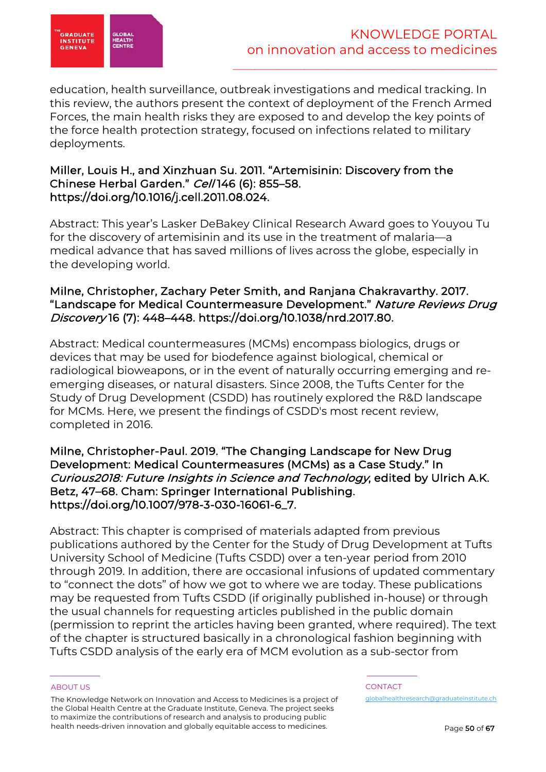

education, health surveillance, outbreak investigations and medical tracking. In this review, the authors present the context of deployment of the French Armed Forces, the main health risks they are exposed to and develop the key points of the force health protection strategy, focused on infections related to military deployments.

#### Miller, Louis H., and Xinzhuan Su. 2011. "Artemisinin: Discovery from the Chinese Herbal Garden." Cell 146 (6): 855–58. https://doi.org/10.1016/j.cell.2011.08.024.

Abstract: This year's Lasker DeBakey Clinical Research Award goes to Youyou Tu for the discovery of artemisinin and its use in the treatment of malaria—a medical advance that has saved millions of lives across the globe, especially in the developing world.

# Milne, Christopher, Zachary Peter Smith, and Ranjana Chakravarthy. 2017. "Landscape for Medical Countermeasure Development." Nature Reviews Drug Discovery 16 (7): 448–448. https://doi.org/10.1038/nrd.2017.80.

Abstract: Medical countermeasures (MCMs) encompass biologics, drugs or devices that may be used for biodefence against biological, chemical or radiological bioweapons, or in the event of naturally occurring emerging and reemerging diseases, or natural disasters. Since 2008, the Tufts Center for the Study of Drug Development (CSDD) has routinely explored the R&D landscape for MCMs. Here, we present the findings of CSDD's most recent review, completed in 2016.

#### Milne, Christopher-Paul. 2019. "The Changing Landscape for New Drug Development: Medical Countermeasures (MCMs) as a Case Study." In Curious2018: Future Insights in Science and Technology, edited by Ulrich A.K. Betz, 47–68. Cham: Springer International Publishing. https://doi.org/10.1007/978-3-030-16061-6\_7.

Abstract: This chapter is comprised of materials adapted from previous publications authored by the Center for the Study of Drug Development at Tufts University School of Medicine (Tufts CSDD) over a ten-year period from 2010 through 2019. In addition, there are occasional infusions of updated commentary to "connect the dots" of how we got to where we are today. These publications may be requested from Tufts CSDD (if originally published in-house) or through the usual channels for requesting articles published in the public domain (permission to reprint the articles having been granted, where required). The text of the chapter is structured basically in a chronological fashion beginning with Tufts CSDD analysis of the early era of MCM evolution as a sub-sector from

#### ABOUT US CONTACT AND RELEASED AT A RELEASED FOR THE RELEASED OF THE RELEASED OF THE RELEASED OF THE RELEASED OF THE RELEASED OF THE RELEASED OF THE RELEASED OF THE RELEASED OF THE RELEASED OF THE RELEASED OF THE RELEASED O

The Knowledge Network on Innovation and Access to Medicines is a project of the Global Health Centre at the Graduate Institute, Geneva. The project seeks to maximize the contributions of research and analysis to producing public health needs-driven innovation and globally equitable access to medicines.

\_\_\_\_\_\_\_\_\_\_\_ \_\_\_\_\_\_\_\_\_\_\_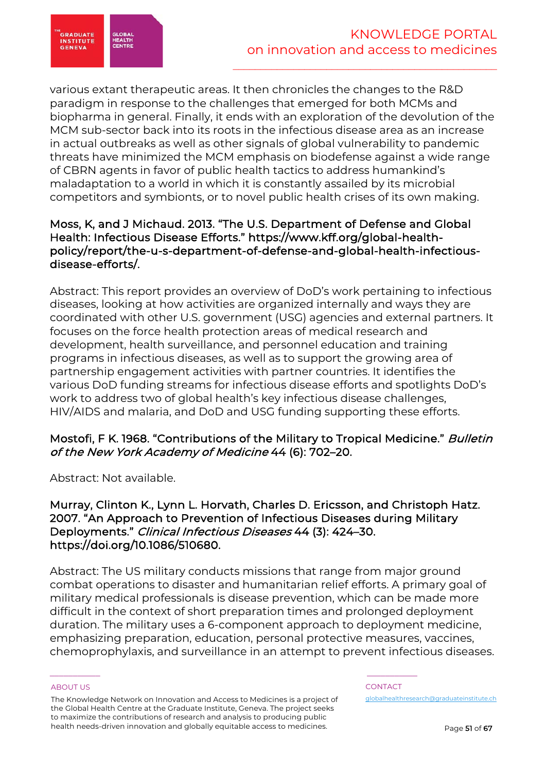

various extant therapeutic areas. It then chronicles the changes to the R&D paradigm in response to the challenges that emerged for both MCMs and biopharma in general. Finally, it ends with an exploration of the devolution of the MCM sub-sector back into its roots in the infectious disease area as an increase in actual outbreaks as well as other signals of global vulnerability to pandemic threats have minimized the MCM emphasis on biodefense against a wide range of CBRN agents in favor of public health tactics to address humankind's maladaptation to a world in which it is constantly assailed by its microbial competitors and symbionts, or to novel public health crises of its own making.

# Moss, K, and J Michaud. 2013. "The U.S. Department of Defense and Global Health: Infectious Disease Efforts." https://www.kff.org/global-healthpolicy/report/the-u-s-department-of-defense-and-global-health-infectiousdisease-efforts/.

Abstract: This report provides an overview of DoD's work pertaining to infectious diseases, looking at how activities are organized internally and ways they are coordinated with other U.S. government (USG) agencies and external partners. It focuses on the force health protection areas of medical research and development, health surveillance, and personnel education and training programs in infectious diseases, as well as to support the growing area of partnership engagement activities with partner countries. It identifies the various DoD funding streams for infectious disease efforts and spotlights DoD's work to address two of global health's key infectious disease challenges, HIV/AIDS and malaria, and DoD and USG funding supporting these efforts.

# Mostofi, F K. 1968. "Contributions of the Military to Tropical Medicine." Bulletin of the New York Academy of Medicine 44 (6): 702–20.

Abstract: Not available.

Murray, Clinton K., Lynn L. Horvath, Charles D. Ericsson, and Christoph Hatz. 2007. "An Approach to Prevention of Infectious Diseases during Military Deployments." Clinical Infectious Diseases 44 (3): 424–30. https://doi.org/10.1086/510680.

Abstract: The US military conducts missions that range from major ground combat operations to disaster and humanitarian relief efforts. A primary goal of military medical professionals is disease prevention, which can be made more difficult in the context of short preparation times and prolonged deployment duration. The military uses a 6-component approach to deployment medicine, emphasizing preparation, education, personal protective measures, vaccines, chemoprophylaxis, and surveillance in an attempt to prevent infectious diseases.

#### ABOUT US CONTACT AND RELEASED AT A RELEASED FOR THE RELEASED OF THE RELEASED OF THE RELEASED OF THE RELEASED OF THE RELEASED OF THE RELEASED OF THE RELEASED OF THE RELEASED OF THE RELEASED OF THE RELEASED OF THE RELEASED O

The Knowledge Network on Innovation and Access to Medicines is a project of the Global Health Centre at the Graduate Institute, Geneva. The project seeks to maximize the contributions of research and analysis to producing public health needs-driven innovation and globally equitable access to medicines.

\_\_\_\_\_\_\_\_\_\_\_ \_\_\_\_\_\_\_\_\_\_\_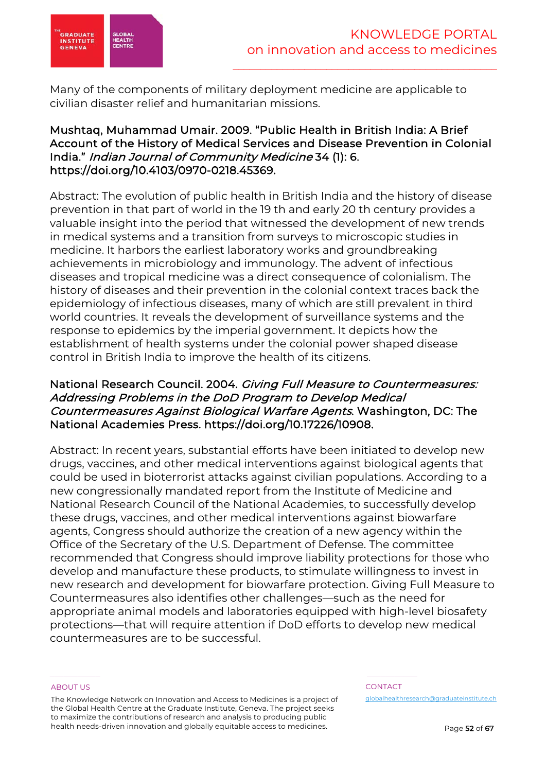

Many of the components of military deployment medicine are applicable to civilian disaster relief and humanitarian missions.

#### Mushtaq, Muhammad Umair. 2009. "Public Health in British India: A Brief Account of the History of Medical Services and Disease Prevention in Colonial India." Indian Journal of Community Medicine 34 (1): 6. https://doi.org/10.4103/0970-0218.45369.

Abstract: The evolution of public health in British India and the history of disease prevention in that part of world in the 19 th and early 20 th century provides a valuable insight into the period that witnessed the development of new trends in medical systems and a transition from surveys to microscopic studies in medicine. It harbors the earliest laboratory works and groundbreaking achievements in microbiology and immunology. The advent of infectious diseases and tropical medicine was a direct consequence of colonialism. The history of diseases and their prevention in the colonial context traces back the epidemiology of infectious diseases, many of which are still prevalent in third world countries. It reveals the development of surveillance systems and the response to epidemics by the imperial government. It depicts how the establishment of health systems under the colonial power shaped disease control in British India to improve the health of its citizens.

# National Research Council. 2004. Giving Full Measure to Countermeasures: Addressing Problems in the DoD Program to Develop Medical Countermeasures Against Biological Warfare Agents. Washington, DC: The National Academies Press. https://doi.org/10.17226/10908.

Abstract: In recent years, substantial efforts have been initiated to develop new drugs, vaccines, and other medical interventions against biological agents that could be used in bioterrorist attacks against civilian populations. According to a new congressionally mandated report from the Institute of Medicine and National Research Council of the National Academies, to successfully develop these drugs, vaccines, and other medical interventions against biowarfare agents, Congress should authorize the creation of a new agency within the Office of the Secretary of the U.S. Department of Defense. The committee recommended that Congress should improve liability protections for those who develop and manufacture these products, to stimulate willingness to invest in new research and development for biowarfare protection. Giving Full Measure to Countermeasures also identifies other challenges—such as the need for appropriate animal models and laboratories equipped with high-level biosafety protections—that will require attention if DoD efforts to develop new medical countermeasures are to be successful.

The Knowledge Network on Innovation and Access to Medicines is a project of the Global Health Centre at the Graduate Institute, Geneva. The project seeks to maximize the contributions of research and analysis to producing public health needs-driven innovation and globally equitable access to medicines.

\_\_\_\_\_\_\_\_\_\_\_ \_\_\_\_\_\_\_\_\_\_\_

ABOUT US CONTACT AND RELEASED AT A RELEASED FOR THE RELEASED OF THE RELEASED OF THE RELEASED OF THE RELEASED OF THE RELEASED OF THE RELEASED OF THE RELEASED OF THE RELEASED OF THE RELEASED OF THE RELEASED OF THE RELEASED O globalhealthresearch@graduateinstitute.ch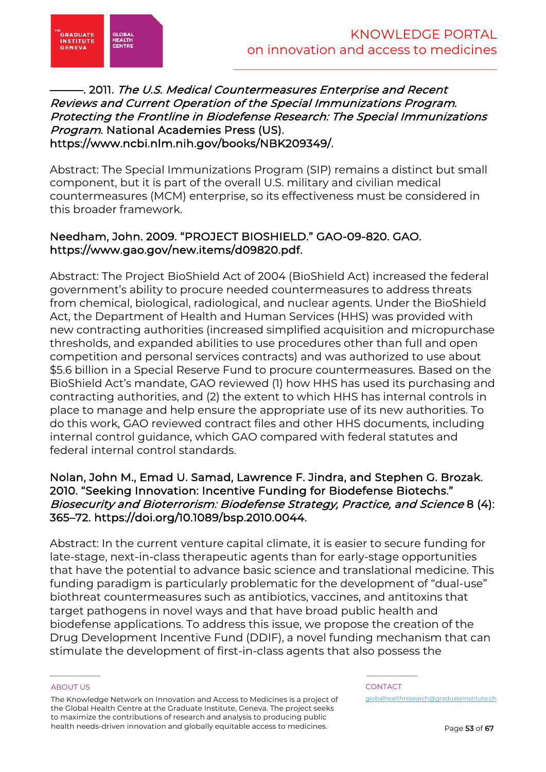

#### ———. 2011. The U.S. Medical Countermeasures Enterprise and Recent Reviews and Current Operation of the Special Immunizations Program. Protecting the Frontline in Biodefense Research: The Special Immunizations Program. National Academies Press (US). https://www.ncbi.nlm.nih.gov/books/NBK209349/.

Abstract: The Special Immunizations Program (SIP) remains a distinct but small component, but it is part of the overall U.S. military and civilian medical countermeasures (MCM) enterprise, so its effectiveness must be considered in this broader framework.

# Needham, John. 2009. "PROJECT BIOSHIELD." GAO-09-820. GAO. https://www.gao.gov/new.items/d09820.pdf.

Abstract: The Project BioShield Act of 2004 (BioShield Act) increased the federal government's ability to procure needed countermeasures to address threats from chemical, biological, radiological, and nuclear agents. Under the BioShield Act, the Department of Health and Human Services (HHS) was provided with new contracting authorities (increased simplified acquisition and micropurchase thresholds, and expanded abilities to use procedures other than full and open competition and personal services contracts) and was authorized to use about \$5.6 billion in a Special Reserve Fund to procure countermeasures. Based on the BioShield Act's mandate, GAO reviewed (1) how HHS has used its purchasing and contracting authorities, and (2) the extent to which HHS has internal controls in place to manage and help ensure the appropriate use of its new authorities. To do this work, GAO reviewed contract files and other HHS documents, including internal control guidance, which GAO compared with federal statutes and federal internal control standards.

# Nolan, John M., Emad U. Samad, Lawrence F. Jindra, and Stephen G. Brozak. 2010. "Seeking Innovation: Incentive Funding for Biodefense Biotechs." Biosecurity and Bioterrorism: Biodefense Strategy, Practice, and Science 8 (4): 365–72. https://doi.org/10.1089/bsp.2010.0044.

Abstract: In the current venture capital climate, it is easier to secure funding for late-stage, next-in-class therapeutic agents than for early-stage opportunities that have the potential to advance basic science and translational medicine. This funding paradigm is particularly problematic for the development of "dual-use" biothreat countermeasures such as antibiotics, vaccines, and antitoxins that target pathogens in novel ways and that have broad public health and biodefense applications. To address this issue, we propose the creation of the Drug Development Incentive Fund (DDIF), a novel funding mechanism that can stimulate the development of first-in-class agents that also possess the

#### ABOUT US CONTACT AND RELEASED AT A RELEASED FOR THE RELEASED OF THE RELEASED OF THE RELEASED OF THE RELEASED OF THE RELEASED OF THE RELEASED OF THE RELEASED OF THE RELEASED OF THE RELEASED OF THE RELEASED OF THE RELEASED O

The Knowledge Network on Innovation and Access to Medicines is a project of the Global Health Centre at the Graduate Institute, Geneva. The project seeks to maximize the contributions of research and analysis to producing public health needs-driven innovation and globally equitable access to medicines.

\_\_\_\_\_\_\_\_\_\_\_ \_\_\_\_\_\_\_\_\_\_\_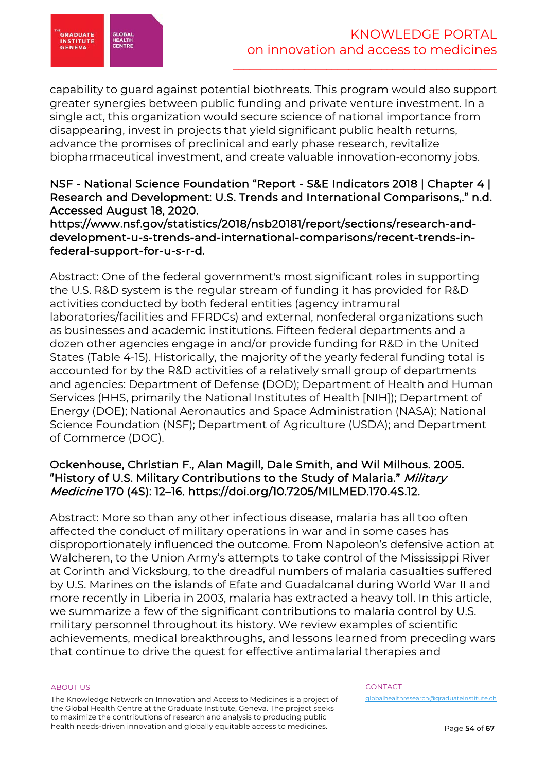

capability to guard against potential biothreats. This program would also support greater synergies between public funding and private venture investment. In a single act, this organization would secure science of national importance from disappearing, invest in projects that yield significant public health returns, advance the promises of preclinical and early phase research, revitalize biopharmaceutical investment, and create valuable innovation-economy jobs.

NSF - National Science Foundation "Report - S&E Indicators 2018 | Chapter 4 | Research and Development: U.S. Trends and International Comparisons,." n.d. Accessed August 18, 2020.

https://www.nsf.gov/statistics/2018/nsb20181/report/sections/research-anddevelopment-u-s-trends-and-international-comparisons/recent-trends-infederal-support-for-u-s-r-d.

Abstract: One of the federal government's most significant roles in supporting the U.S. R&D system is the regular stream of funding it has provided for R&D activities conducted by both federal entities (agency intramural laboratories/facilities and FFRDCs) and external, nonfederal organizations such as businesses and academic institutions. Fifteen federal departments and a dozen other agencies engage in and/or provide funding for R&D in the United States (Table 4-15). Historically, the majority of the yearly federal funding total is accounted for by the R&D activities of a relatively small group of departments and agencies: Department of Defense (DOD); Department of Health and Human Services (HHS, primarily the National Institutes of Health [NIH]); Department of Energy (DOE); National Aeronautics and Space Administration (NASA); National Science Foundation (NSF); Department of Agriculture (USDA); and Department of Commerce (DOC).

# Ockenhouse, Christian F., Alan Magill, Dale Smith, and Wil Milhous. 2005. "History of U.S. Military Contributions to the Study of Malaria." Military Medicine 170 (4S): 12–16. https://doi.org/10.7205/MILMED.170.4S.12.

Abstract: More so than any other infectious disease, malaria has all too often affected the conduct of military operations in war and in some cases has disproportionately influenced the outcome. From Napoleon's defensive action at Walcheren, to the Union Army's attempts to take control of the Mississippi River at Corinth and Vicksburg, to the dreadful numbers of malaria casualties suffered by U.S. Marines on the islands of Efate and Guadalcanal during World War II and more recently in Liberia in 2003, malaria has extracted a heavy toll. In this article, we summarize a few of the significant contributions to malaria control by U.S. military personnel throughout its history. We review examples of scientific achievements, medical breakthroughs, and lessons learned from preceding wars that continue to drive the quest for effective antimalarial therapies and

#### ABOUT US CONTACT AND RELEASED AT A RELEASED FOR THE RELEASED OF THE RELEASED OF THE RELEASED OF THE RELEASED OF THE RELEASED OF THE RELEASED OF THE RELEASED OF THE RELEASED OF THE RELEASED OF THE RELEASED OF THE RELEASED O

The Knowledge Network on Innovation and Access to Medicines is a project of the Global Health Centre at the Graduate Institute, Geneva. The project seeks to maximize the contributions of research and analysis to producing public health needs-driven innovation and globally equitable access to medicines.

\_\_\_\_\_\_\_\_\_\_\_ \_\_\_\_\_\_\_\_\_\_\_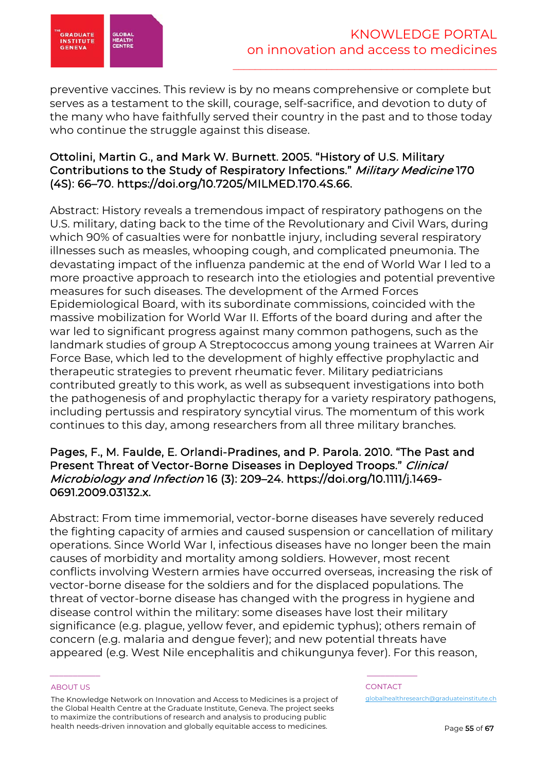

preventive vaccines. This review is by no means comprehensive or complete but serves as a testament to the skill, courage, self-sacrifice, and devotion to duty of the many who have faithfully served their country in the past and to those today who continue the struggle against this disease.

# Ottolini, Martin G., and Mark W. Burnett. 2005. "History of U.S. Military Contributions to the Study of Respiratory Infections." Military Medicine 170 (4S): 66–70. https://doi.org/10.7205/MILMED.170.4S.66.

Abstract: History reveals a tremendous impact of respiratory pathogens on the U.S. military, dating back to the time of the Revolutionary and Civil Wars, during which 90% of casualties were for nonbattle injury, including several respiratory illnesses such as measles, whooping cough, and complicated pneumonia. The devastating impact of the influenza pandemic at the end of World War I led to a more proactive approach to research into the etiologies and potential preventive measures for such diseases. The development of the Armed Forces Epidemiological Board, with its subordinate commissions, coincided with the massive mobilization for World War II. Efforts of the board during and after the war led to significant progress against many common pathogens, such as the landmark studies of group A Streptococcus among young trainees at Warren Air Force Base, which led to the development of highly effective prophylactic and therapeutic strategies to prevent rheumatic fever. Military pediatricians contributed greatly to this work, as well as subsequent investigations into both the pathogenesis of and prophylactic therapy for a variety respiratory pathogens, including pertussis and respiratory syncytial virus. The momentum of this work continues to this day, among researchers from all three military branches.

# Pages, F., M. Faulde, E. Orlandi-Pradines, and P. Parola. 2010. "The Past and Present Threat of Vector-Borne Diseases in Deployed Troops." Clinical Microbiology and Infection 16 (3): 209–24. https://doi.org/10.1111/j.1469- 0691.2009.03132.x.

Abstract: From time immemorial, vector-borne diseases have severely reduced the fighting capacity of armies and caused suspension or cancellation of military operations. Since World War I, infectious diseases have no longer been the main causes of morbidity and mortality among soldiers. However, most recent conflicts involving Western armies have occurred overseas, increasing the risk of vector-borne disease for the soldiers and for the displaced populations. The threat of vector-borne disease has changed with the progress in hygiene and disease control within the military: some diseases have lost their military significance (e.g. plague, yellow fever, and epidemic typhus); others remain of concern (e.g. malaria and dengue fever); and new potential threats have appeared (e.g. West Nile encephalitis and chikungunya fever). For this reason,

#### ABOUT US CONTACT AND RELEASED AT A RELEASED FOR THE RELEASED OF THE RELEASED OF THE RELEASED OF THE RELEASED OF THE RELEASED OF THE RELEASED OF THE RELEASED OF THE RELEASED OF THE RELEASED OF THE RELEASED OF THE RELEASED O

The Knowledge Network on Innovation and Access to Medicines is a project of the Global Health Centre at the Graduate Institute, Geneva. The project seeks to maximize the contributions of research and analysis to producing public health needs-driven innovation and globally equitable access to medicines.

\_\_\_\_\_\_\_\_\_\_\_ \_\_\_\_\_\_\_\_\_\_\_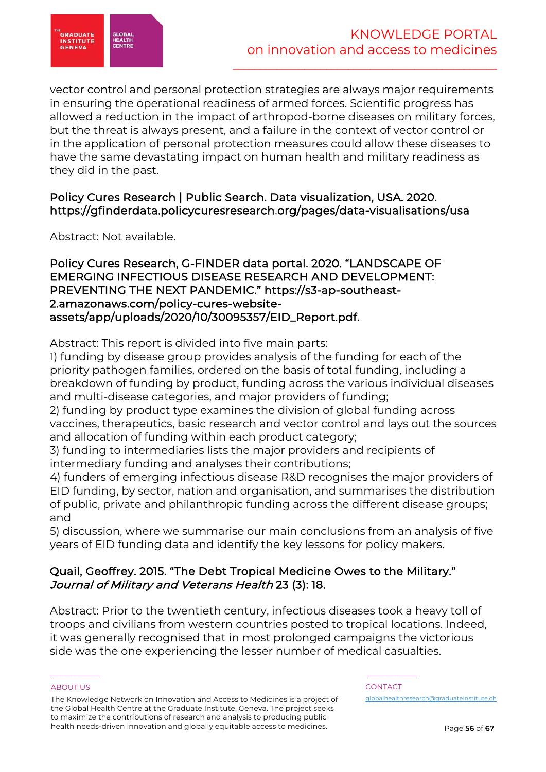

vector control and personal protection strategies are always major requirements in ensuring the operational readiness of armed forces. Scientific progress has allowed a reduction in the impact of arthropod-borne diseases on military forces, but the threat is always present, and a failure in the context of vector control or in the application of personal protection measures could allow these diseases to have the same devastating impact on human health and military readiness as they did in the past.

# Policy Cures Research | Public Search. Data visualization, USA. 2020. https://gfinderdata.policycuresresearch.org/pages/data-visualisations/usa

Abstract: Not available.

Policy Cures Research, G-FINDER data portal. 2020. "LANDSCAPE OF EMERGING INFECTIOUS DISEASE RESEARCH AND DEVELOPMENT: PREVENTING THE NEXT PANDEMIC." https://s3-ap-southeast-2.amazonaws.com/policy-cures-websiteassets/app/uploads/2020/10/30095357/EID\_Report.pdf.

Abstract: This report is divided into five main parts:

1) funding by disease group provides analysis of the funding for each of the priority pathogen families, ordered on the basis of total funding, including a breakdown of funding by product, funding across the various individual diseases and multi-disease categories, and major providers of funding;

2) funding by product type examines the division of global funding across vaccines, therapeutics, basic research and vector control and lays out the sources and allocation of funding within each product category;

3) funding to intermediaries lists the major providers and recipients of intermediary funding and analyses their contributions;

4) funders of emerging infectious disease R&D recognises the major providers of EID funding, by sector, nation and organisation, and summarises the distribution of public, private and philanthropic funding across the different disease groups; and

5) discussion, where we summarise our main conclusions from an analysis of five years of EID funding data and identify the key lessons for policy makers.

# Quail, Geoffrey. 2015. "The Debt Tropical Medicine Owes to the Military." Journal of Military and Veterans Health 23 (3): 18.

\_\_\_\_\_\_\_\_\_\_\_ \_\_\_\_\_\_\_\_\_\_\_

Abstract: Prior to the twentieth century, infectious diseases took a heavy toll of troops and civilians from western countries posted to tropical locations. Indeed, it was generally recognised that in most prolonged campaigns the victorious side was the one experiencing the lesser number of medical casualties.

#### ABOUT US CONTACT AND RELEASED AT A RELEASED FOR THE RELEASED OF THE RELEASED OF THE RELEASED OF THE RELEASED OF THE RELEASED OF THE RELEASED OF THE RELEASED OF THE RELEASED OF THE RELEASED OF THE RELEASED OF THE RELEASED O

The Knowledge Network on Innovation and Access to Medicines is a project of the Global Health Centre at the Graduate Institute, Geneva. The project seeks to maximize the contributions of research and analysis to producing public health needs-driven innovation and globally equitable access to medicines.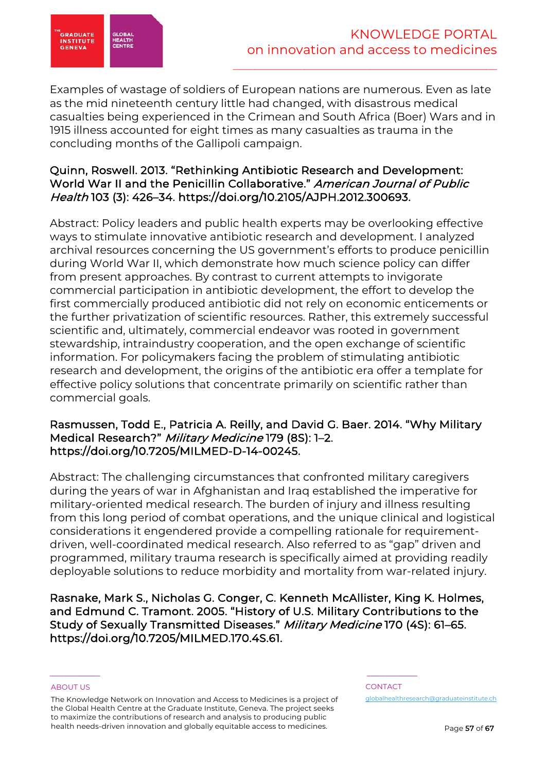

Examples of wastage of soldiers of European nations are numerous. Even as late as the mid nineteenth century little had changed, with disastrous medical casualties being experienced in the Crimean and South Africa (Boer) Wars and in 1915 illness accounted for eight times as many casualties as trauma in the concluding months of the Gallipoli campaign.

# Quinn, Roswell. 2013. "Rethinking Antibiotic Research and Development: World War II and the Penicillin Collaborative." American Journal of Public Health 103 (3): 426–34. https://doi.org/10.2105/AJPH.2012.300693.

Abstract: Policy leaders and public health experts may be overlooking effective ways to stimulate innovative antibiotic research and development. I analyzed archival resources concerning the US government's efforts to produce penicillin during World War II, which demonstrate how much science policy can differ from present approaches. By contrast to current attempts to invigorate commercial participation in antibiotic development, the effort to develop the first commercially produced antibiotic did not rely on economic enticements or the further privatization of scientific resources. Rather, this extremely successful scientific and, ultimately, commercial endeavor was rooted in government stewardship, intraindustry cooperation, and the open exchange of scientific information. For policymakers facing the problem of stimulating antibiotic research and development, the origins of the antibiotic era offer a template for effective policy solutions that concentrate primarily on scientific rather than commercial goals.

#### Rasmussen, Todd E., Patricia A. Reilly, and David G. Baer. 2014. "Why Military Medical Research?" Military Medicine 179 (8S): 1–2. https://doi.org/10.7205/MILMED-D-14-00245.

Abstract: The challenging circumstances that confronted military caregivers during the years of war in Afghanistan and Iraq established the imperative for military-oriented medical research. The burden of injury and illness resulting from this long period of combat operations, and the unique clinical and logistical considerations it engendered provide a compelling rationale for requirementdriven, well-coordinated medical research. Also referred to as "gap" driven and programmed, military trauma research is specifically aimed at providing readily deployable solutions to reduce morbidity and mortality from war-related injury.

Rasnake, Mark S., Nicholas G. Conger, C. Kenneth McAllister, King K. Holmes, and Edmund C. Tramont. 2005. "History of U.S. Military Contributions to the Study of Sexually Transmitted Diseases." Military Medicine 170 (4S): 61–65. https://doi.org/10.7205/MILMED.170.4S.61.

\_\_\_\_\_\_\_\_\_\_\_ \_\_\_\_\_\_\_\_\_\_\_

The Knowledge Network on Innovation and Access to Medicines is a project of the Global Health Centre at the Graduate Institute, Geneva. The project seeks to maximize the contributions of research and analysis to producing public health needs-driven innovation and globally equitable access to medicines.

ABOUT US CONTACT AND RELEASED AT A RELEASED FOR THE RELEASED OF THE RELEASED OF THE RELEASED OF THE RELEASED OF THE RELEASED OF THE RELEASED OF THE RELEASED OF THE RELEASED OF THE RELEASED OF THE RELEASED OF THE RELEASED O globalhealthresearch@graduateinstitute.ch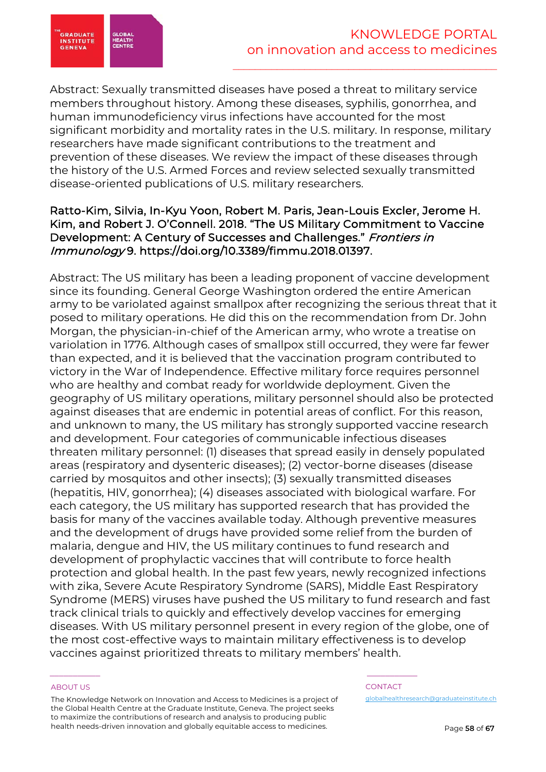

Abstract: Sexually transmitted diseases have posed a threat to military service members throughout history. Among these diseases, syphilis, gonorrhea, and human immunodeficiency virus infections have accounted for the most significant morbidity and mortality rates in the U.S. military. In response, military researchers have made significant contributions to the treatment and prevention of these diseases. We review the impact of these diseases through the history of the U.S. Armed Forces and review selected sexually transmitted disease-oriented publications of U.S. military researchers.

# Ratto-Kim, Silvia, In-Kyu Yoon, Robert M. Paris, Jean-Louis Excler, Jerome H. Kim, and Robert J. O'Connell. 2018. "The US Military Commitment to Vaccine Development: A Century of Successes and Challenges." Frontiers in Immunology 9. https://doi.org/10.3389/fimmu.2018.01397.

Abstract: The US military has been a leading proponent of vaccine development since its founding. General George Washington ordered the entire American army to be variolated against smallpox after recognizing the serious threat that it posed to military operations. He did this on the recommendation from Dr. John Morgan, the physician-in-chief of the American army, who wrote a treatise on variolation in 1776. Although cases of smallpox still occurred, they were far fewer than expected, and it is believed that the vaccination program contributed to victory in the War of Independence. Effective military force requires personnel who are healthy and combat ready for worldwide deployment. Given the geography of US military operations, military personnel should also be protected against diseases that are endemic in potential areas of conflict. For this reason, and unknown to many, the US military has strongly supported vaccine research and development. Four categories of communicable infectious diseases threaten military personnel: (1) diseases that spread easily in densely populated areas (respiratory and dysenteric diseases); (2) vector-borne diseases (disease carried by mosquitos and other insects); (3) sexually transmitted diseases (hepatitis, HIV, gonorrhea); (4) diseases associated with biological warfare. For each category, the US military has supported research that has provided the basis for many of the vaccines available today. Although preventive measures and the development of drugs have provided some relief from the burden of malaria, dengue and HIV, the US military continues to fund research and development of prophylactic vaccines that will contribute to force health protection and global health. In the past few years, newly recognized infections with zika, Severe Acute Respiratory Syndrome (SARS), Middle East Respiratory Syndrome (MERS) viruses have pushed the US military to fund research and fast track clinical trials to quickly and effectively develop vaccines for emerging diseases. With US military personnel present in every region of the globe, one of the most cost-effective ways to maintain military effectiveness is to develop vaccines against prioritized threats to military members' health.

#### ABOUT US CONTACT AND RELEASED AT A RELEASED FOR THE RELEASED OF THE RELEASED OF THE RELEASED OF THE RELEASED OF THE RELEASED OF THE RELEASED OF THE RELEASED OF THE RELEASED OF THE RELEASED OF THE RELEASED OF THE RELEASED O

The Knowledge Network on Innovation and Access to Medicines is a project of the Global Health Centre at the Graduate Institute, Geneva. The project seeks to maximize the contributions of research and analysis to producing public health needs-driven innovation and globally equitable access to medicines.

\_\_\_\_\_\_\_\_\_\_\_ \_\_\_\_\_\_\_\_\_\_\_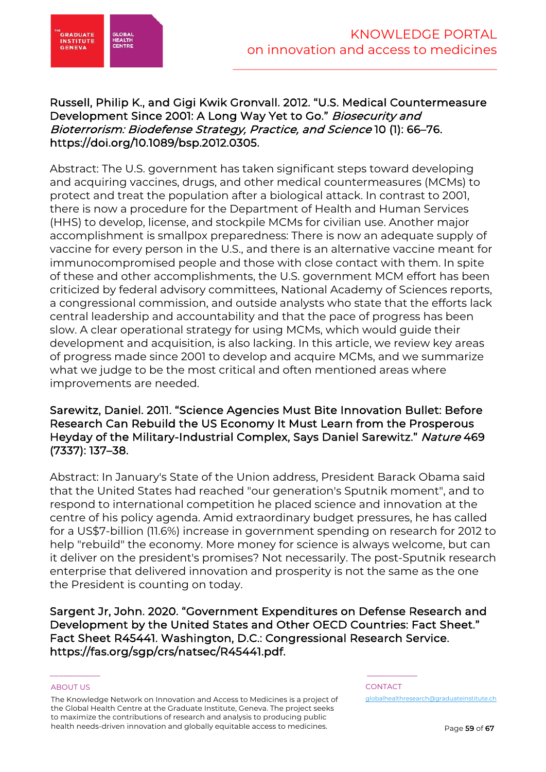

# Russell, Philip K., and Gigi Kwik Gronvall. 2012. "U.S. Medical Countermeasure Development Since 2001: A Long Way Yet to Go." Biosecurity and Bioterrorism: Biodefense Strategy, Practice, and Science 10 (1): 66–76. https://doi.org/10.1089/bsp.2012.0305.

Abstract: The U.S. government has taken significant steps toward developing and acquiring vaccines, drugs, and other medical countermeasures (MCMs) to protect and treat the population after a biological attack. In contrast to 2001, there is now a procedure for the Department of Health and Human Services (HHS) to develop, license, and stockpile MCMs for civilian use. Another major accomplishment is smallpox preparedness: There is now an adequate supply of vaccine for every person in the U.S., and there is an alternative vaccine meant for immunocompromised people and those with close contact with them. In spite of these and other accomplishments, the U.S. government MCM effort has been criticized by federal advisory committees, National Academy of Sciences reports, a congressional commission, and outside analysts who state that the efforts lack central leadership and accountability and that the pace of progress has been slow. A clear operational strategy for using MCMs, which would guide their development and acquisition, is also lacking. In this article, we review key areas of progress made since 2001 to develop and acquire MCMs, and we summarize what we judge to be the most critical and often mentioned areas where improvements are needed.

# Sarewitz, Daniel. 2011. "Science Agencies Must Bite Innovation Bullet: Before Research Can Rebuild the US Economy It Must Learn from the Prosperous Heyday of the Military-Industrial Complex, Says Daniel Sarewitz." Nature 469 (7337): 137–38.

Abstract: In January's State of the Union address, President Barack Obama said that the United States had reached "our generation's Sputnik moment", and to respond to international competition he placed science and innovation at the centre of his policy agenda. Amid extraordinary budget pressures, he has called for a US\$7-billion (11.6%) increase in government spending on research for 2012 to help "rebuild" the economy. More money for science is always welcome, but can it deliver on the president's promises? Not necessarily. The post-Sputnik research enterprise that delivered innovation and prosperity is not the same as the one the President is counting on today.

Sargent Jr, John. 2020. "Government Expenditures on Defense Research and Development by the United States and Other OECD Countries: Fact Sheet." Fact Sheet R45441. Washington, D.C.: Congressional Research Service. https://fas.org/sgp/crs/natsec/R45441.pdf.

\_\_\_\_\_\_\_\_\_\_\_ \_\_\_\_\_\_\_\_\_\_\_

#### ABOUT US CONTACT AND RELEASED AT A RELEASED FOR THE RELEASED OF THE RELEASED OF THE RELEASED OF THE RELEASED OF THE RELEASED OF THE RELEASED OF THE RELEASED OF THE RELEASED OF THE RELEASED OF THE RELEASED OF THE RELEASED O

The Knowledge Network on Innovation and Access to Medicines is a project of the Global Health Centre at the Graduate Institute, Geneva. The project seeks to maximize the contributions of research and analysis to producing public health needs-driven innovation and globally equitable access to medicines.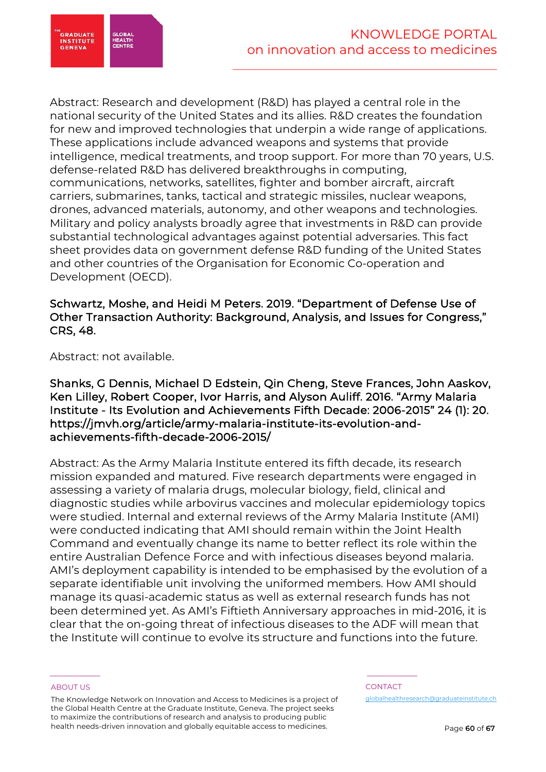

Abstract: Research and development (R&D) has played a central role in the national security of the United States and its allies. R&D creates the foundation for new and improved technologies that underpin a wide range of applications. These applications include advanced weapons and systems that provide intelligence, medical treatments, and troop support. For more than 70 years, U.S. defense-related R&D has delivered breakthroughs in computing, communications, networks, satellites, fighter and bomber aircraft, aircraft carriers, submarines, tanks, tactical and strategic missiles, nuclear weapons, drones, advanced materials, autonomy, and other weapons and technologies. Military and policy analysts broadly agree that investments in R&D can provide substantial technological advantages against potential adversaries. This fact sheet provides data on government defense R&D funding of the United States and other countries of the Organisation for Economic Co-operation and Development (OECD).

#### Schwartz, Moshe, and Heidi M Peters. 2019. "Department of Defense Use of Other Transaction Authority: Background, Analysis, and Issues for Congress," CRS, 48.

Abstract: not available.

#### Shanks, G Dennis, Michael D Edstein, Qin Cheng, Steve Frances, John Aaskov, Ken Lilley, Robert Cooper, Ivor Harris, and Alyson Auliff. 2016. "Army Malaria Institute - Its Evolution and Achievements Fifth Decade: 2006-2015" 24 (1): 20. https://jmvh.org/article/army-malaria-institute-its-evolution-andachievements-fifth-decade-2006-2015/

Abstract: As the Army Malaria Institute entered its fifth decade, its research mission expanded and matured. Five research departments were engaged in assessing a variety of malaria drugs, molecular biology, field, clinical and diagnostic studies while arbovirus vaccines and molecular epidemiology topics were studied. Internal and external reviews of the Army Malaria Institute (AMI) were conducted indicating that AMI should remain within the Joint Health Command and eventually change its name to better reflect its role within the entire Australian Defence Force and with infectious diseases beyond malaria. AMI's deployment capability is intended to be emphasised by the evolution of a separate identifiable unit involving the uniformed members. How AMI should manage its quasi-academic status as well as external research funds has not been determined yet. As AMI's Fiftieth Anniversary approaches in mid-2016, it is clear that the on-going threat of infectious diseases to the ADF will mean that the Institute will continue to evolve its structure and functions into the future.

The Knowledge Network on Innovation and Access to Medicines is a project of the Global Health Centre at the Graduate Institute, Geneva. The project seeks to maximize the contributions of research and analysis to producing public health needs-driven innovation and globally equitable access to medicines.

\_\_\_\_\_\_\_\_\_\_\_ \_\_\_\_\_\_\_\_\_\_\_

ABOUT US CONTACT AND RELEASED AT A RELEASED FOR THE RELEASED OF THE RELEASED OF THE RELEASED OF THE RELEASED OF THE RELEASED OF THE RELEASED OF THE RELEASED OF THE RELEASED OF THE RELEASED OF THE RELEASED OF THE RELEASED O globalhealthresearch@graduateinstitute.ch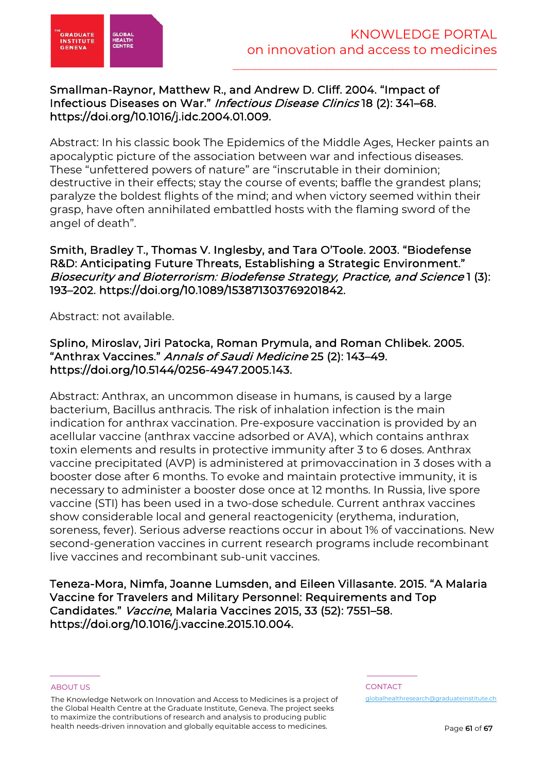

### Smallman-Raynor, Matthew R., and Andrew D. Cliff. 2004. "Impact of Infectious Diseases on War." Infectious Disease Clinics 18 (2): 341-68. https://doi.org/10.1016/j.idc.2004.01.009.

Abstract: In his classic book The Epidemics of the Middle Ages, Hecker paints an apocalyptic picture of the association between war and infectious diseases. These "unfettered powers of nature" are "inscrutable in their dominion; destructive in their effects; stay the course of events; baffle the grandest plans; paralyze the boldest flights of the mind; and when victory seemed within their grasp, have often annihilated embattled hosts with the flaming sword of the angel of death".

#### Smith, Bradley T., Thomas V. Inglesby, and Tara O'Toole. 2003. "Biodefense R&D: Anticipating Future Threats, Establishing a Strategic Environment." Biosecurity and Bioterrorism: Biodefense Strategy, Practice, and Science 1 (3): 193–202. https://doi.org/10.1089/153871303769201842.

Abstract: not available.

# Splino, Miroslav, Jiri Patocka, Roman Prymula, and Roman Chlibek. 2005. "Anthrax Vaccines." Annals of Saudi Medicine 25 (2): 143–49. https://doi.org/10.5144/0256-4947.2005.143.

Abstract: Anthrax, an uncommon disease in humans, is caused by a large bacterium, Bacillus anthracis. The risk of inhalation infection is the main indication for anthrax vaccination. Pre-exposure vaccination is provided by an acellular vaccine (anthrax vaccine adsorbed or AVA), which contains anthrax toxin elements and results in protective immunity after 3 to 6 doses. Anthrax vaccine precipitated (AVP) is administered at primovaccination in 3 doses with a booster dose after 6 months. To evoke and maintain protective immunity, it is necessary to administer a booster dose once at 12 months. In Russia, live spore vaccine (STI) has been used in a two-dose schedule. Current anthrax vaccines show considerable local and general reactogenicity (erythema, induration, soreness, fever). Serious adverse reactions occur in about 1% of vaccinations. New second-generation vaccines in current research programs include recombinant live vaccines and recombinant sub-unit vaccines.

Teneza-Mora, Nimfa, Joanne Lumsden, and Eileen Villasante. 2015. "A Malaria Vaccine for Travelers and Military Personnel: Requirements and Top Candidates." Vaccine, Malaria Vaccines 2015, 33 (52): 7551–58. https://doi.org/10.1016/j.vaccine.2015.10.004.

#### ABOUT US CONTACT AND RELEASED AT A RELEASED FOR THE RELEASED OF THE RELEASED OF THE RELEASED OF THE RELEASED OF THE RELEASED OF THE RELEASED OF THE RELEASED OF THE RELEASED OF THE RELEASED OF THE RELEASED OF THE RELEASED O

The Knowledge Network on Innovation and Access to Medicines is a project of the Global Health Centre at the Graduate Institute, Geneva. The project seeks to maximize the contributions of research and analysis to producing public health needs-driven innovation and globally equitable access to medicines.

\_\_\_\_\_\_\_\_\_\_\_ \_\_\_\_\_\_\_\_\_\_\_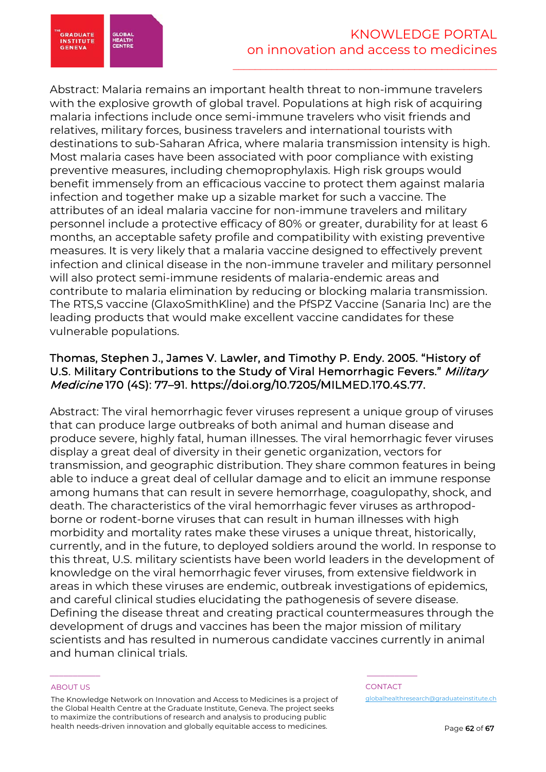

Abstract: Malaria remains an important health threat to non-immune travelers with the explosive growth of global travel. Populations at high risk of acquiring malaria infections include once semi-immune travelers who visit friends and relatives, military forces, business travelers and international tourists with destinations to sub-Saharan Africa, where malaria transmission intensity is high. Most malaria cases have been associated with poor compliance with existing preventive measures, including chemoprophylaxis. High risk groups would benefit immensely from an efficacious vaccine to protect them against malaria infection and together make up a sizable market for such a vaccine. The attributes of an ideal malaria vaccine for non-immune travelers and military personnel include a protective efficacy of 80% or greater, durability for at least 6 months, an acceptable safety profile and compatibility with existing preventive measures. It is very likely that a malaria vaccine designed to effectively prevent infection and clinical disease in the non-immune traveler and military personnel will also protect semi-immune residents of malaria-endemic areas and contribute to malaria elimination by reducing or blocking malaria transmission. The RTS,S vaccine (GlaxoSmithKline) and the PfSPZ Vaccine (Sanaria Inc) are the leading products that would make excellent vaccine candidates for these vulnerable populations.

# Thomas, Stephen J., James V. Lawler, and Timothy P. Endy. 2005. "History of U.S. Military Contributions to the Study of Viral Hemorrhagic Fevers." Military Medicine 170 (4S): 77–91. https://doi.org/10.7205/MILMED.170.4S.77.

Abstract: The viral hemorrhagic fever viruses represent a unique group of viruses that can produce large outbreaks of both animal and human disease and produce severe, highly fatal, human illnesses. The viral hemorrhagic fever viruses display a great deal of diversity in their genetic organization, vectors for transmission, and geographic distribution. They share common features in being able to induce a great deal of cellular damage and to elicit an immune response among humans that can result in severe hemorrhage, coagulopathy, shock, and death. The characteristics of the viral hemorrhagic fever viruses as arthropodborne or rodent-borne viruses that can result in human illnesses with high morbidity and mortality rates make these viruses a unique threat, historically, currently, and in the future, to deployed soldiers around the world. In response to this threat, U.S. military scientists have been world leaders in the development of knowledge on the viral hemorrhagic fever viruses, from extensive fieldwork in areas in which these viruses are endemic, outbreak investigations of epidemics, and careful clinical studies elucidating the pathogenesis of severe disease. Defining the disease threat and creating practical countermeasures through the development of drugs and vaccines has been the major mission of military scientists and has resulted in numerous candidate vaccines currently in animal and human clinical trials.

#### ABOUT US CONTACT AND RELEASED AT A RELEASED FOR THE RELEASED OF THE RELEASED OF THE RELEASED OF THE RELEASED OF THE RELEASED OF THE RELEASED OF THE RELEASED OF THE RELEASED OF THE RELEASED OF THE RELEASED OF THE RELEASED O

**GRADUATE** 

**INSTITUTE**<br>GENEVA

**GLOBAL**<br>HEALTH

CENTRE

The Knowledge Network on Innovation and Access to Medicines is a project of the Global Health Centre at the Graduate Institute, Geneva. The project seeks to maximize the contributions of research and analysis to producing public health needs-driven innovation and globally equitable access to medicines.

\_\_\_\_\_\_\_\_\_\_\_ \_\_\_\_\_\_\_\_\_\_\_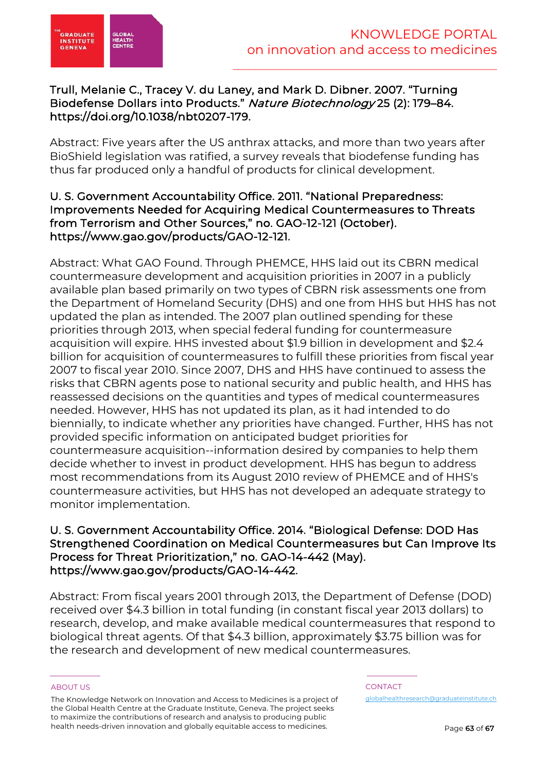

### Trull, Melanie C., Tracey V. du Laney, and Mark D. Dibner. 2007. "Turning Biodefense Dollars into Products." Nature Biotechnology 25 (2): 179–84. https://doi.org/10.1038/nbt0207-179.

Abstract: Five years after the US anthrax attacks, and more than two years after BioShield legislation was ratified, a survey reveals that biodefense funding has thus far produced only a handful of products for clinical development.

### U. S. Government Accountability Office. 2011. "National Preparedness: Improvements Needed for Acquiring Medical Countermeasures to Threats from Terrorism and Other Sources," no. GAO-12-121 (October). https://www.gao.gov/products/GAO-12-121.

Abstract: What GAO Found. Through PHEMCE, HHS laid out its CBRN medical countermeasure development and acquisition priorities in 2007 in a publicly available plan based primarily on two types of CBRN risk assessments one from the Department of Homeland Security (DHS) and one from HHS but HHS has not updated the plan as intended. The 2007 plan outlined spending for these priorities through 2013, when special federal funding for countermeasure acquisition will expire. HHS invested about \$1.9 billion in development and \$2.4 billion for acquisition of countermeasures to fulfill these priorities from fiscal year 2007 to fiscal year 2010. Since 2007, DHS and HHS have continued to assess the risks that CBRN agents pose to national security and public health, and HHS has reassessed decisions on the quantities and types of medical countermeasures needed. However, HHS has not updated its plan, as it had intended to do biennially, to indicate whether any priorities have changed. Further, HHS has not provided specific information on anticipated budget priorities for countermeasure acquisition--information desired by companies to help them decide whether to invest in product development. HHS has begun to address most recommendations from its August 2010 review of PHEMCE and of HHS's countermeasure activities, but HHS has not developed an adequate strategy to monitor implementation.

# U. S. Government Accountability Office. 2014. "Biological Defense: DOD Has Strengthened Coordination on Medical Countermeasures but Can Improve Its Process for Threat Prioritization," no. GAO-14-442 (May). https://www.gao.gov/products/GAO-14-442.

Abstract: From fiscal years 2001 through 2013, the Department of Defense (DOD) received over \$4.3 billion in total funding (in constant fiscal year 2013 dollars) to research, develop, and make available medical countermeasures that respond to biological threat agents. Of that \$4.3 billion, approximately \$3.75 billion was for the research and development of new medical countermeasures.

#### ABOUT US CONTACT AND RELEASED AT A RELEASED FOR THE RELEASED OF THE RELEASED OF THE RELEASED OF THE RELEASED OF THE RELEASED OF THE RELEASED OF THE RELEASED OF THE RELEASED OF THE RELEASED OF THE RELEASED OF THE RELEASED O

The Knowledge Network on Innovation and Access to Medicines is a project of the Global Health Centre at the Graduate Institute, Geneva. The project seeks to maximize the contributions of research and analysis to producing public health needs-driven innovation and globally equitable access to medicines.

\_\_\_\_\_\_\_\_\_\_\_ \_\_\_\_\_\_\_\_\_\_\_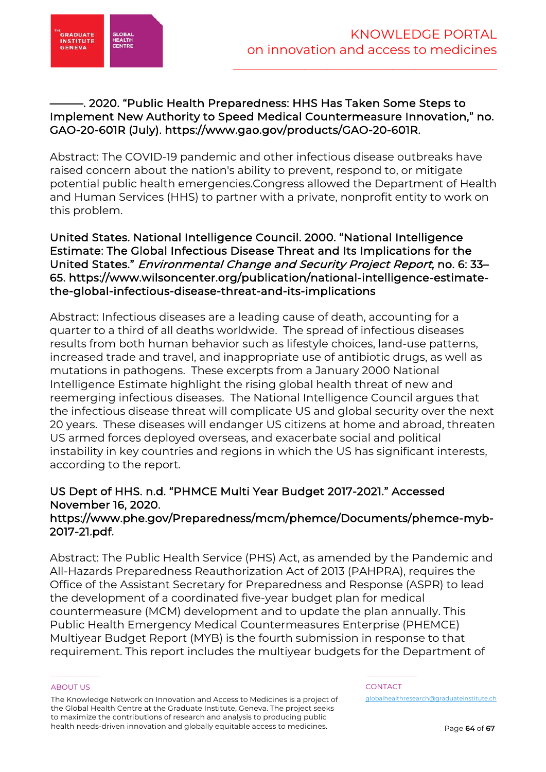

# ———. 2020. "Public Health Preparedness: HHS Has Taken Some Steps to Implement New Authority to Speed Medical Countermeasure Innovation," no. GAO-20-601R (July). https://www.gao.gov/products/GAO-20-601R.

Abstract: The COVID-19 pandemic and other infectious disease outbreaks have raised concern about the nation's ability to prevent, respond to, or mitigate potential public health emergencies.Congress allowed the Department of Health and Human Services (HHS) to partner with a private, nonprofit entity to work on this problem.

### United States. National Intelligence Council. 2000. "National Intelligence Estimate: The Global Infectious Disease Threat and Its Implications for the United States." Environmental Change and Security Project Report, no. 6: 33– 65. https://www.wilsoncenter.org/publication/national-intelligence-estimatethe-global-infectious-disease-threat-and-its-implications

Abstract: Infectious diseases are a leading cause of death, accounting for a quarter to a third of all deaths worldwide. The spread of infectious diseases results from both human behavior such as lifestyle choices, land-use patterns, increased trade and travel, and inappropriate use of antibiotic drugs, as well as mutations in pathogens. These excerpts from a January 2000 National Intelligence Estimate highlight the rising global health threat of new and reemerging infectious diseases. The National Intelligence Council argues that the infectious disease threat will complicate US and global security over the next 20 years. These diseases will endanger US citizens at home and abroad, threaten US armed forces deployed overseas, and exacerbate social and political instability in key countries and regions in which the US has significant interests, according to the report.

# US Dept of HHS. n.d. "PHMCE Multi Year Budget 2017-2021." Accessed November 16, 2020.

# https://www.phe.gov/Preparedness/mcm/phemce/Documents/phemce-myb-2017-21.pdf.

Abstract: The Public Health Service (PHS) Act, as amended by the Pandemic and All-Hazards Preparedness Reauthorization Act of 2013 (PAHPRA), requires the Office of the Assistant Secretary for Preparedness and Response (ASPR) to lead the development of a coordinated five-year budget plan for medical countermeasure (MCM) development and to update the plan annually. This Public Health Emergency Medical Countermeasures Enterprise (PHEMCE) Multiyear Budget Report (MYB) is the fourth submission in response to that requirement. This report includes the multiyear budgets for the Department of

#### ABOUT US CONTACT AND RELEASED AT A RELEASED FOR THE RELEASED OF THE RELEASED OF THE RELEASED OF THE RELEASED OF THE RELEASED OF THE RELEASED OF THE RELEASED OF THE RELEASED OF THE RELEASED OF THE RELEASED OF THE RELEASED O

The Knowledge Network on Innovation and Access to Medicines is a project of the Global Health Centre at the Graduate Institute, Geneva. The project seeks to maximize the contributions of research and analysis to producing public health needs-driven innovation and globally equitable access to medicines.

\_\_\_\_\_\_\_\_\_\_\_ \_\_\_\_\_\_\_\_\_\_\_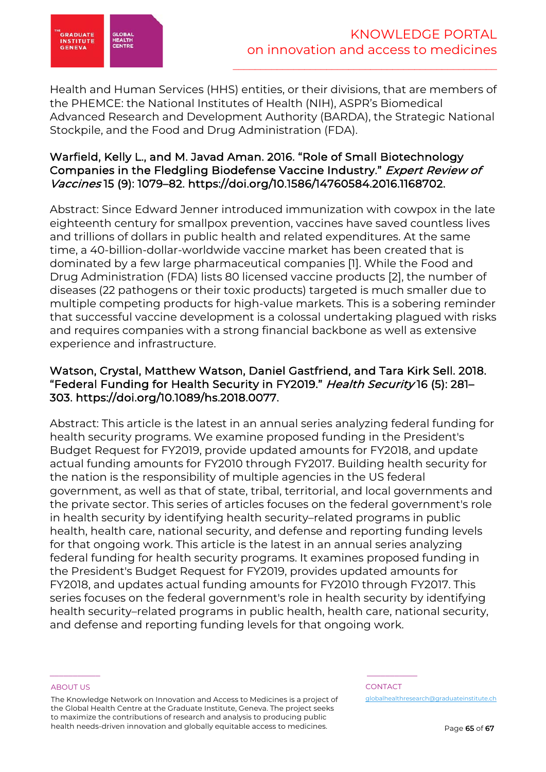

Health and Human Services (HHS) entities, or their divisions, that are members of the PHEMCE: the National Institutes of Health (NIH), ASPR's Biomedical Advanced Research and Development Authority (BARDA), the Strategic National Stockpile, and the Food and Drug Administration (FDA).

# Warfield, Kelly L., and M. Javad Aman. 2016. "Role of Small Biotechnology Companies in the Fledgling Biodefense Vaccine Industry." Expert Review of Vaccines 15 (9): 1079–82. https://doi.org/10.1586/14760584.2016.1168702.

Abstract: Since Edward Jenner introduced immunization with cowpox in the late eighteenth century for smallpox prevention, vaccines have saved countless lives and trillions of dollars in public health and related expenditures. At the same time, a 40-billion-dollar-worldwide vaccine market has been created that is dominated by a few large pharmaceutical companies [1]. While the Food and Drug Administration (FDA) lists 80 licensed vaccine products [2], the number of diseases (22 pathogens or their toxic products) targeted is much smaller due to multiple competing products for high-value markets. This is a sobering reminder that successful vaccine development is a colossal undertaking plagued with risks and requires companies with a strong financial backbone as well as extensive experience and infrastructure.

# Watson, Crystal, Matthew Watson, Daniel Gastfriend, and Tara Kirk Sell. 2018. "Federal Funding for Health Security in FY2019." Health Security 16 (5): 281-303. https://doi.org/10.1089/hs.2018.0077.

Abstract: This article is the latest in an annual series analyzing federal funding for health security programs. We examine proposed funding in the President's Budget Request for FY2019, provide updated amounts for FY2018, and update actual funding amounts for FY2010 through FY2017. Building health security for the nation is the responsibility of multiple agencies in the US federal government, as well as that of state, tribal, territorial, and local governments and the private sector. This series of articles focuses on the federal government's role in health security by identifying health security–related programs in public health, health care, national security, and defense and reporting funding levels for that ongoing work. This article is the latest in an annual series analyzing federal funding for health security programs. It examines proposed funding in the President's Budget Request for FY2019, provides updated amounts for FY2018, and updates actual funding amounts for FY2010 through FY2017. This series focuses on the federal government's role in health security by identifying health security–related programs in public health, health care, national security, and defense and reporting funding levels for that ongoing work.

The Knowledge Network on Innovation and Access to Medicines is a project of the Global Health Centre at the Graduate Institute, Geneva. The project seeks to maximize the contributions of research and analysis to producing public health needs-driven innovation and globally equitable access to medicines.

\_\_\_\_\_\_\_\_\_\_\_ \_\_\_\_\_\_\_\_\_\_\_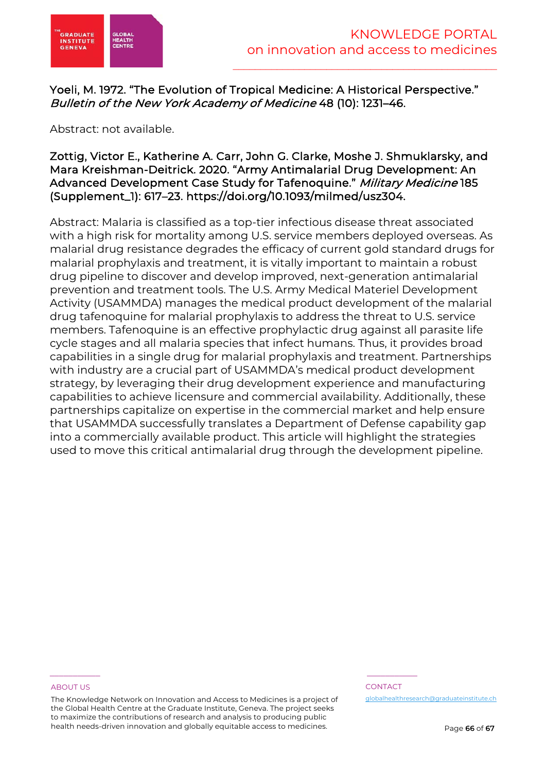

# Yoeli, M. 1972. "The Evolution of Tropical Medicine: A Historical Perspective." Bulletin of the New York Academy of Medicine 48 (10): 1231–46.

Abstract: not available.

#### Zottig, Victor E., Katherine A. Carr, John G. Clarke, Moshe J. Shmuklarsky, and Mara Kreishman-Deitrick. 2020. "Army Antimalarial Drug Development: An Advanced Development Case Study for Tafenoquine." Military Medicine 185 (Supplement\_1): 617–23. https://doi.org/10.1093/milmed/usz304.

Abstract: Malaria is classified as a top-tier infectious disease threat associated with a high risk for mortality among U.S. service members deployed overseas. As malarial drug resistance degrades the efficacy of current gold standard drugs for malarial prophylaxis and treatment, it is vitally important to maintain a robust drug pipeline to discover and develop improved, next-generation antimalarial prevention and treatment tools. The U.S. Army Medical Materiel Development Activity (USAMMDA) manages the medical product development of the malarial drug tafenoquine for malarial prophylaxis to address the threat to U.S. service members. Tafenoquine is an effective prophylactic drug against all parasite life cycle stages and all malaria species that infect humans. Thus, it provides broad capabilities in a single drug for malarial prophylaxis and treatment. Partnerships with industry are a crucial part of USAMMDA's medical product development strategy, by leveraging their drug development experience and manufacturing capabilities to achieve licensure and commercial availability. Additionally, these partnerships capitalize on expertise in the commercial market and help ensure that USAMMDA successfully translates a Department of Defense capability gap into a commercially available product. This article will highlight the strategies used to move this critical antimalarial drug through the development pipeline.

The Knowledge Network on Innovation and Access to Medicines is a project of the Global Health Centre at the Graduate Institute, Geneva. The project seeks to maximize the contributions of research and analysis to producing public health needs-driven innovation and globally equitable access to medicines.

\_\_\_\_\_\_\_\_\_\_\_ \_\_\_\_\_\_\_\_\_\_\_

ABOUT US CONTACT AND RELEASED AT A RELEASED FOR THE RELEASED OF THE RELEASED OF THE RELEASED OF THE RELEASED OF THE RELEASED OF THE RELEASED OF THE RELEASED OF THE RELEASED OF THE RELEASED OF THE RELEASED OF THE RELEASED O globalhealthresearch@graduateinstitute.ch